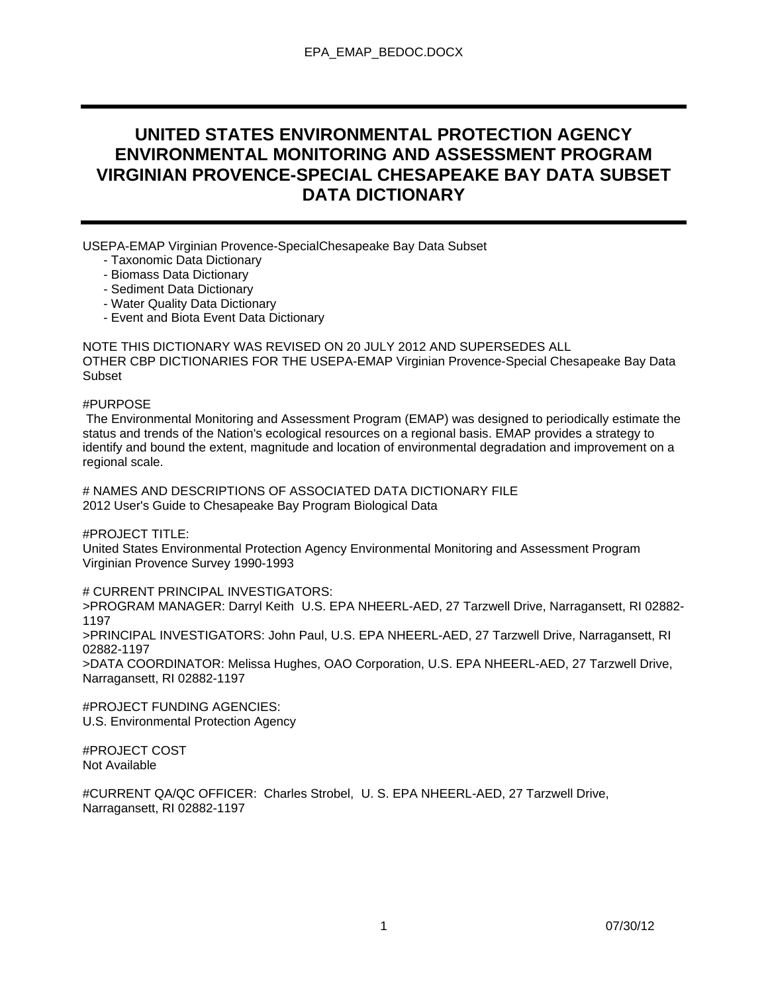# **UNITED STATES ENVIRONMENTAL PROTECTION AGENCY ENVIRONMENTAL MONITORING AND ASSESSMENT PROGRAM VIRGINIAN PROVENCE-SPECIAL CHESAPEAKE BAY DATA SUBSET DATA DICTIONARY**

USEPA-EMAP Virginian Provence-SpecialChesapeake Bay Data Subset

- Taxonomic Data Dictionary
- Biomass Data Dictionary
- Sediment Data Dictionary
- Water Quality Data Dictionary
- Event and Biota Event Data Dictionary

NOTE THIS DICTIONARY WAS REVISED ON 20 JULY 2012 AND SUPERSEDES ALL OTHER CBP DICTIONARIES FOR THE USEPA-EMAP Virginian Provence-Special Chesapeake Bay Data Subset

#### #PURPOSE

 The Environmental Monitoring and Assessment Program (EMAP) was designed to periodically estimate the status and trends of the Nation's ecological resources on a regional basis. EMAP provides a strategy to identify and bound the extent, magnitude and location of environmental degradation and improvement on a regional scale.

# NAMES AND DESCRIPTIONS OF ASSOCIATED DATA DICTIONARY FILE 2012 User's Guide to Chesapeake Bay Program Biological Data

#PROJECT TITLE:

United States Environmental Protection Agency Environmental Monitoring and Assessment Program Virginian Provence Survey 1990-1993

# CURRENT PRINCIPAL INVESTIGATORS:

>PROGRAM MANAGER: Darryl Keith U.S. EPA NHEERL-AED, 27 Tarzwell Drive, Narragansett, RI 02882- 1197

>PRINCIPAL INVESTIGATORS: John Paul, U.S. EPA NHEERL-AED, 27 Tarzwell Drive, Narragansett, RI 02882-1197

>DATA COORDINATOR: Melissa Hughes, OAO Corporation, U.S. EPA NHEERL-AED, 27 Tarzwell Drive, Narragansett, RI 02882-1197

#PROJECT FUNDING AGENCIES: U.S. Environmental Protection Agency

#PROJECT COST Not Available

#CURRENT QA/QC OFFICER: Charles Strobel, U. S. EPA NHEERL-AED, 27 Tarzwell Drive, Narragansett, RI 02882-1197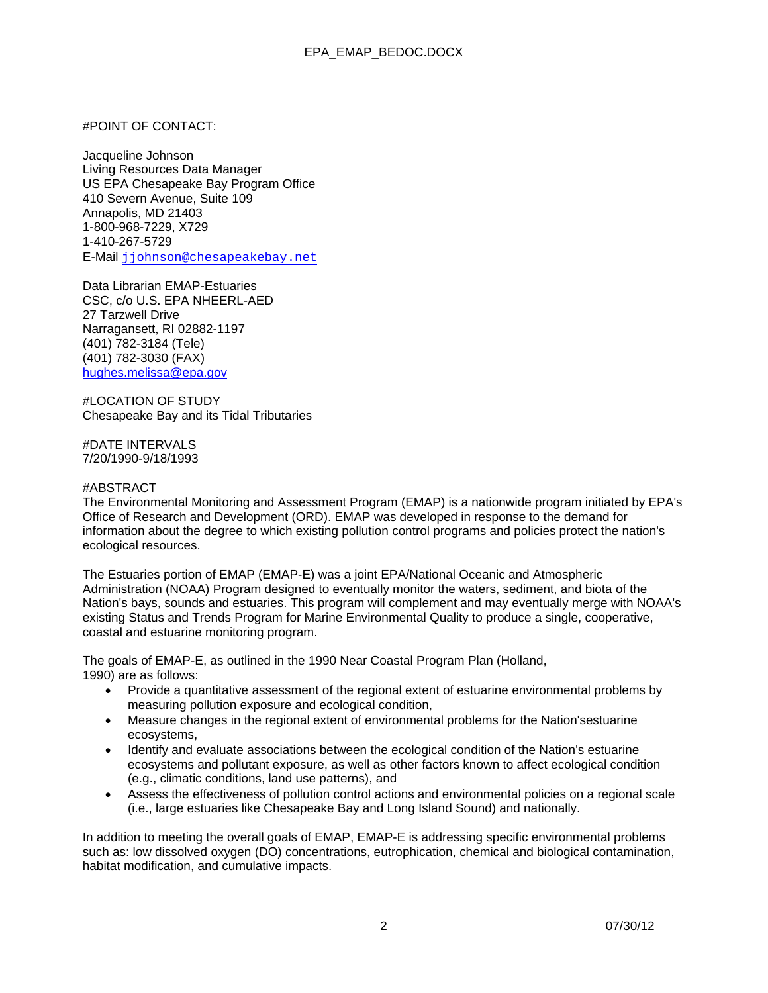#### #POINT OF CONTACT:

Jacqueline Johnson Living Resources Data Manager US EPA Chesapeake Bay Program Office 410 Severn Avenue, Suite 109 Annapolis, MD 21403 1-800-968-7229, X729 1-410-267-5729 E-Mail jjohnson@chesapeakebay.net

Data Librarian EMAP-Estuaries CSC, c/o U.S. EPA NHEERL-AED 27 Tarzwell Drive Narragansett, RI 02882-1197 (401) 782-3184 (Tele) (401) 782-3030 (FAX) hughes.melissa@epa.gov

#LOCATION OF STUDY Chesapeake Bay and its Tidal Tributaries

#DATE INTERVALS 7/20/1990-9/18/1993

#### #ABSTRACT

The Environmental Monitoring and Assessment Program (EMAP) is a nationwide program initiated by EPA's Office of Research and Development (ORD). EMAP was developed in response to the demand for information about the degree to which existing pollution control programs and policies protect the nation's ecological resources.

The Estuaries portion of EMAP (EMAP-E) was a joint EPA/National Oceanic and Atmospheric Administration (NOAA) Program designed to eventually monitor the waters, sediment, and biota of the Nation's bays, sounds and estuaries. This program will complement and may eventually merge with NOAA's existing Status and Trends Program for Marine Environmental Quality to produce a single, cooperative, coastal and estuarine monitoring program.

The goals of EMAP-E, as outlined in the 1990 Near Coastal Program Plan (Holland, 1990) are as follows:

- Provide a quantitative assessment of the regional extent of estuarine environmental problems by measuring pollution exposure and ecological condition,
- Measure changes in the regional extent of environmental problems for the Nation'sestuarine ecosystems,
- Identify and evaluate associations between the ecological condition of the Nation's estuarine ecosystems and pollutant exposure, as well as other factors known to affect ecological condition (e.g., climatic conditions, land use patterns), and
- Assess the effectiveness of pollution control actions and environmental policies on a regional scale (i.e., large estuaries like Chesapeake Bay and Long Island Sound) and nationally.

In addition to meeting the overall goals of EMAP, EMAP-E is addressing specific environmental problems such as: low dissolved oxygen (DO) concentrations, eutrophication, chemical and biological contamination, habitat modification, and cumulative impacts.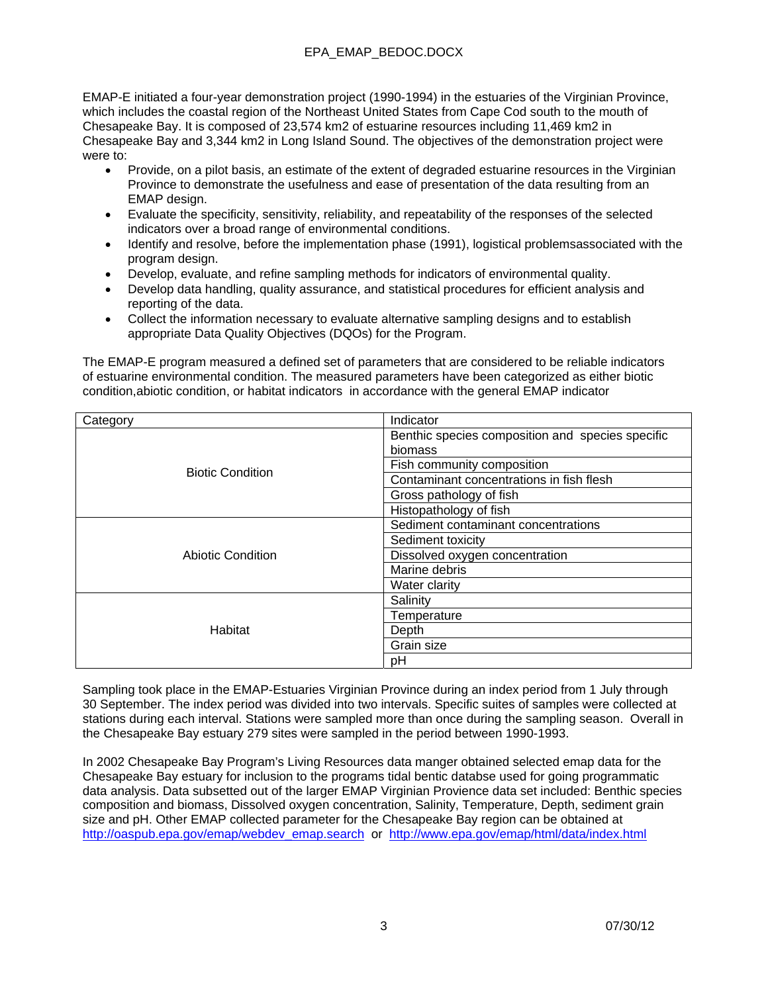EMAP-E initiated a four-year demonstration project (1990-1994) in the estuaries of the Virginian Province, which includes the coastal region of the Northeast United States from Cape Cod south to the mouth of Chesapeake Bay. It is composed of 23,574 km2 of estuarine resources including 11,469 km2 in Chesapeake Bay and 3,344 km2 in Long Island Sound. The objectives of the demonstration project were were to:

- Provide, on a pilot basis, an estimate of the extent of degraded estuarine resources in the Virginian Province to demonstrate the usefulness and ease of presentation of the data resulting from an EMAP design.
- Evaluate the specificity, sensitivity, reliability, and repeatability of the responses of the selected indicators over a broad range of environmental conditions.
- Identify and resolve, before the implementation phase (1991), logistical problemsassociated with the program design.
- Develop, evaluate, and refine sampling methods for indicators of environmental quality.
- Develop data handling, quality assurance, and statistical procedures for efficient analysis and reporting of the data.
- Collect the information necessary to evaluate alternative sampling designs and to establish appropriate Data Quality Objectives (DQOs) for the Program.

The EMAP-E program measured a defined set of parameters that are considered to be reliable indicators of estuarine environmental condition. The measured parameters have been categorized as either biotic condition,abiotic condition, or habitat indicators in accordance with the general EMAP indicator

| Category                | Indicator                                        |  |  |
|-------------------------|--------------------------------------------------|--|--|
|                         | Benthic species composition and species specific |  |  |
|                         | biomass                                          |  |  |
|                         | Fish community composition                       |  |  |
| <b>Biotic Condition</b> | Contaminant concentrations in fish flesh         |  |  |
|                         | Gross pathology of fish                          |  |  |
|                         | Histopathology of fish                           |  |  |
|                         | Sediment contaminant concentrations              |  |  |
|                         | Sediment toxicity                                |  |  |
| Abiotic Condition       | Dissolved oxygen concentration                   |  |  |
|                         | Marine debris                                    |  |  |
|                         | Water clarity                                    |  |  |
|                         | Salinity                                         |  |  |
|                         | Temperature                                      |  |  |
| Habitat                 | Depth                                            |  |  |
|                         | Grain size                                       |  |  |
|                         | рH                                               |  |  |

Sampling took place in the EMAP-Estuaries Virginian Province during an index period from 1 July through 30 September. The index period was divided into two intervals. Specific suites of samples were collected at stations during each interval. Stations were sampled more than once during the sampling season. Overall in the Chesapeake Bay estuary 279 sites were sampled in the period between 1990-1993.

In 2002 Chesapeake Bay Program's Living Resources data manger obtained selected emap data for the Chesapeake Bay estuary for inclusion to the programs tidal bentic databse used for going programmatic data analysis. Data subsetted out of the larger EMAP Virginian Provience data set included: Benthic species composition and biomass, Dissolved oxygen concentration, Salinity, Temperature, Depth, sediment grain size and pH. Other EMAP collected parameter for the Chesapeake Bay region can be obtained at http://oaspub.epa.gov/emap/webdev\_emap.search or http://www.epa.gov/emap/html/data/index.html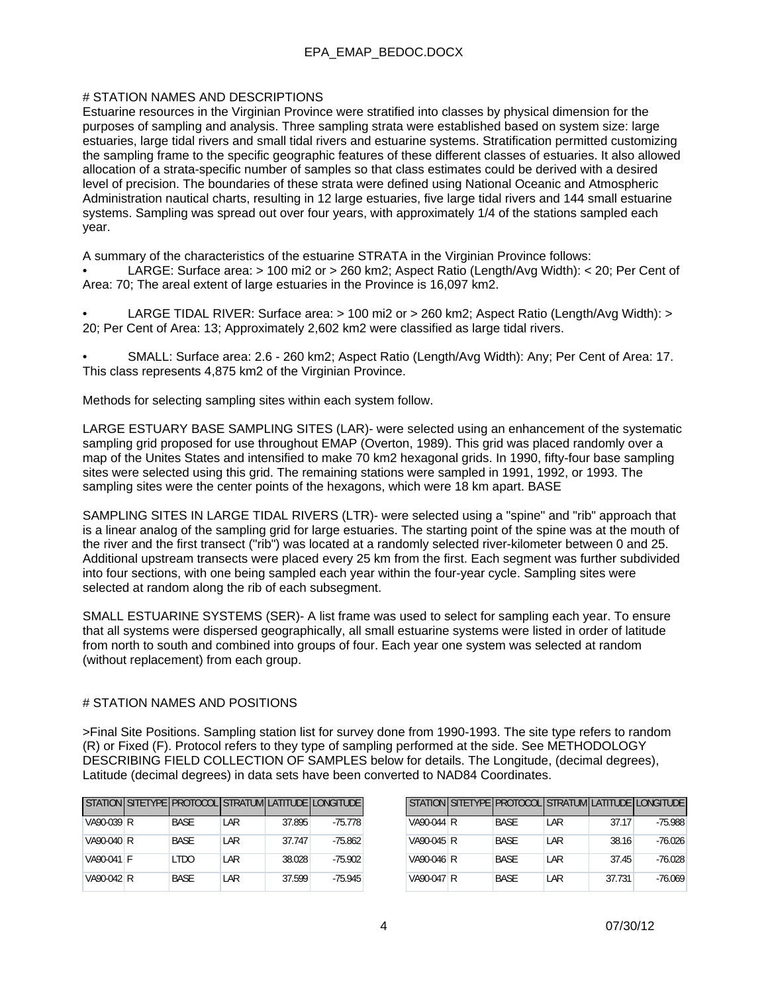#### # STATION NAMES AND DESCRIPTIONS

Estuarine resources in the Virginian Province were stratified into classes by physical dimension for the purposes of sampling and analysis. Three sampling strata were established based on system size: large estuaries, large tidal rivers and small tidal rivers and estuarine systems. Stratification permitted customizing the sampling frame to the specific geographic features of these different classes of estuaries. It also allowed allocation of a strata-specific number of samples so that class estimates could be derived with a desired level of precision. The boundaries of these strata were defined using National Oceanic and Atmospheric Administration nautical charts, resulting in 12 large estuaries, five large tidal rivers and 144 small estuarine systems. Sampling was spread out over four years, with approximately 1/4 of the stations sampled each year.

A summary of the characteristics of the estuarine STRATA in the Virginian Province follows:

• LARGE: Surface area: > 100 mi2 or > 260 km2; Aspect Ratio (Length/Avg Width): < 20; Per Cent of Area: 70; The areal extent of large estuaries in the Province is 16,097 km2.

• LARGE TIDAL RIVER: Surface area: > 100 mi2 or > 260 km2; Aspect Ratio (Length/Avg Width): > 20; Per Cent of Area: 13; Approximately 2,602 km2 were classified as large tidal rivers.

• SMALL: Surface area: 2.6 - 260 km2; Aspect Ratio (Length/Avg Width): Any; Per Cent of Area: 17. This class represents 4,875 km2 of the Virginian Province.

Methods for selecting sampling sites within each system follow.

LARGE ESTUARY BASE SAMPLING SITES (LAR)- were selected using an enhancement of the systematic sampling grid proposed for use throughout EMAP (Overton, 1989). This grid was placed randomly over a map of the Unites States and intensified to make 70 km2 hexagonal grids. In 1990, fifty-four base sampling sites were selected using this grid. The remaining stations were sampled in 1991, 1992, or 1993. The sampling sites were the center points of the hexagons, which were 18 km apart. BASE

SAMPLING SITES IN LARGE TIDAL RIVERS (LTR)- were selected using a "spine" and "rib" approach that is a linear analog of the sampling grid for large estuaries. The starting point of the spine was at the mouth of the river and the first transect ("rib") was located at a randomly selected river-kilometer between 0 and 25. Additional upstream transects were placed every 25 km from the first. Each segment was further subdivided into four sections, with one being sampled each year within the four-year cycle. Sampling sites were selected at random along the rib of each subsegment.

SMALL ESTUARINE SYSTEMS (SER)- A list frame was used to select for sampling each year. To ensure that all systems were dispersed geographically, all small estuarine systems were listed in order of latitude from north to south and combined into groups of four. Each year one system was selected at random (without replacement) from each group.

#### # STATION NAMES AND POSITIONS

>Final Site Positions. Sampling station list for survey done from 1990-1993. The site type refers to random (R) or Fixed (F). Protocol refers to they type of sampling performed at the side. See METHODOLOGY DESCRIBING FIELD COLLECTION OF SAMPLES below for details. The Longitude, (decimal degrees), Latitude (decimal degrees) in data sets have been converted to NAD84 Coordinates.

|            |             |     |        | STATION SITETYPE PROTOCOL STRATUM LATITUDE LONGITUDE |
|------------|-------------|-----|--------|------------------------------------------------------|
| VA90-039 R | <b>BASE</b> | LAR | 37.895 | $-75.778$                                            |
| VA90-040 R | <b>BASE</b> | LAR | 37.747 | $-75.862$                                            |
| VA90-041 F | <b>LTDO</b> | LAR | 38.028 | $-75.902$                                            |
| VA90-042 R | <b>BASE</b> | LAR | 37.599 | $-75.945$                                            |

|            |             |      |        | STATION SITETYPE PROTOCOL STRATUM LATITUDE LONGITUDE |
|------------|-------------|------|--------|------------------------------------------------------|
| VA90-044 R | <b>BASE</b> | LAR  | 37.17  | $-75.988$                                            |
| VA90-045 R | <b>BASE</b> | LAR  | 38.16  | -76.026                                              |
| VA90-046 R | <b>BASE</b> | LAR  | 37.45  | $-76.028$                                            |
| VA90-047 R | <b>BASE</b> | I AR | 37.731 | $-76.069$                                            |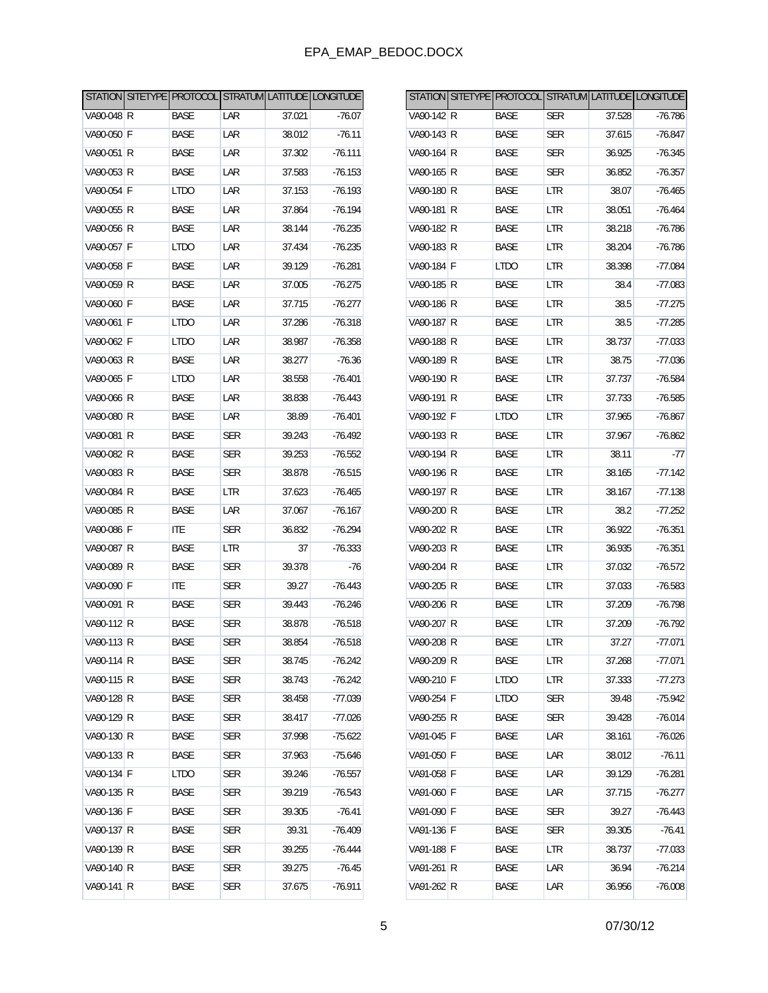|            |             |            |        | STATION SITETYPE PROTOCOL STRATUM LATITUDE LONGITUDE |            |             |            |        | STATION SITETYPE PROTOCOL STRATUM LATITUDE LONGITUDE |
|------------|-------------|------------|--------|------------------------------------------------------|------------|-------------|------------|--------|------------------------------------------------------|
| VA90-048 R | <b>BASE</b> | LAR        | 37.021 | $-76.07$                                             | VA90-142 R | <b>BASE</b> | SER        | 37.528 | $-76.786$                                            |
| VA90-050 F | BASE        | LAR        | 38.012 | $-76.11$                                             | VA90-143 R | BASE        | <b>SER</b> | 37.615 | $-76.847$                                            |
| VA90-051 R | <b>BASE</b> | LAR        | 37.302 | $-76.111$                                            | VA90-164 R | <b>BASE</b> | <b>SER</b> | 36.925 | $-76.345$                                            |
| VA90-053 R | <b>BASE</b> | LAR        | 37.583 | $-76.153$                                            | VA90-165 R | <b>BASE</b> | <b>SER</b> | 36.852 | $-76.357$                                            |
| VA90-054 F | <b>LTDO</b> | LAR        | 37.153 | $-76.193$                                            | VA90-180 R | <b>BASE</b> | LTR        | 38.07  | $-76.465$                                            |
| VA90-055 R | <b>BASE</b> | LAR        | 37.864 | $-76.194$                                            | VA90-181 R | BASE        | <b>LTR</b> | 38.051 | $-76.464$                                            |
| VA90-056 R | <b>BASE</b> | LAR        | 38.144 | $-76.235$                                            | VA90-182 R | <b>BASE</b> | LTR        | 38.218 | $-76.786$                                            |
| VA90-057 F | <b>LTDO</b> | LAR        | 37.434 | $-76.235$                                            | VA90-183 R | <b>BASE</b> | <b>LTR</b> | 38.204 | $-76.786$                                            |
| VA90-058 F | <b>BASE</b> | LAR        | 39.129 | $-76.281$                                            | VA90-184 F | <b>LTDO</b> | LTR        | 38.398 | $-77.084$                                            |
| VA90-059 R | <b>BASE</b> | LAR        | 37.005 | $-76.275$                                            | VA90-185 R | <b>BASE</b> | <b>LTR</b> | 38.4   | $-77.083$                                            |
| VA90-060 F | <b>BASE</b> | LAR        | 37.715 | $-76.277$                                            | VA90-186 R | <b>BASE</b> | LTR        | 38.5   | $-77.275$                                            |
| VA90-061 F | <b>LTDO</b> | LAR        | 37.286 | $-76.318$                                            | VA90-187 R | BASE        | <b>LTR</b> | 38.5   | $-77.285$                                            |
| VA90-062 F | <b>LTDO</b> | LAR        | 38.987 | $-76.358$                                            | VA90-188 R | <b>BASE</b> | LTR        | 38.737 | $-77.033$                                            |
| VA90-063 R | <b>BASE</b> | LAR        | 38.277 | $-76.36$                                             | VA90-189 R | <b>BASE</b> | <b>LTR</b> | 38.75  | $-77.036$                                            |
| VA90-065 F | <b>LTDO</b> | LAR        | 38.558 | $-76.401$                                            | VA90-190 R | <b>BASE</b> | LTR        | 37.737 | $-76.584$                                            |
| VA90-066 R | <b>BASE</b> | LAR        | 38.838 | $-76.443$                                            | VA90-191 R | <b>BASE</b> | <b>LTR</b> | 37.733 | $-76.585$                                            |
| VA90-080 R | <b>BASE</b> | LAR        | 38.89  | $-76.401$                                            | VA90-192 F | <b>LTDO</b> | LTR        | 37.965 | $-76.867$                                            |
| VA90-081 R | <b>BASE</b> | <b>SER</b> | 39.243 | $-76.492$                                            | VA90-193 R | <b>BASE</b> | <b>LTR</b> | 37.967 | $-76.862$                                            |
| VA90-082 R | <b>BASE</b> | <b>SER</b> | 39.253 | $-76.552$                                            | VA90-194 R | <b>BASE</b> | LTR        | 38.11  | $-77$                                                |
| VA90-083 R | <b>BASE</b> | <b>SER</b> | 38.878 | $-76.515$                                            | VA90-196 R | <b>BASE</b> | <b>LTR</b> | 38.165 | $-77.142$                                            |
| VA90-084 R | <b>BASE</b> | LTR        | 37.623 | $-76.465$                                            | VA90-197 R | <b>BASE</b> | LTR        | 38.167 | $-77.138$                                            |
| VA90-085 R | <b>BASE</b> | LAR        | 37.067 | $-76.167$                                            | VA90-200 R | <b>BASE</b> | LTR        | 38.2   | $-77.252$                                            |
| VA90-086 F | <b>ITE</b>  | <b>SER</b> | 36.832 | $-76.294$                                            | VA90-202 R | <b>BASE</b> | LTR        | 36.922 | $-76.351$                                            |
| VA90-087 R | <b>BASE</b> | LTR        | 37     | $-76.333$                                            | VA90-203 R | <b>BASE</b> | LTR        | 36.935 | $-76.351$                                            |
| VA90-089 R | <b>BASE</b> | <b>SER</b> | 39.378 | $-76$                                                | VA90-204 R | <b>BASE</b> | LTR        | 37.032 | $-76.572$                                            |
| VA90-090 F | <b>ITE</b>  | <b>SER</b> | 39.27  | $-76.443$                                            | VA90-205 R | <b>BASE</b> | LTR        | 37.033 | $-76.583$                                            |
| VA90-091 R | <b>BASE</b> | <b>SER</b> | 39.443 | $-76.246$                                            | VA90-206 R | <b>BASE</b> | LTR        | 37.209 | $-76.798$                                            |
| VA90-112 R | <b>BASE</b> | <b>SER</b> | 38.878 | $-76.518$                                            | VA90-207 R | <b>BASE</b> | LTR        | 37.209 | $-76.792$                                            |
| VA90-113 R | <b>BASE</b> | <b>SER</b> | 38.854 | $-76.518$                                            | VA90-208 R | <b>BASE</b> | <b>LTR</b> | 37.27  | $-77.071$                                            |
| VA90-114 R | <b>BASE</b> | <b>SER</b> | 38.745 | $-76.242$                                            | VA90-209 R | <b>BASE</b> | LTR        | 37.268 | $-77.071$                                            |
| VA90-115 R | BASE        | <b>SER</b> | 38.743 | $-76.242$                                            | VA90-210 F | <b>LTDO</b> | <b>LTR</b> | 37.333 | $-77.273$                                            |
| VA90-128 R | BASE        | <b>SER</b> | 38.458 | $-77.039$                                            | VA90-254 F | <b>LTDO</b> | <b>SER</b> | 39.48  | $-75.942$                                            |
| VA90-129 R | <b>BASE</b> | <b>SER</b> | 38.417 | $-77.026$                                            | VA90-255 R | <b>BASE</b> | <b>SER</b> | 39.428 | $-76.014$                                            |
| VA90-130 R | BASE        | <b>SER</b> | 37.998 | $-75.622$                                            | VA91-045 F | <b>BASE</b> | LAR        | 38.161 | $-76.026$                                            |
| VA90-133 R | BASE        | <b>SER</b> | 37.963 | $-75.646$                                            | VA91-050 F | <b>BASE</b> | LAR        | 38.012 | $-76.11$                                             |
| VA90-134 F | <b>LTDO</b> | <b>SER</b> | 39.246 | $-76.557$                                            | VA91-058 F | BASE        | LAR        | 39.129 | $-76.281$                                            |
| VA90-135 R | <b>BASE</b> | <b>SER</b> | 39.219 | $-76.543$                                            | VA91-060 F | <b>BASE</b> | LAR        | 37.715 | $-76.277$                                            |
| VA90-136 F | BASE        | <b>SER</b> | 39.305 | $-76.41$                                             | VA91-090 F | BASE        | <b>SER</b> | 39.27  | $-76.443$                                            |
| VA90-137 R | <b>BASE</b> | <b>SER</b> | 39.31  | $-76.409$                                            | VA91-136 F | <b>BASE</b> | <b>SER</b> | 39.305 | $-76.41$                                             |
| VA90-139 R | BASE        | <b>SER</b> | 39.255 | $-76.444$                                            | VA91-188 F | BASE        | LTR        | 38.737 | $-77.033$                                            |
| VA90-140 R | <b>BASE</b> | <b>SER</b> | 39.275 | $-76.45$                                             | VA91-261 R | <b>BASE</b> | LAR        | 36.94  | $-76.214$                                            |
| VA90-141 R | BASE        | <b>SER</b> | 37.675 | $-76.911$                                            | VA91-262 R | BASE        | LAR        | 36.956 | $-76.008$                                            |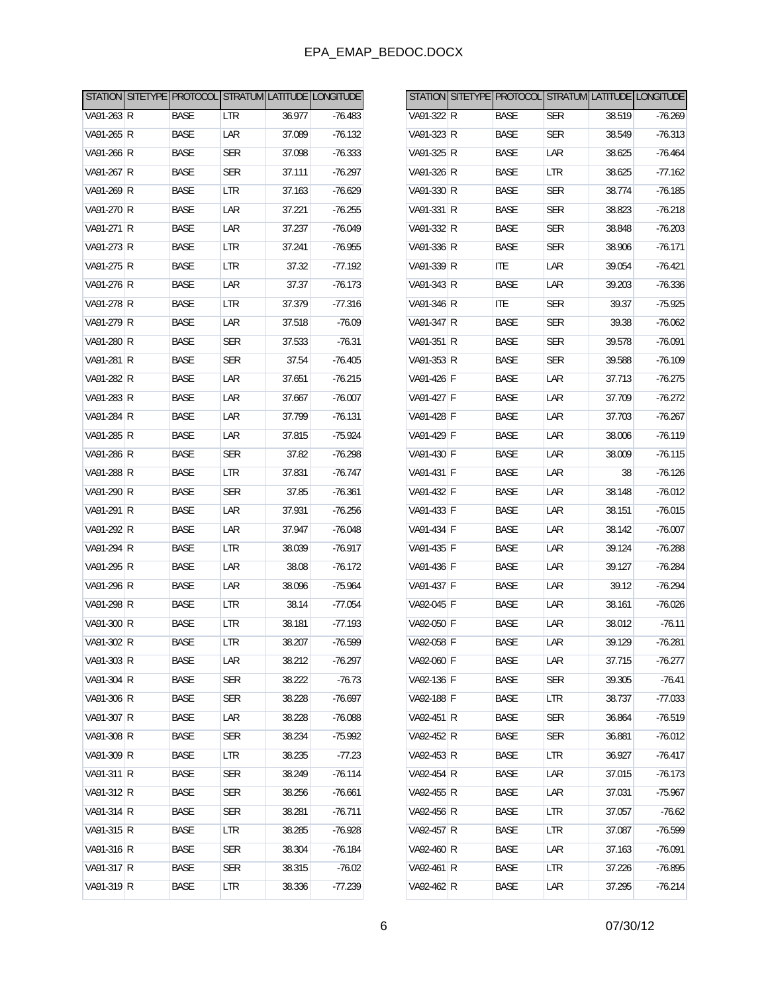|            |             |            |        | STATION SITETYPE PROTOCOL STRATUM LATITUDE LONGITUDE |              |             |            |        | STATION SITETYPE PROTOCOL STRATUM LATITUDE LONGITUDE |
|------------|-------------|------------|--------|------------------------------------------------------|--------------|-------------|------------|--------|------------------------------------------------------|
| VA91-263 R | <b>BASE</b> | LTR        | 36.977 | $-76.483$                                            | VA91-322 R   | <b>BASE</b> | SER        | 38.519 | $-76.269$                                            |
| VA91-265 R | BASE        | LAR        | 37.089 | $-76.132$                                            | VA91-323 R   | BASE        | <b>SER</b> | 38.549 | $-76.313$                                            |
| VA91-266 R | <b>BASE</b> | <b>SER</b> | 37.098 | $-76.333$                                            | VA91-325 R   | <b>BASE</b> | LAR        | 38.625 | $-76.464$                                            |
| VA91-267 R | <b>BASE</b> | <b>SER</b> | 37.111 | $-76.297$                                            | VA91-326 R   | <b>BASE</b> | <b>LTR</b> | 38.625 | $-77.162$                                            |
| VA91-269 R | <b>BASE</b> | <b>LTR</b> | 37.163 | $-76.629$                                            | VA91-330 R   | <b>BASE</b> | <b>SER</b> | 38.774 | $-76.185$                                            |
| VA91-270 R | <b>BASE</b> | LAR        | 37.221 | $-76.255$                                            | VA91-331 R   | <b>BASE</b> | <b>SER</b> | 38.823 | $-76.218$                                            |
| VA91-271 R | <b>BASE</b> | LAR        | 37.237 | $-76.049$                                            | VA91-332 R   | <b>BASE</b> | <b>SER</b> | 38.848 | $-76.203$                                            |
| VA91-273 R | <b>BASE</b> | <b>LTR</b> | 37.241 | $-76.955$                                            | VA91-336 R   | <b>BASE</b> | <b>SER</b> | 38.906 | $-76.171$                                            |
| VA91-275 R | <b>BASE</b> | <b>LTR</b> | 37.32  | $-77.192$                                            | VA91-339 R   | <b>ITE</b>  | LAR        | 39.054 | $-76.421$                                            |
| VA91-276 R | <b>BASE</b> | LAR        | 37.37  | $-76.173$                                            | VA91-343 R   | <b>BASE</b> | LAR        | 39.203 | $-76.336$                                            |
| VA91-278 R | <b>BASE</b> | LTR        | 37.379 | $-77.316$                                            | VA91-346 R   | <b>ITE</b>  | <b>SER</b> | 39.37  | $-75.925$                                            |
| VA91-279 R | <b>BASE</b> | LAR        | 37.518 | $-76.09$                                             | VA91-347 R   | <b>BASE</b> | <b>SER</b> | 39.38  | $-76.062$                                            |
| VA91-280 R | <b>BASE</b> | <b>SER</b> | 37.533 | $-76.31$                                             | VA91-351 R   | <b>BASE</b> | <b>SER</b> | 39.578 | $-76.091$                                            |
| VA91-281 R | <b>BASE</b> | <b>SER</b> | 37.54  | $-76.405$                                            | VA91-353 R   | <b>BASE</b> | <b>SER</b> | 39.588 | $-76.109$                                            |
| VA91-282 R | <b>BASE</b> | LAR        | 37.651 | $-76.215$                                            | VA91-426 F   | <b>BASE</b> | LAR        | 37.713 | $-76.275$                                            |
| VA91-283 R | <b>BASE</b> | LAR        | 37.667 | $-76.007$                                            | VA91-427 F   | <b>BASE</b> | LAR        | 37.709 | $-76.272$                                            |
| VA91-284 R | <b>BASE</b> | LAR        | 37.799 | $-76.131$                                            | VA91-428 F   | <b>BASE</b> | LAR        | 37.703 | $-76.267$                                            |
| VA91-285 R | <b>BASE</b> | LAR        | 37.815 | $-75.924$                                            | VA91-429 F   | <b>BASE</b> | LAR        | 38.006 | $-76.119$                                            |
| VA91-286 R | <b>BASE</b> | <b>SER</b> | 37.82  | $-76.298$                                            | VA91-430 F   | <b>BASE</b> | LAR        | 38.009 | $-76.115$                                            |
| VA91-288 R | <b>BASE</b> | LTR        | 37.831 | $-76.747$                                            | VA91-431 F   | <b>BASE</b> | LAR        | 38     | $-76.126$                                            |
| VA91-290 R | <b>BASE</b> | <b>SER</b> | 37.85  | $-76.361$                                            | VA91-432 F   | <b>BASE</b> | LAR        | 38.148 | $-76.012$                                            |
| VA91-291 R | <b>BASE</b> | LAR        | 37.931 | $-76.256$                                            | VA91-433 F   | <b>BASE</b> | LAR        | 38.151 | $-76.015$                                            |
| VA91-292 R | <b>BASE</b> | LAR        | 37.947 | $-76.048$                                            | VA91-434   F | <b>BASE</b> | LAR        | 38.142 | $-76.007$                                            |
| VA91-294 R | <b>BASE</b> | LTR        | 38.039 | $-76.917$                                            | VA91-435 F   | <b>BASE</b> | LAR        | 39.124 | $-76.288$                                            |
| VA91-295 R | <b>BASE</b> | LAR        | 38.08  | $-76.172$                                            | VA91-436 F   | <b>BASE</b> | LAR        | 39.127 | $-76.284$                                            |
| VA91-296 R | <b>BASE</b> | LAR        | 38.096 | $-75.964$                                            | VA91-437 F   | <b>BASE</b> | LAR        | 39.12  | $-76.294$                                            |
| VA91-298 R | <b>BASE</b> | LTR        | 38.14  | $-77.054$                                            | VA92-045   F | <b>BASE</b> | LAR        | 38.161 | $-76.026$                                            |
| VA91-300 R | <b>BASE</b> | <b>LTR</b> | 38.181 | $-77.193$                                            | VA92-050 F   | <b>BASE</b> | LAR        | 38.012 | $-76.11$                                             |
| VA91-302 R | <b>BASE</b> | <b>LTR</b> | 38.207 | $-76.599$                                            | VA92-058 F   | <b>BASE</b> | LAR        | 39.129 | $-76.281$                                            |
| VA91-303 R | BASE        | LAR        | 38.212 | $-76.297$                                            | VA92-060 F   | <b>BASE</b> | LAR        | 37.715 | $-76.277$                                            |
| VA91-304 R | BASE        | <b>SER</b> | 38.222 | $-76.73$                                             | VA92-136 F   | BASE        | <b>SER</b> | 39.305 | $-76.41$                                             |
| VA91-306 R | BASE        | <b>SER</b> | 38.228 | $-76.697$                                            | VA92-188 F   | BASE        | LTR        | 38.737 | $-77.033$                                            |
| VA91-307 R | BASE        | LAR        | 38.228 | $-76.088$                                            | VA92-451 R   | <b>BASE</b> | <b>SER</b> | 36.864 | $-76.519$                                            |
| VA91-308 R | BASE        | <b>SER</b> | 38.234 | $-75.992$                                            | VA92-452 R   | BASE        | <b>SER</b> | 36.881 | $-76.012$                                            |
| VA91-309 R | BASE        | <b>LTR</b> | 38.235 | $-77.23$                                             | VA92-453 R   | BASE        | LTR        | 36.927 | $-76.417$                                            |
| VA91-311 R | BASE        | <b>SER</b> | 38.249 | $-76.114$                                            | VA92-454 R   | BASE        | LAR        | 37.015 | $-76.173$                                            |
| VA91-312 R | <b>BASE</b> | <b>SER</b> | 38.256 | $-76.661$                                            | VA92-455 R   | BASE        | LAR        | 37.031 | $-75.967$                                            |
| VA91-314 R | BASE        | <b>SER</b> | 38.281 | $-76.711$                                            | VA92-456 R   | BASE        | <b>LTR</b> | 37.057 | $-76.62$                                             |
| VA91-315 R | BASE        | <b>LTR</b> | 38.285 | $-76.928$                                            | VA92-457 R   | BASE        | LTR        | 37.087 | $-76.599$                                            |
| VA91-316 R | BASE        | <b>SER</b> | 38.304 | $-76.184$                                            | VA92-460 R   | BASE        | LAR        | 37.163 | $-76.091$                                            |
| VA91-317 R | <b>BASE</b> | <b>SER</b> | 38.315 | $-76.02$                                             | VA92-461 R   | <b>BASE</b> | <b>LTR</b> | 37.226 | $-76.895$                                            |
| VA91-319 R | BASE        | LTR        | 38.336 | $-77.239$                                            | VA92-462 R   | BASE        | LAR        | 37.295 | $-76.214$                                            |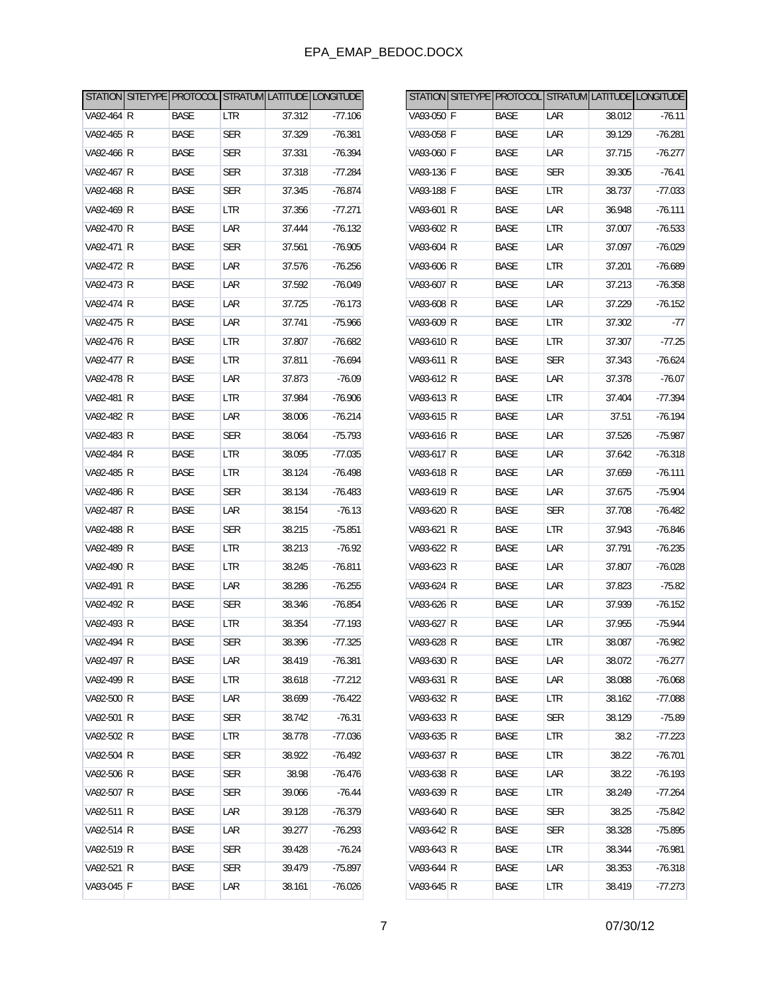|            |             |            |        | STATION SITETYPE PROTOCOL STRATUM LATITUDE LONGITUDE |            |             |            |        | STATION SITETYPE PROTOCOL STRATUM LATITUDE LONGITUDE |
|------------|-------------|------------|--------|------------------------------------------------------|------------|-------------|------------|--------|------------------------------------------------------|
| VA92-464 R | <b>BASE</b> | LTR        | 37.312 | $-77.106$                                            | VA93-050 F | <b>BASE</b> | LAR        | 38.012 | $-76.11$                                             |
| VA92-465 R | BASE        | <b>SER</b> | 37.329 | $-76.381$                                            | VA93-058 F | <b>BASE</b> | LAR        | 39.129 | $-76.281$                                            |
| VA92-466 R | <b>BASE</b> | <b>SER</b> | 37.331 | $-76.394$                                            | VA93-060 F | <b>BASE</b> | LAR        | 37.715 | $-76.277$                                            |
| VA92-467 R | BASE        | <b>SER</b> | 37.318 | $-77.284$                                            | VA93-136 F | <b>BASE</b> | <b>SER</b> | 39.305 | $-76.41$                                             |
| VA92-468 R | <b>BASE</b> | <b>SER</b> | 37.345 | $-76.874$                                            | VA93-188 F | <b>BASE</b> | LTR        | 38.737 | $-77.033$                                            |
| VA92-469 R | BASE        | LTR        | 37.356 | $-77.271$                                            | VA93-601 R | <b>BASE</b> | LAR        | 36.948 | $-76.111$                                            |
| VA92-470 R | <b>BASE</b> | LAR        | 37.444 | $-76.132$                                            | VA93-602 R | <b>BASE</b> | LTR        | 37.007 | $-76.533$                                            |
| VA92-471 R | BASE        | <b>SER</b> | 37.561 | $-76.905$                                            | VA93-604 R | BASE        | LAR        | 37.097 | $-76.029$                                            |
| VA92-472 R | <b>BASE</b> | LAR        | 37.576 | $-76.256$                                            | VA93-606 R | <b>BASE</b> | LTR        | 37.201 | $-76.689$                                            |
| VA92-473 R | BASE        | LAR        | 37.592 | $-76.049$                                            | VA93-607 R | <b>BASE</b> | LAR        | 37.213 | $-76.358$                                            |
| VA92-474 R | <b>BASE</b> | LAR        | 37.725 | $-76.173$                                            | VA93-608 R | <b>BASE</b> | LAR        | 37.229 | $-76.152$                                            |
| VA92-475 R | BASE        | LAR        | 37.741 | $-75.966$                                            | VA93-609 R | BASE        | <b>LTR</b> | 37.302 | $-77$                                                |
| VA92-476 R | <b>BASE</b> | LTR        | 37.807 | $-76.682$                                            | VA93-610 R | <b>BASE</b> | LTR        | 37.307 | $-77.25$                                             |
| VA92-477 R | BASE        | LTR        | 37.811 | $-76.694$                                            | VA93-611 R | <b>BASE</b> | <b>SER</b> | 37.343 | $-76.624$                                            |
| VA92-478 R | <b>BASE</b> | LAR        | 37.873 | $-76.09$                                             | VA93-612 R | <b>BASE</b> | LAR        | 37.378 | $-76.07$                                             |
| VA92-481 R | BASE        | LTR        | 37.984 | $-76.906$                                            | VA93-613 R | BASE        | <b>LTR</b> | 37.404 | $-77.394$                                            |
| VA92-482 R | <b>BASE</b> | LAR        | 38.006 | $-76.214$                                            | VA93-615 R | <b>BASE</b> | LAR        | 37.51  | $-76.194$                                            |
| VA92-483 R | <b>BASE</b> | <b>SER</b> | 38.064 | $-75.793$                                            | VA93-616 R | <b>BASE</b> | LAR        | 37.526 | $-75.987$                                            |
| VA92-484 R | <b>BASE</b> | LTR        | 38.095 | $-77.035$                                            | VA93-617 R | <b>BASE</b> | LAR        | 37.642 | $-76.318$                                            |
| VA92-485 R | BASE        | LTR        | 38.124 | $-76.498$                                            | VA93-618 R | BASE        | LAR        | 37.659 | $-76.111$                                            |
| VA92-486 R | <b>BASE</b> | <b>SER</b> | 38.134 | $-76.483$                                            | VA93-619 R | <b>BASE</b> | LAR        | 37.675 | $-75.904$                                            |
| VA92-487 R | <b>BASE</b> | LAR        | 38.154 | $-76.13$                                             | VA93-620 R | <b>BASE</b> | <b>SER</b> | 37.708 | $-76.482$                                            |
| VA92-488 R | <b>BASE</b> | <b>SER</b> | 38.215 | $-75.851$                                            | VA93-621 R | <b>BASE</b> | LTR        | 37.943 | $-76.846$                                            |
| VA92-489 R | BASE        | LTR        | 38.213 | $-76.92$                                             | VA93-622 R | BASE        | LAR        | 37.791 | $-76.235$                                            |
| VA92-490 R | <b>BASE</b> | LTR        | 38.245 | $-76.811$                                            | VA93-623 R | <b>BASE</b> | LAR        | 37.807 | $-76.028$                                            |
| VA92-491 R | <b>BASE</b> | LAR        | 38.286 | $-76.255$                                            | VA93-624 R | <b>BASE</b> | LAR        | 37.823 | $-75.82$                                             |
| VA92-492 R | <b>BASE</b> | <b>SER</b> | 38.346 | $-76.854$                                            | VA93-626 R | <b>BASE</b> | LAR        | 37.939 | $-76.152$                                            |
| VA92-493 R | BASE        | <b>LTR</b> | 38.354 | $-77.193$                                            | VA93-627 R | BASE        | LAR        | 37.955 | $-75.944$                                            |
| VA92-494 R | <b>BASE</b> | <b>SER</b> | 38.396 | $-77.325$                                            | VA93-628 R | <b>BASE</b> | LTR        | 38.087 | $-76.982$                                            |
| VA92-497 R | BASE        | LAR        | 38.419 | $-76.381$                                            | VA93-630 R | BASE        | LAR        | 38.072 | $-76.277$                                            |
| VA92-499 R | BASE        | <b>LTR</b> | 38.618 | $-77.212$                                            | VA93-631 R | BASE        | LAR        | 38.088 | $-76.068$                                            |
| VA92-500 R | BASE        | LAR        | 38.699 | $-76.422$                                            | VA93-632 R | BASE        | LTR        | 38.162 | $-77.088$                                            |
| VA92-501 R | BASE        | <b>SER</b> | 38.742 | $-76.31$                                             | VA93-633 R | <b>BASE</b> | <b>SER</b> | 38.129 | $-75.89$                                             |
| VA92-502 R | BASE        | <b>LTR</b> | 38.778 | $-77.036$                                            | VA93-635 R | BASE        | LTR        | 38.2   | $-77.223$                                            |
| VA92-504 R | BASE        | <b>SER</b> | 38.922 | $-76.492$                                            | VA93-637 R | BASE        | LTR        | 38.22  | $-76.701$                                            |
| VA92-506 R | BASE        | <b>SER</b> | 38.98  | $-76.476$                                            | VA93-638 R | BASE        | LAR        | 38.22  | $-76.193$                                            |
| VA92-507 R | BASE        | <b>SER</b> | 39.066 | $-76.44$                                             | VA93-639 R | <b>BASE</b> | LTR        | 38.249 | $-77.264$                                            |
| VA92-511 R | BASE        | LAR        | 39.128 | $-76.379$                                            | VA93-640 R | BASE        | <b>SER</b> | 38.25  | $-75.842$                                            |
| VA92-514 R | BASE        | LAR        | 39.277 | $-76.293$                                            | VA93-642 R | BASE        | <b>SER</b> | 38.328 | $-75.895$                                            |
| VA92-519 R | BASE        | <b>SER</b> | 39.428 | $-76.24$                                             | VA93-643 R | <b>BASE</b> | LTR        | 38.344 | $-76.981$                                            |
| VA92-521 R | BASE        | <b>SER</b> | 39.479 | $-75.897$                                            | VA93-644 R | BASE        | LAR        | 38.353 | $-76.318$                                            |
| VA93-045 F | BASE        | LAR        | 38.161 | $-76.026$                                            | VA93-645 R | BASE        | LTR        | 38.419 | $-77.273$                                            |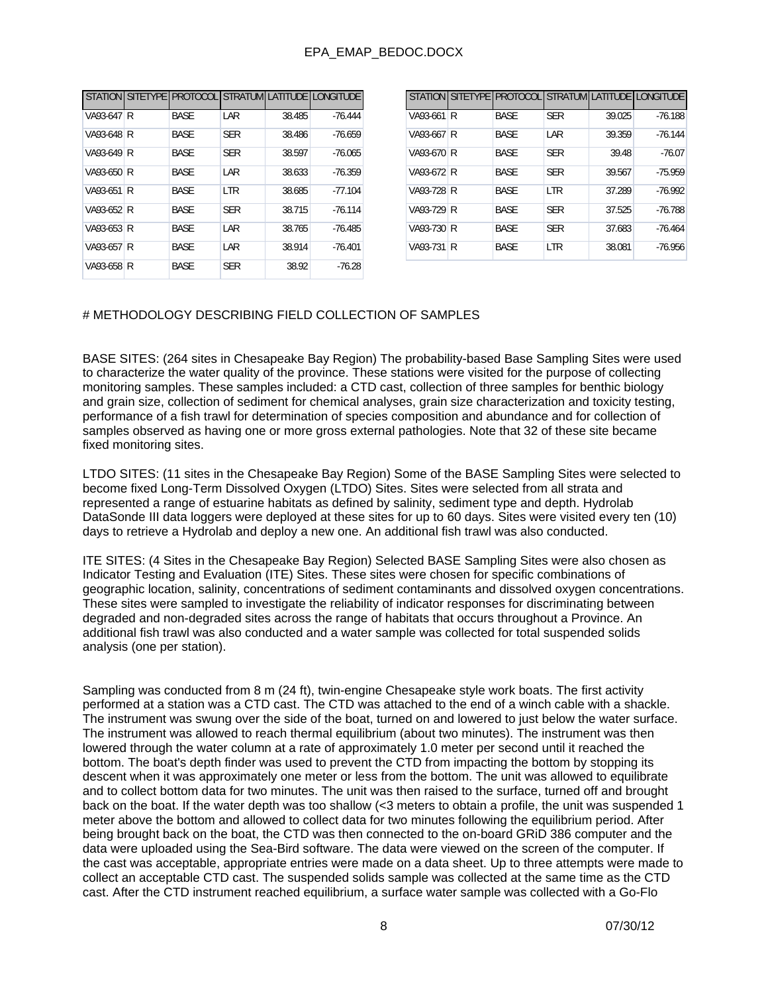| <b>STATION</b> |   | SITETYPE PROTOCOL |            |        | STRATUM LATITUDE LONGITUDE | <b>ST</b> |
|----------------|---|-------------------|------------|--------|----------------------------|-----------|
| VA93-647       | R | <b>BASE</b>       | LAR        | 38.485 | $-76.444$                  | VA        |
| VA93-648 R     |   | <b>BASE</b>       | <b>SER</b> | 38.486 | $-76.659$                  | VA        |
| VA93-649 R     |   | <b>BASE</b>       | <b>SER</b> | 38.597 | $-76.065$                  | VA        |
| VA93-650 R     |   | <b>BASE</b>       | LAR        | 38.633 | $-76.359$                  | VA        |
| VA93-651 R     |   | <b>BASE</b>       | <b>LTR</b> | 38.685 | $-77.104$                  | VA        |
| VA93-652 R     |   | <b>BASE</b>       | <b>SER</b> | 38.715 | $-76.114$                  | VA        |
| VA93-653 R     |   | <b>BASE</b>       | LAR        | 38.765 | $-76.485$                  | VA        |
| VA93-657 R     |   | <b>BASE</b>       | LAR        | 38.914 | $-76.401$                  | VA        |
| VA93-658 R     |   | <b>BASE</b>       | <b>SER</b> | 38.92  | $-76.28$                   |           |

|            |   |             |            |        | STATION SITETYPE PROTOCOL STRATUM LATITUDE LONGITUDE |
|------------|---|-------------|------------|--------|------------------------------------------------------|
| VA93-661   | R | <b>BASE</b> | <b>SER</b> | 39.025 | $-76.188$                                            |
| VA93-667 l | R | <b>BASE</b> | LAR        | 39.359 | $-76.144$                                            |
| VA93-670 R |   | <b>BASE</b> | <b>SER</b> | 39.48  | $-76.07$                                             |
| VA93-672 R |   | <b>BASE</b> | <b>SER</b> | 39.567 | $-75.959$                                            |
| VA93-728 R |   | <b>BASE</b> | <b>LTR</b> | 37.289 | $-76.992$                                            |
| VA93-729 R |   | <b>BASE</b> | <b>SER</b> | 37.525 | $-76.788$                                            |
| VA93-730 R |   | <b>BASE</b> | <b>SER</b> | 37.683 | $-76.464$                                            |
| VA93-731   | R | <b>BASE</b> | <b>LTR</b> | 38.081 | $-76.956$                                            |

#### # METHODOLOGY DESCRIBING FIELD COLLECTION OF SAMPLES

BASE SITES: (264 sites in Chesapeake Bay Region) The probability-based Base Sampling Sites were used to characterize the water quality of the province. These stations were visited for the purpose of collecting monitoring samples. These samples included: a CTD cast, collection of three samples for benthic biology and grain size, collection of sediment for chemical analyses, grain size characterization and toxicity testing, performance of a fish trawl for determination of species composition and abundance and for collection of samples observed as having one or more gross external pathologies. Note that 32 of these site became fixed monitoring sites.

LTDO SITES: (11 sites in the Chesapeake Bay Region) Some of the BASE Sampling Sites were selected to become fixed Long-Term Dissolved Oxygen (LTDO) Sites. Sites were selected from all strata and represented a range of estuarine habitats as defined by salinity, sediment type and depth. Hydrolab DataSonde III data loggers were deployed at these sites for up to 60 days. Sites were visited every ten (10) days to retrieve a Hydrolab and deploy a new one. An additional fish trawl was also conducted.

ITE SITES: (4 Sites in the Chesapeake Bay Region) Selected BASE Sampling Sites were also chosen as Indicator Testing and Evaluation (ITE) Sites. These sites were chosen for specific combinations of geographic location, salinity, concentrations of sediment contaminants and dissolved oxygen concentrations. These sites were sampled to investigate the reliability of indicator responses for discriminating between degraded and non-degraded sites across the range of habitats that occurs throughout a Province. An additional fish trawl was also conducted and a water sample was collected for total suspended solids analysis (one per station).

Sampling was conducted from 8 m (24 ft), twin-engine Chesapeake style work boats. The first activity performed at a station was a CTD cast. The CTD was attached to the end of a winch cable with a shackle. The instrument was swung over the side of the boat, turned on and lowered to just below the water surface. The instrument was allowed to reach thermal equilibrium (about two minutes). The instrument was then lowered through the water column at a rate of approximately 1.0 meter per second until it reached the bottom. The boat's depth finder was used to prevent the CTD from impacting the bottom by stopping its descent when it was approximately one meter or less from the bottom. The unit was allowed to equilibrate and to collect bottom data for two minutes. The unit was then raised to the surface, turned off and brought back on the boat. If the water depth was too shallow (<3 meters to obtain a profile, the unit was suspended 1 meter above the bottom and allowed to collect data for two minutes following the equilibrium period. After being brought back on the boat, the CTD was then connected to the on-board GRiD 386 computer and the data were uploaded using the Sea-Bird software. The data were viewed on the screen of the computer. If the cast was acceptable, appropriate entries were made on a data sheet. Up to three attempts were made to collect an acceptable CTD cast. The suspended solids sample was collected at the same time as the CTD cast. After the CTD instrument reached equilibrium, a surface water sample was collected with a Go-Flo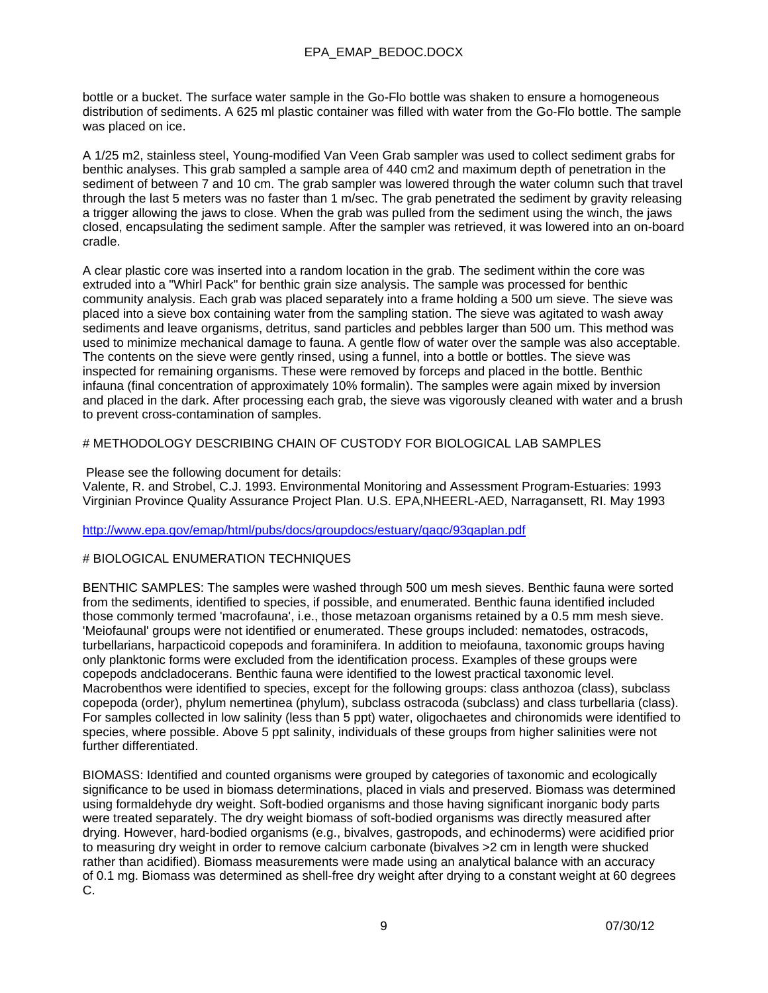bottle or a bucket. The surface water sample in the Go-Flo bottle was shaken to ensure a homogeneous distribution of sediments. A 625 ml plastic container was filled with water from the Go-Flo bottle. The sample was placed on ice.

A 1/25 m2, stainless steel, Young-modified Van Veen Grab sampler was used to collect sediment grabs for benthic analyses. This grab sampled a sample area of 440 cm2 and maximum depth of penetration in the sediment of between 7 and 10 cm. The grab sampler was lowered through the water column such that travel through the last 5 meters was no faster than 1 m/sec. The grab penetrated the sediment by gravity releasing a trigger allowing the jaws to close. When the grab was pulled from the sediment using the winch, the jaws closed, encapsulating the sediment sample. After the sampler was retrieved, it was lowered into an on-board cradle.

A clear plastic core was inserted into a random location in the grab. The sediment within the core was extruded into a "Whirl Pack" for benthic grain size analysis. The sample was processed for benthic community analysis. Each grab was placed separately into a frame holding a 500 um sieve. The sieve was placed into a sieve box containing water from the sampling station. The sieve was agitated to wash away sediments and leave organisms, detritus, sand particles and pebbles larger than 500 um. This method was used to minimize mechanical damage to fauna. A gentle flow of water over the sample was also acceptable. The contents on the sieve were gently rinsed, using a funnel, into a bottle or bottles. The sieve was inspected for remaining organisms. These were removed by forceps and placed in the bottle. Benthic infauna (final concentration of approximately 10% formalin). The samples were again mixed by inversion and placed in the dark. After processing each grab, the sieve was vigorously cleaned with water and a brush to prevent cross-contamination of samples.

### # METHODOLOGY DESCRIBING CHAIN OF CUSTODY FOR BIOLOGICAL LAB SAMPLES

Please see the following document for details:

Valente, R. and Strobel, C.J. 1993. Environmental Monitoring and Assessment Program-Estuaries: 1993 Virginian Province Quality Assurance Project Plan. U.S. EPA,NHEERL-AED, Narragansett, RI. May 1993

### http://www.epa.gov/emap/html/pubs/docs/groupdocs/estuary/qaqc/93qaplan.pdf

### # BIOLOGICAL ENUMERATION TECHNIQUES

BENTHIC SAMPLES: The samples were washed through 500 um mesh sieves. Benthic fauna were sorted from the sediments, identified to species, if possible, and enumerated. Benthic fauna identified included those commonly termed 'macrofauna', i.e., those metazoan organisms retained by a 0.5 mm mesh sieve. 'Meiofaunal' groups were not identified or enumerated. These groups included: nematodes, ostracods, turbellarians, harpacticoid copepods and foraminifera. In addition to meiofauna, taxonomic groups having only planktonic forms were excluded from the identification process. Examples of these groups were copepods andcladocerans. Benthic fauna were identified to the lowest practical taxonomic level. Macrobenthos were identified to species, except for the following groups: class anthozoa (class), subclass copepoda (order), phylum nemertinea (phylum), subclass ostracoda (subclass) and class turbellaria (class). For samples collected in low salinity (less than 5 ppt) water, oligochaetes and chironomids were identified to species, where possible. Above 5 ppt salinity, individuals of these groups from higher salinities were not further differentiated.

BIOMASS: Identified and counted organisms were grouped by categories of taxonomic and ecologically significance to be used in biomass determinations, placed in vials and preserved. Biomass was determined using formaldehyde dry weight. Soft-bodied organisms and those having significant inorganic body parts were treated separately. The dry weight biomass of soft-bodied organisms was directly measured after drying. However, hard-bodied organisms (e.g., bivalves, gastropods, and echinoderms) were acidified prior to measuring dry weight in order to remove calcium carbonate (bivalves >2 cm in length were shucked rather than acidified). Biomass measurements were made using an analytical balance with an accuracy of 0.1 mg. Biomass was determined as shell-free dry weight after drying to a constant weight at 60 degrees C.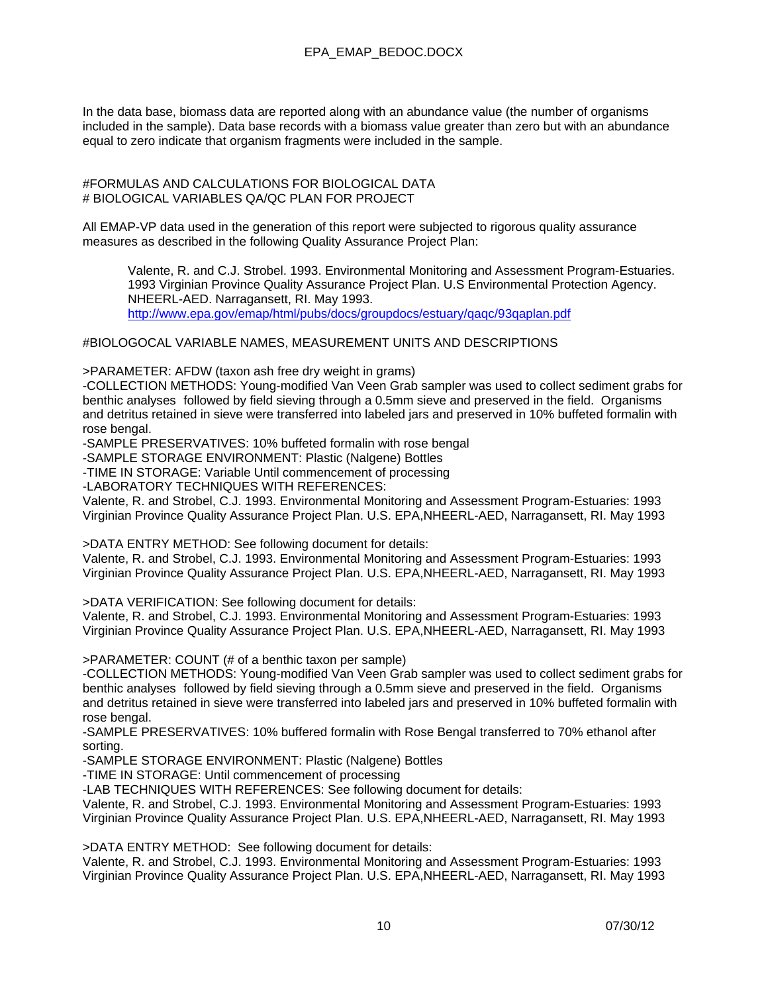In the data base, biomass data are reported along with an abundance value (the number of organisms included in the sample). Data base records with a biomass value greater than zero but with an abundance equal to zero indicate that organism fragments were included in the sample.

#FORMULAS AND CALCULATIONS FOR BIOLOGICAL DATA # BIOLOGICAL VARIABLES QA/QC PLAN FOR PROJECT

All EMAP-VP data used in the generation of this report were subjected to rigorous quality assurance measures as described in the following Quality Assurance Project Plan:

Valente, R. and C.J. Strobel. 1993. Environmental Monitoring and Assessment Program-Estuaries. 1993 Virginian Province Quality Assurance Project Plan. U.S Environmental Protection Agency. NHEERL-AED. Narragansett, RI. May 1993. http://www.epa.gov/emap/html/pubs/docs/groupdocs/estuary/qaqc/93qaplan.pdf

#BIOLOGOCAL VARIABLE NAMES, MEASUREMENT UNITS AND DESCRIPTIONS

>PARAMETER: AFDW (taxon ash free dry weight in grams)

-COLLECTION METHODS: Young-modified Van Veen Grab sampler was used to collect sediment grabs for benthic analyses followed by field sieving through a 0.5mm sieve and preserved in the field. Organisms and detritus retained in sieve were transferred into labeled jars and preserved in 10% buffeted formalin with rose bengal.

-SAMPLE PRESERVATIVES: 10% buffeted formalin with rose bengal

-SAMPLE STORAGE ENVIRONMENT: Plastic (Nalgene) Bottles

-TIME IN STORAGE: Variable Until commencement of processing

-LABORATORY TECHNIQUES WITH REFERENCES:

Valente, R. and Strobel, C.J. 1993. Environmental Monitoring and Assessment Program-Estuaries: 1993 Virginian Province Quality Assurance Project Plan. U.S. EPA,NHEERL-AED, Narragansett, RI. May 1993

>DATA ENTRY METHOD: See following document for details:

Valente, R. and Strobel, C.J. 1993. Environmental Monitoring and Assessment Program-Estuaries: 1993 Virginian Province Quality Assurance Project Plan. U.S. EPA,NHEERL-AED, Narragansett, RI. May 1993

>DATA VERIFICATION: See following document for details:

Valente, R. and Strobel, C.J. 1993. Environmental Monitoring and Assessment Program-Estuaries: 1993 Virginian Province Quality Assurance Project Plan. U.S. EPA,NHEERL-AED, Narragansett, RI. May 1993

>PARAMETER: COUNT (# of a benthic taxon per sample)

-COLLECTION METHODS: Young-modified Van Veen Grab sampler was used to collect sediment grabs for benthic analyses followed by field sieving through a 0.5mm sieve and preserved in the field. Organisms and detritus retained in sieve were transferred into labeled jars and preserved in 10% buffeted formalin with rose bengal.

-SAMPLE PRESERVATIVES: 10% buffered formalin with Rose Bengal transferred to 70% ethanol after sorting.

-SAMPLE STORAGE ENVIRONMENT: Plastic (Nalgene) Bottles

-TIME IN STORAGE: Until commencement of processing

-LAB TECHNIQUES WITH REFERENCES: See following document for details:

Valente, R. and Strobel, C.J. 1993. Environmental Monitoring and Assessment Program-Estuaries: 1993 Virginian Province Quality Assurance Project Plan. U.S. EPA,NHEERL-AED, Narragansett, RI. May 1993

>DATA ENTRY METHOD: See following document for details:

Valente, R. and Strobel, C.J. 1993. Environmental Monitoring and Assessment Program-Estuaries: 1993 Virginian Province Quality Assurance Project Plan. U.S. EPA,NHEERL-AED, Narragansett, RI. May 1993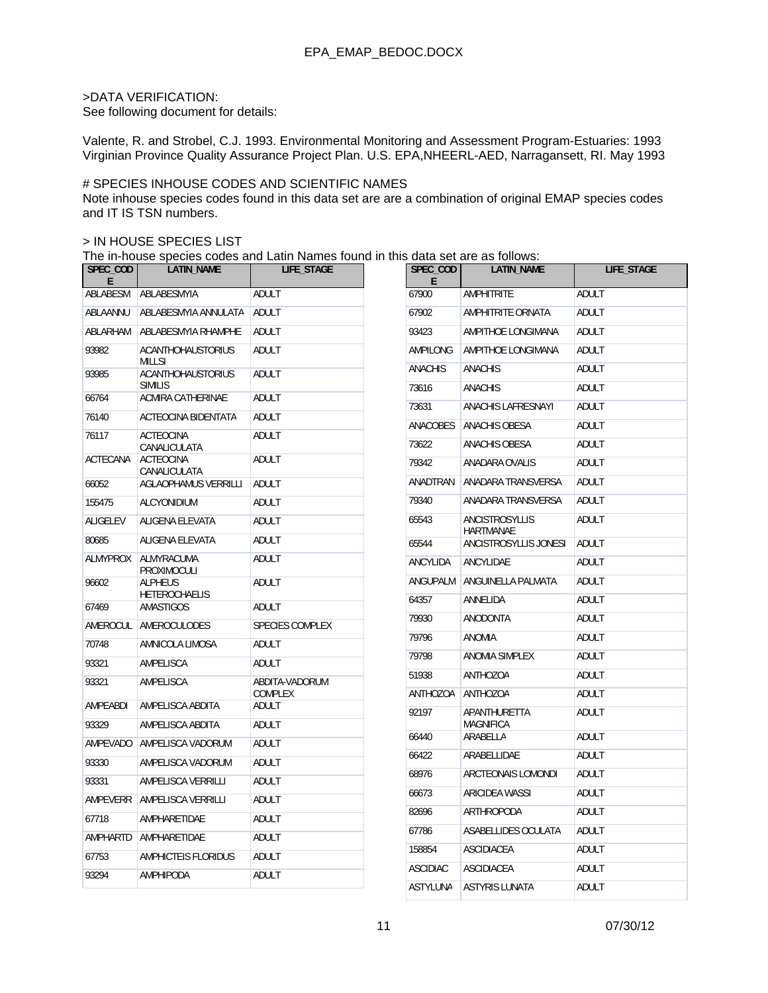### >DATA VERIFICATION:

See following document for details:

Valente, R. and Strobel, C.J. 1993. Environmental Monitoring and Assessment Program-Estuaries: 1993 Virginian Province Quality Assurance Project Plan. U.S. EPA,NHEERL-AED, Narragansett, RI. May 1993

#### # SPECIES INHOUSE CODES AND SCIENTIFIC NAMES

Note inhouse species codes found in this data set are are a combination of original EMAP species codes and IT IS TSN numbers.

#### > IN HOUSE SPECIES LIST

The in-house species codes and Latin Names found in this data set are as follows:

| SPEC_COD<br>E     | LATIN_NAME                                 | LIFE_STAGE      | SPEC_COD<br>E   | LATIN_NAME                         | LIFE_STAGE   |
|-------------------|--------------------------------------------|-----------------|-----------------|------------------------------------|--------------|
| ABLABESM          | ABLABESMYIA                                | <b>ADULT</b>    | 67900           | <b>AMPHITRITE</b>                  | <b>ADULT</b> |
| ABLAANNU          | ABLABESMYIA ANNULATA                       | <b>ADULT</b>    | 67902           | <b>AMPHITRITE ORNATA</b>           | ADULT        |
| ABLARHAM          | ABLABESMYIA RHAMPHE                        | ADULT           | 93423           | AMPITHOE LONGIMANA                 | ADULT        |
| 93982             | <b>ACANTHOHAUSTORIUS</b><br><b>MILLSI</b>  | <b>ADULT</b>    | <b>AMPILONG</b> | AMPITHOE LONGIMANA                 | ADULT        |
| 93985             | <b>ACANTHOHAUSTORIUS</b>                   | ADULT           | <b>ANACHIS</b>  | <b>ANACHIS</b>                     | ADULT        |
| 66764             | <b>SIMILIS</b><br><b>ACMIRA CATHERINAE</b> | <b>ADULT</b>    | 73616           | <b>ANACHIS</b>                     | ADULT        |
|                   |                                            |                 | 73631           | <b>ANACHIS LAFRESNAYI</b>          | ADULT        |
| 76140             | <b>ACTEOCINA BIDENTATA</b>                 | ADULT           | <b>ANACOBES</b> | <b>ANACHIS OBESA</b>               | <b>ADULT</b> |
| 76117             | <b>ACTEOCINA</b><br>CANALICULATA           | ADULT           | 73622           | <b>ANACHIS OBESA</b>               | <b>ADULT</b> |
| <b>ACTECANA</b>   | <b>ACTEOCINA</b><br>CANALICULATA           | ADULT           | 79342           | ANADARA OVALIS                     | ADULT        |
| 66052             | <b>AGLAOPHAMUS VERRILLI</b>                | <b>ADULT</b>    | ANADTRAN        | ANADARA TRANSVERSA                 | ADULT        |
| 155475            | ALCYONIDIUM                                | ADULT           | 79340           | ANADARA TRANSVERSA                 | ADULT        |
| <b>ALIGELEV</b>   | ALIGENA ELEVATA                            | ADULT           | 65543           | ANCISTROSYLLIS<br><b>HARTMANAE</b> | ADULT        |
| 80685             | ALIGENA ELEVATA                            | ADULT           | 65544           | ANCISTROSYLLIS JONESI              | ADULT        |
| ALMYPROX          | ALMYRACUMA<br>PROXIMOCULI                  | ADULT           | ANCYLIDA        | ANCYLIDAE                          | ADULT        |
| 96602             | <b>ALPHEUS</b>                             | ADULT           | ANGUPALM        | ANGUINELLA PALMATA                 | ADULT        |
| 67469             | <b>HETEROCHAELIS</b><br><b>AMASTIGOS</b>   | ADULT           | 64357           | ANNELIDA                           | ADULT        |
| AMEROCUL          | AMEROCULODES                               | SPECIES COMPLEX | 79930           | <b>ANODONTA</b>                    | ADULT        |
| 70748             | AMNICOLA LIMOSA                            | ADULT           | 79796           | <b>ANOMIA</b>                      | ADULT        |
| 93321             | AMPELISCA                                  | ADULT           | 79798           | ANOMIA SIMPLEX                     | ADULT        |
| 93321             | AMPELISCA                                  | ABDITA-VADORUM  | 51938           | <b>ANTHOZOA</b>                    | ADULT        |
|                   |                                            | COMPLEX         | ANTHOZOA        | ANTHOZOA                           | ADULT        |
| AMPEABDI<br>93329 | AMPELISCA ABDITA                           | ADULT           | 92197           | APANTHURETTA<br>MAGNIFICA          | ADULT        |
|                   | AMPELISCA ABDITA                           | ADULT           | 66440           | ARABELLA                           | ADULT        |
| AMPEVADO          | AMPELISCA VADORUM                          | ADULT           | 66422           | ARABELLIDAE                        | ADULT        |
| 93330             | AMPELISCA VADORUM                          | ADULT           | 68976           | ARCTEONAIS LOMONDI                 | <b>ADULT</b> |
| 93331             | AMPELISCA VERRILLI                         | ADULT           | 66673           | <b>ARICIDEA WASSI</b>              | ADULT        |
| AMPEVERR          | AMPELISCA VERRILLI                         | ADULT           | 82696           | <b>ARTHROPODA</b>                  | <b>ADULT</b> |
| 67718             | AMPHARETIDAE                               | ADULT           | 67786           | <b>ASABELLIDES OCULATA</b>         | ADULT        |
| AMPHARTD          | AMPHARETIDAE                               | <b>ADULT</b>    | 158854          |                                    |              |
| 67753             | AMPHICTEIS FLORIDUS                        | ADULT           |                 | <b>ASCIDIACEA</b>                  | ADULT        |
| 93294             | AMPHIPODA                                  | ADULT           | <b>ASCIDIAC</b> | <b>ASCIDIACEA</b>                  | ADULT        |
|                   |                                            |                 | <b>ASTYLUNA</b> | <b>ASTYRIS LUNATA</b>              | ADULT        |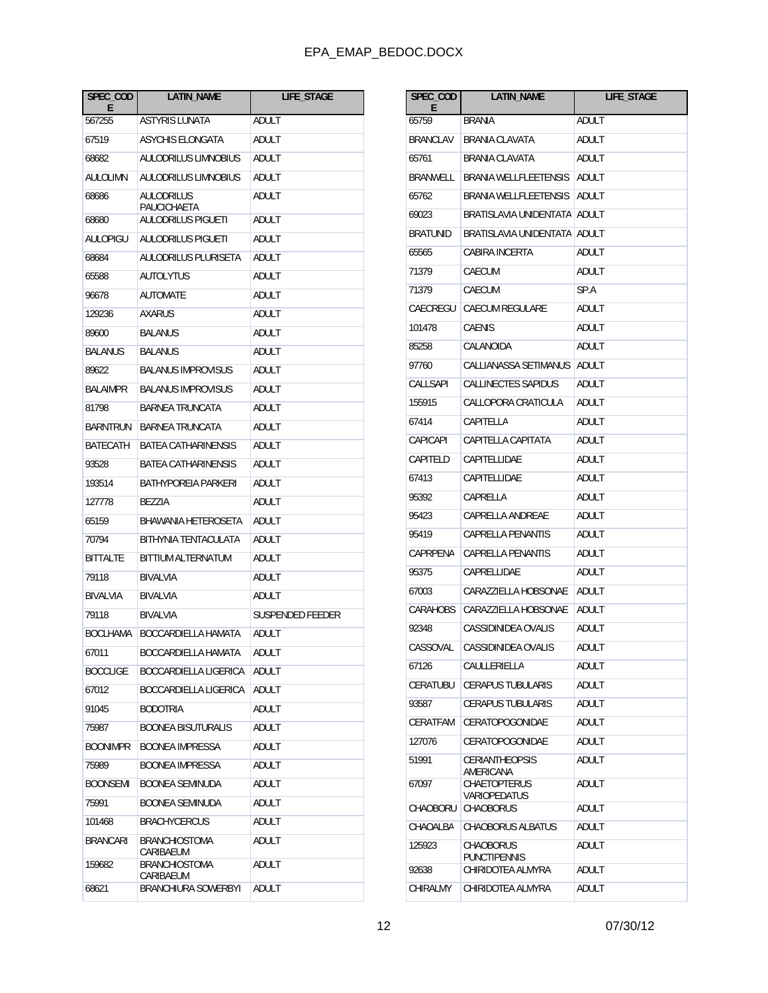| SPEC COD<br>E   | <b>LATIN_NAME</b>                        | <b>LIFE STAGE</b> |
|-----------------|------------------------------------------|-------------------|
| 567255          | <b>ASTYRIS LUNATA</b>                    | ADULT             |
| 67519           | ASYCHIS ELONGATA                         | ADULT             |
| 68682           | <b>AULODRILUS LIMNOBIUS</b>              | ADULT             |
| AULOLIMN        | AULODRILUS LIMNOBIUS                     | ADULT             |
| 68686           | AULODRILUS                               | ADULT             |
| 68680           | PAUCICHAETA<br><b>AULODRILUS PIGUETI</b> | ADULT             |
| AULOPIGU        | <b>AULODRILUS PIGUETI</b>                | ADULT             |
| 68684           | AULODRILUS PLURISETA                     | ADULT             |
| 65588           | <b>AUTOLYTUS</b>                         | ADULT             |
| 96678           | <b>AUTOMATE</b>                          | ADULT             |
| 129236          | AXARUS                                   | ADULT             |
| 89600           | <b>BALANUS</b>                           | ADULT             |
| BALANUS         | <b>BALANUS</b>                           | ADULT             |
| 89622           | <b>BALANUS IMPROVISUS</b>                | ADULT             |
| <b>BALAIMPR</b> | <b>BALANUS IMPROVISUS</b>                | ADULT             |
| 81798           | <b>BARNEA TRUNCATA</b>                   | ADULT             |
| BARNTRUN        | BARNEA TRUNCATA                          | ADULT             |
| BATECATH        | BATEA CATHARINENSIS                      | ADULT             |
| 93528           | BATEA CATHARINENSIS                      | ADULT             |
| 193514          | BATHYPOREIA PARKERI                      | ADULT             |
| 127778          | BEZZIA                                   | ADULT             |
| 65159           | BHAWANIA HETEROSETA                      | ADULT             |
| 70794           | BITHYNIA TENTACULATA                     | ADULT             |
| <b>BITTALTE</b> | BITTIUM ALTERNATUM                       | ADULT             |
| 79118           | BIVALVIA                                 | ADULT             |
| <b>BIVALVIA</b> | BIVALVIA                                 | ADULT             |
| 79118           | <b>BIVALVIA</b>                          | SUSPENDED FEEDER  |
| <b>BOCLHAMA</b> | BOCCARDIELLA HAMATA                      | ADULT             |
| 67011           | BOCCARDIELLA HAMATA                      | adult             |
| <b>BOCCLIGE</b> | BOCCARDIELLA LIGERICA                    | ADULT             |
| 67012           | BOCCARDIELLA LIGERICA                    | ADULT             |
| 91045           | <b>BODOTRIA</b>                          | <b>ADULT</b>      |
| 75987           | <b>BOONEA BISUTURALIS</b>                | ADULT             |
| <b>BOONIMPR</b> | <b>BOONEA IMPRESSA</b>                   | ADULT             |
| 75989           | <b>BOONEA IMPRESSA</b>                   | ADULT             |
| <b>BOONSEMI</b> | <b>BOONEA SEMINUDA</b>                   | <b>ADULT</b>      |
| 75991           | <b>BOONEA SEMINUDA</b>                   | ADULT             |
| 101468          | <b>BRACHYCERCUS</b>                      | ADULT             |
| <b>BRANCARI</b> | <b>BRANCHIOSTOMA</b><br>CARIBAEUM        | ADULT             |
| 159682          | <b>BRANCHIOSTOMA</b><br>CARIBAEUM        | ADULT             |
| 68621           | <b>BRANCHIURA SOWERBYI</b>               | ADULT             |

| SPEC_COD<br>E   | LATIN_NAME                              | LIFE_STAGE   |
|-----------------|-----------------------------------------|--------------|
| 65759           | <b>BRANIA</b>                           | ADULT        |
| <b>BRANCLAV</b> | <b>BRANIA CLAVATA</b>                   | ADULT        |
| 65761           | <b>BRANIA CLAVATA</b>                   | ADULT        |
| BRANWELL        | <b>BRANIA WELLFLEETENSIS</b>            | ADULT        |
| 65762           | <b>BRANIA WELLFLEETENSIS</b>            | ADULT        |
| 69023           | BRATISLAVIA UNIDENTATA                  | ADULT        |
| <b>BRATUNID</b> | BRATISLAVIA UNIDENTATA                  | ADULT        |
| 65565           | CABIRA INCERTA                          | ADULT        |
| 71379           | CAECUM                                  | ADULT        |
| 71379           | CAECUM                                  | SP.A         |
| CAECREGU        | <b>CAECUM REGULARE</b>                  | ADULT        |
| 101478          | <b>CAENIS</b>                           | ADULT        |
| 85258           | CALANOIDA                               | ADULT        |
| 97760           | CALLIANASSA SETIMANUS                   | ADULT        |
| CALLSAPI        | CALLINECTES SAPIDUS                     | ADULT        |
| 155915          | CALLOPORA CRATICULA                     | ADULT        |
| 67414           | CAPITELLA                               | ADULT        |
| CAPICAPI        | CAPITELLA CAPITATA                      | ADULT        |
| CAPITELD        | CAPITELLIDAE                            | ADULT        |
| 67413           | CAPITELLIDAE                            | ADULT        |
| 95392           | CAPRELLA                                | ADULT        |
| 95423           | CAPRELLA ANDREAE                        | ADULT        |
| 95419           | CAPRELLA PENANTIS                       | ADULT        |
| CAPRPENA        | <b>CAPRELLA PENANTIS</b>                | ADULT        |
| 95375           | CAPRELLIDAE                             | ADULT        |
| 67003           | CARAZZIELLA HOBSONAE                    | ADULT        |
| CARAHOBS        | CARAZZIELLA HOBSONAE                    | ADULT        |
| 92348           | <b>CASSIDINIDEA OVALIS</b>              | ADULT        |
| CASSOVAL        | CASSIDINIDEA OVALIS                     | ADULT        |
| 67126           | CAULLERIELLA                            | ADULT        |
| CERATUBU        | <b>CERAPUS TUBULARIS</b>                | ADULT        |
| 93587           | <b>CERAPUS TUBULARIS</b>                | ADULT        |
| CERATFAM        | <b>CERATOPOGONIDAE</b>                  | ADULT        |
| 127076          | CERATOPOGONIDAE                         | ADULT        |
| 51991           | <b>CERIANTHEOPSIS</b><br>AMERICANA      | <b>ADULT</b> |
| 67097           | <b>CHAETOPTERUS</b><br>VARIOPEDATUS     | ADULT        |
| CHAOBORU        | <b>CHAOBORUS</b>                        | ADULT        |
| CHAOALBA        | CHAOBORUS ALBATUS                       | ADULT        |
| 125923          | <b>CHAOBORUS</b><br><b>PUNCTIPENNIS</b> | ADULT        |
| 92638           | CHIRIDOTEA ALMYRA                       | ADULT        |
| CHIRALMY        | CHIRIDOTEA ALMYRA                       | ADULT        |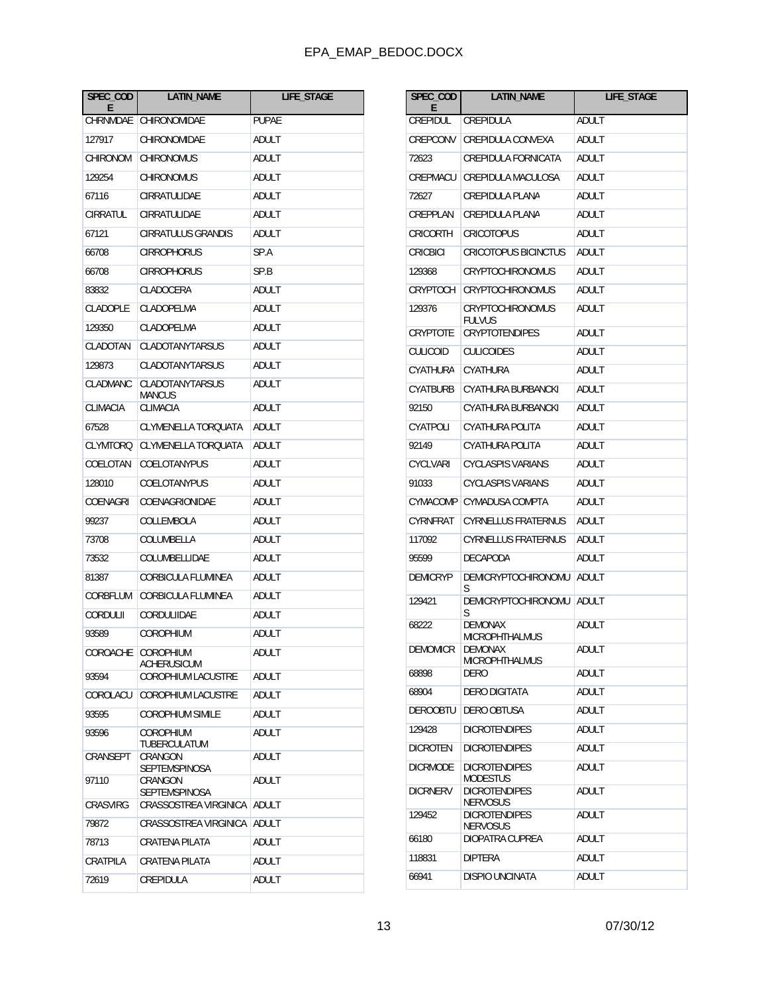| SPEC_COD<br>F   | LATIN_NAME                       | <b>LIFE STAGE</b> |
|-----------------|----------------------------------|-------------------|
| CHRNMDAE        | CHIRONOMIDAE                     | <b>PUPAF</b>      |
| 127917          | CHIRONOMIDAE                     | ADULT             |
| CHIRONOM        | CHIRONOMUS                       | ADULT             |
| 129254          | <b>CHIRONOMUS</b>                | ADULT             |
| 67116           | CIRRATULIDAE                     | ADULT             |
| CIRRATUL        | CIRRATULIDAE                     | ADULT             |
| 67121           | CIRRATULUS GRANDIS               | ADULT             |
| 66708           | CIRROPHORUS                      | SP.A              |
| 66708           | CIRROPHORUS                      | SP.B              |
| 83832           | CLADOCERA                        | ADULT             |
| CLADOPLE        | CLADOPELMA                       | ADULT             |
| 129350          | CLADOPELMA                       | ADULT             |
| CLADOTAN        | CLADOTANYTARSUS                  | ADULT             |
| 129873          | CLADOTANYTARSUS                  | ADULT             |
| CLADMANC        | <b>CLADOTANYTARSUS</b><br>MANCUS | ADULT             |
| CLIMACIA        | <b>CLIMACIA</b>                  | ADULT             |
| 67528           | CLYMENELLA TOROUATA              | ADULT             |
| CLYMTORQ        | CLYMENELLA TORQUATA              | ADULT             |
| COELOTAN        | COELOTANYPUS                     | ADULT             |
| 128010          | COELOTANYPUS                     | ADULT             |
| COENAGRI        | COENAGRIONIDAE                   | ADULT             |
| 99237           | COLLEMBOLA                       | ADULT             |
| 73708           | COLUMBELLA                       | ADULT             |
| 73532           | COLUMBELLIDAE                    | ADULT             |
| 81387           | CORBICULA FLUMINEA               | ADULT             |
| CORBELUM        | CORBICULA FLUMINEA               | ADULT             |
| <b>CORDULII</b> | CORDULIIDAE                      | ADULT             |
| 93589           | COROPHIUM                        | ADULT             |
| COROACHE        | COROPHIUM<br>ACHERUSICUM         | <b>ADULT</b>      |
| 93594           | COROPHIUM LACUSTRE               | ADULT             |
| COROLACU        | <b>COROPHIUM LACUSTRE</b>        | <b>ADULT</b>      |
| 93595           | <b>COROPHIUM SIMILE</b>          | ADULT             |
| 93596           | <b>COROPHIUM</b><br>TUBERCULATUM | ADULT             |
| CRANSEPT        | CRANGON<br>SEPTEMSPINOSA         | ADULT             |
| 97110           | CRANGON<br><b>SEPTEMSPINOSA</b>  | ADULT             |
| <b>CRASVIRG</b> | <b>CRASSOSTREA VIRGINICA</b>     | ADULT             |
| 79872           | CRASSOSTREA VIRGINICA            | ADULT             |
| 78713           | CRATENA PILATA                   | ADULT             |
| CRATPILA        | CRATENA PILATA                   | ADULT             |
| 72619           | CREPIDULA                        | ADULT             |

| SPEC_COD<br>E.  | <b>LATIN NAME</b>                        | <b>LIFE STAGE</b> |
|-----------------|------------------------------------------|-------------------|
| CREPIDUL        | CREPIDULA                                | ADULT             |
| CREPCONV        | CREPIDULA CONVEXA                        | ADULT             |
| 72623           | CREPIDULA FORNICATA                      | ADULT             |
| CREPMACU        | CREPIDULA MACULOSA                       | ADULT             |
| 72627           | <b>CREPIDULA PLANA</b>                   | ADULT             |
| CREPPLAN        | <b>CREPIDULA PLANA</b>                   | ADULT             |
| CRICORTH        | <b>CRICOTOPUS</b>                        | ADULT             |
| <b>CRICBICI</b> | <b>CRICOTOPUS BICINCTUS</b>              | ADULT             |
| 129368          | CRYPTOCHIRONOMUS                         | ADULT             |
| CRYPTOCH        | <b>CRYPTOCHIRONOMUS</b>                  | ADULT             |
| 129376          | <b>CRYPTOCHIRONOMUS</b><br><b>FULVUS</b> | ADULT             |
| CRYPTOTE        | <b>CRYPTOTENDIPES</b>                    | ADULT             |
| <b>CULICOID</b> | <b>CULICOIDES</b>                        | ADULT             |
| CYATHURA        | CYATHURA                                 | ADULT             |
| CYATBURB        | CYATHURA BURBANCKI                       | ADULT             |
| 92150           | CYATHURA BURBANCKI                       | ADULT             |
| CYATPOLI        | CYATHURA POLITA                          | ADULT             |
| 92149           | CYATHURA POLITA                          | ADULT             |
| <b>CYCLVARI</b> | <b>CYCLASPIS VARIANS</b>                 | ADULT             |
| 91033           | <b>CYCLASPIS VARIANS</b>                 | ADULT             |
| CYMACOMP        | CYMADUSA COMPTA                          | ADULT             |
| CYRNFRAT        | <b>CYRNELLUS FRATERNUS</b>               | ADULT             |
| 117092          | <b>CYRNELLUS FRATERNUS</b>               | ADULT             |
| 95599           | <b>DECAPODA</b>                          | ADULT             |
| <b>DEMICRYP</b> | <b>DEMICRYPTOCHIRONOMU</b>               | ADULT             |
| 129421          | S<br><b>DEMICRYPTOCHIRONOMU</b><br>S     | ADULT             |
| 68222           | <b>DEMONAX</b><br>MICROPHTHALMUS         | ADULT             |
| DEMOMICR        | DEMONAX<br><b>MICROPHTHALMUS</b>         | ADULT             |
| 68898           | DERO                                     | ADULT             |
| 68904           | <b>DERO DIGITATA</b>                     | ADULT             |
| <b>DEROOBTU</b> | <b>DERO OBTUSA</b>                       | ADULT             |
| 129428          | <b>DICROTENDIPES</b>                     | ADULT             |
| <b>DICROTEN</b> | <b>DICROTENDIPES</b>                     | ADULT             |
| <b>DICRMODE</b> | <b>DICROTENDIPES</b><br><b>MODESTUS</b>  | ADULT             |
| <b>DICRNERV</b> | <b>DICROTENDIPES</b><br><b>NERVOSUS</b>  | ADULT             |
| 129452          | <b>DICROTENDIPES</b><br>NERVOSUS         | ADULT             |
| 66180           | DIOPATRA CUPREA                          | ADULT             |
| 118831          | <b>DIPTERA</b>                           | ADULT             |
| 66941           | <b>DISPIO UNCINATA</b>                   | ADULT             |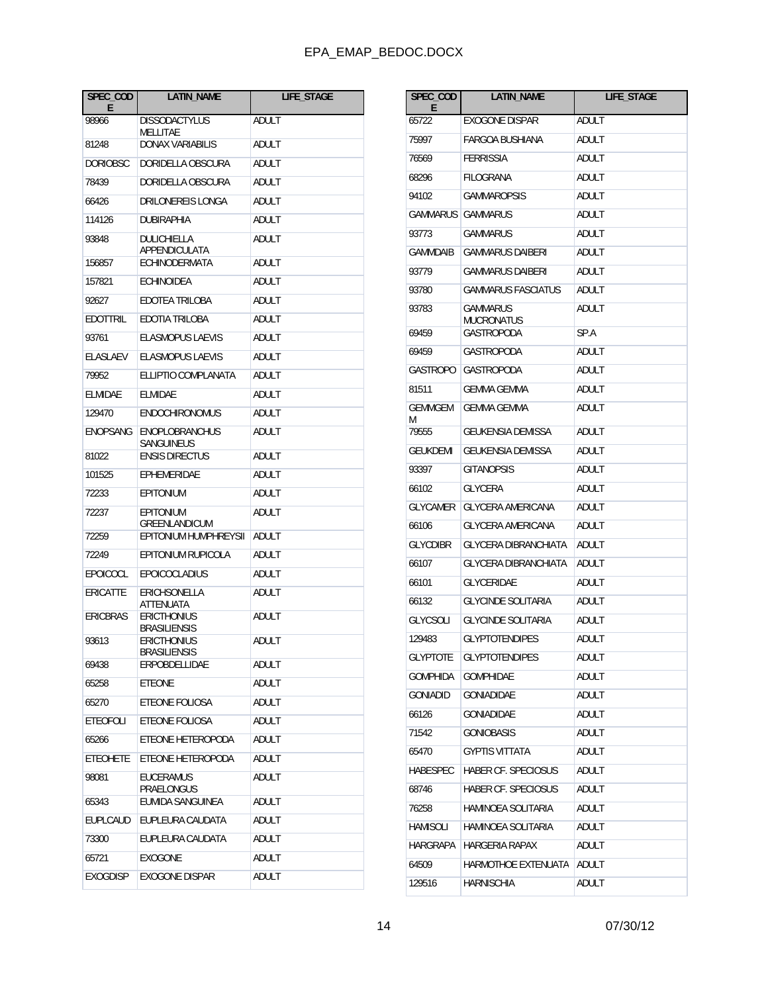| SPEC_COD<br>E.  | LATIN_NAME                                | LIFE_STAGE   |
|-----------------|-------------------------------------------|--------------|
| 98966           | <b>DISSODACTYLUS</b>                      | ADULT        |
| 81248           | MELLITAE<br><b>DONAX VARIABILIS</b>       | ADULT        |
| <b>DORIOBSC</b> | DORIDELLA OBSCURA                         | ADULT        |
| 78439           | DORIDELLA OBSCURA                         | ADULT        |
| 66426           | DRILONEREIS LONGA                         | ADULT        |
| 114126          | DUBIRAPHIA                                | ADULT        |
| 93848           | DULICHIELLA<br>APPENDICULATA              | ADULT        |
| 156857          | ECHINODERMATA                             | ADULT        |
| 157821          | <b>ECHINOIDEA</b>                         | ADULT        |
| 92627           | EDOTEA TRILOBA                            | ADULT        |
| <b>EDOTTRIL</b> | EDOTIA TRILOBA                            | ADULT        |
| 93761           | <b>FLASMOPUS LAEVIS</b>                   | ADULT        |
| <b>ELASLAEV</b> | <b>ELASMOPUS LAEVIS</b>                   | ADULT        |
| 79952           | ELLIPTIO COMPLANATA                       | ADULT        |
| <b>ELMIDAE</b>  | <b>ELMIDAE</b>                            | ADULT        |
| 129470          | <b>ENDOCHIRONOMUS</b>                     | ADULT        |
| <b>ENOPSANG</b> | <b>ENOPLOBRANCHUS</b><br>SANGUINEUS       | ADULT        |
| 81022           | <b>ENSIS DIRECTUS</b>                     | ADULT        |
| 101525          | EPHEMERIDAE                               | ADULT        |
| 72233           | <b>EPITONIUM</b>                          | ADULT        |
| 72237           | <b>EPITONIUM</b><br><b>GREENLANDICUM</b>  | ADULT        |
| 72259           | EPITONIUM HUMPHREYSII                     | ADULT        |
| 72249           | EPITONIUM RUPICOLA                        | ADULT        |
| EPOICOCL        | <b>EPOICOCLADIUS</b>                      | ADULT        |
| <b>ERICATTE</b> | ERICHSONELLA<br>ATTENUATA                 | ADULT        |
| <b>ERICBRAS</b> | <b>ERICTHONIUS</b><br><b>BRASILIENSIS</b> | ADULT        |
| 93613           | <b>ERICTHONIUS</b><br><b>BRASILIENSIS</b> | ADULT        |
| 69438           | ERPOBDELLIDAE                             | ADULT        |
| 65258           | <b>ETEONE</b>                             | ADULT        |
| 65270           | ETEONE FOLIOSA                            | ADULT        |
| <b>ETEOFOLI</b> | ETEONE FOLIOSA                            | <b>ADULT</b> |
| 65266           | ETEONE HETEROPODA                         | ADULT        |
| <b>ETEOHETE</b> | ETEONE HETEROPODA                         | ADULT        |
| 98081           | <b>EUCERAMUS</b><br>PRAELONGUS            | ADULT        |
| 65343           | <b>EUMIDA SANGUINEA</b>                   | ADULT        |
| EUPLCAUD        | EUPLEURA CAUDATA                          | ADULT        |
| 73300           | EUPLEURA CAUDATA                          | ADULT        |
| 65721           | <b>EXOGONE</b>                            | ADULT        |
| <b>EXOGDISP</b> | <b>EXOGONE DISPAR</b>                     | ADULT        |

| SPEC_COD<br>E   | <b>LATIN_NAME</b>           | LIFE_STAGE   |
|-----------------|-----------------------------|--------------|
| 65722           | <b>EXOGONE DISPAR</b>       | ADULT        |
| 75997           | <b>FARGOA BUSHIANA</b>      | ADULT        |
| 76569           | <b>FERRISSIA</b>            | ADULT        |
| 68296           | <b>FILOGRANA</b>            | <b>ADULT</b> |
| 94102           | <b>GAMMAROPSIS</b>          | ADULT        |
| <b>GAMMARUS</b> | <b>GAMMARUS</b>             | ADULT        |
| 93773           | GAMMARUS                    | ADULT        |
| GAMMDAIB        | <b>GAMMARUS DAIBERI</b>     | ADULT        |
| 93779           | <b>GAMMARUS DAIBERI</b>     | ADULT        |
| 93780           | <b>GAMMARUS FASCIATUS</b>   | ADULT        |
| 93783           | GAMMARUS<br>MUCRONATUS      | ADULT        |
| 69459           | GASTROPODA                  | SP.A         |
| 69459           | GASTROPODA                  | ADULT        |
| GASTROPO        | GASTROPODA                  | ADULT        |
| 81511           | <b>GEMMA GEMMA</b>          | ADULT        |
| GEMMGEM<br>M    | GEMMA GEMMA                 | ADULT        |
| 79555           | <b>GEUKENSIA DEMISSA</b>    | ADULT        |
| GEUKDEMI        | <b>GEUKENSIA DEMISSA</b>    | ADULT        |
| 93397           | <b>GITANOPSIS</b>           | ADULT        |
| 66102           | <b>GLYCERA</b>              | ADULT        |
| <b>GLYCAMER</b> | <b>GLYCERA AMERICANA</b>    | ADULT        |
| 66106           | <b>GLYCERA AMERICANA</b>    | ADULT        |
| <b>GLYCDIBR</b> | <b>GLYCERA DIBRANCHIATA</b> | ADULT        |
| 66107           | <b>GLYCERA DIBRANCHIATA</b> | ADULT        |
| 66101           | <b>GLYCERIDAE</b>           | ADULT        |
| 66132           | <b>GLYCINDE SOLITARIA</b>   | <b>ADULT</b> |
| <b>GLYCSOLI</b> | <b>GLYCINDE SOLITARIA</b>   | ADULT        |
| 129483          | <b>GLYPTOTENDIPES</b>       | ADULT        |
| GLYPTOTE        | <b>GLYPTOTENDIPES</b>       | ADULT        |
| <b>GOMPHIDA</b> | <b>GOMPHIDAE</b>            | ADULT        |
| <b>GONIADID</b> | <b>GONIADIDAE</b>           | ADULT        |
| 66126           | <b>GONIADIDAE</b>           | ADULT        |
| 71542           | <b>GONIOBASIS</b>           | <b>ADULT</b> |
| 65470           | <b>GYPTIS VITTATA</b>       | ADULT        |
| HABESPEC        | HABER CF. SPECIOSUS         | ADULT        |
| 68746           | HABER CF. SPECIOSUS         | ADULT        |
| 76258           | <b>HAMINOEA SOLITARIA</b>   | <b>ADULT</b> |
| HAMISOLI        | HAMINOEA SOLITARIA          | ADULT        |
| HARGRAPA        | <b>HARGERIA RAPAX</b>       | ADULT        |
| 64509           | HARMOTHOE EXTENUATA         | ADULT        |
| 129516          | HARNISCHIA                  | ADULT        |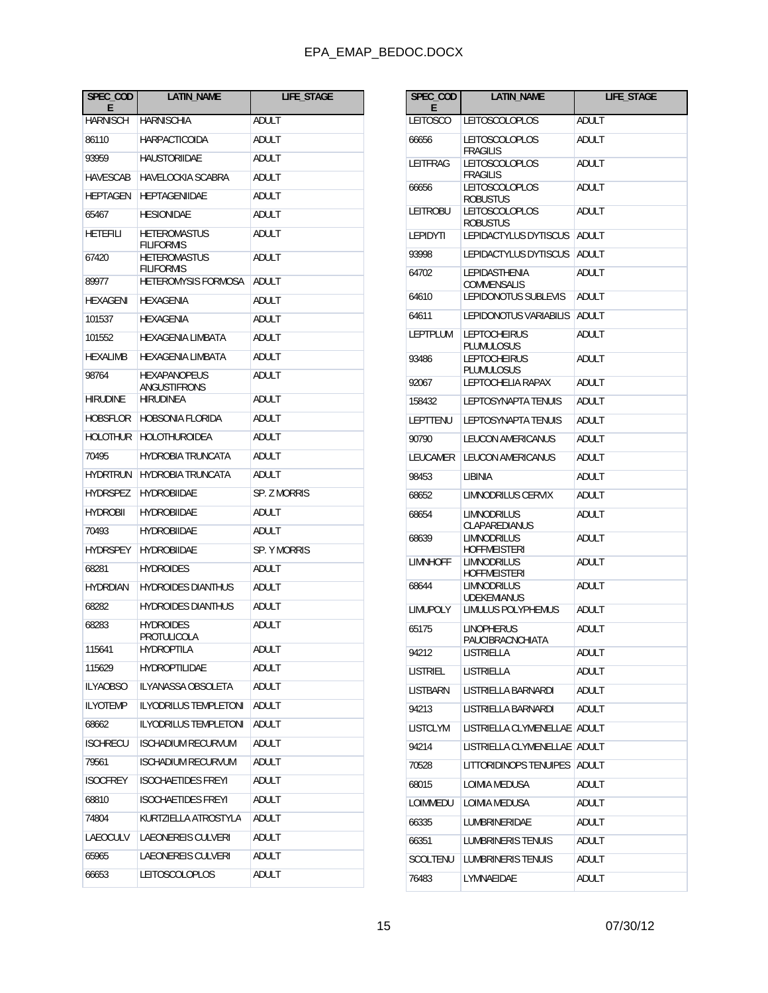| SPEC_COD<br>Е   | <b>LATIN_NAME</b>                        | LIFE_STAGE   |
|-----------------|------------------------------------------|--------------|
| <b>HARNISCH</b> | <b>HARNISCHIA</b>                        | ADULT        |
| 86110           | <b>HARPACTICOIDA</b>                     | ADULT        |
| 93959           | <b>HAUSTORIIDAE</b>                      | ADULT        |
| HAVESCAB        | HAVELOCKIA SCABRA                        | ADULT        |
| <b>HEPTAGEN</b> | <b>HEPTAGENIIDAE</b>                     | ADULT        |
| 65467           | <b>HESIONIDAE</b>                        | ADULT        |
| HETEFILI        | <b>HETEROMASTUS</b><br><b>FILIFORMIS</b> | ADULT        |
| 67420           | <b>HETEROMASTUS</b><br><b>FILIFORMIS</b> | ADULT        |
| 89977           | <b>HETEROMYSIS FORMOSA</b>               | ADULT        |
| HEXAGENI        | <b>HEXAGENIA</b>                         | ADULT        |
| 101537          | <b>HEXAGENIA</b>                         | ADULT        |
| 101552          | HEXAGENIA LIMBATA                        | ADULT        |
| <b>HEXALIMB</b> | HEXAGENIA LIMBATA                        | ADULT        |
| 98764           | <b>HEXAPANOPEUS</b><br>ANGUSTIFRONS      | ADULT        |
| <b>HIRUDINE</b> | <b>HIRUDINEA</b>                         | ADULT        |
| HOBSFLOR        | <b>HOBSONIA FLORIDA</b>                  | ADULT        |
| <b>HOLOTHUR</b> | <b>HOLOTHUROIDEA</b>                     | ADULT        |
| 70495           | <b>HYDROBIA TRUNCATA</b>                 | ADULT        |
| <b>HYDRTRUN</b> | <b>HYDROBIA TRUNCATA</b>                 | ADULT        |
| <b>HYDRSPEZ</b> | <b>HYDROBIIDAE</b>                       | SP. Z MORRIS |
| <b>HYDROBII</b> | <b>HYDROBIIDAE</b>                       | ADULT        |
| 70493           | <b>HYDROBIIDAE</b>                       | ADULT        |
| HYDRSPEY        | <b>HYDROBIIDAE</b>                       | SP. Y MORRIS |
| 68281           | <b>HYDROIDES</b>                         | <b>ADULT</b> |
| <b>HYDRDIAN</b> | <b>HYDROIDES DIANTHUS</b>                | ADULT        |
| 68282           | <b>HYDROIDES DIANTHUS</b>                | ADULT        |
| 68283           | <b>HYDROIDES</b><br>PROTULICOLA          | ADULT        |
| 115641          | HYDROPTILA                               | ADULT        |
| 115629          | <b>HYDROPTILIDAE</b>                     | ADULT        |
| <b>ILYAOBSO</b> | ILYANASSA OBSOLETA                       | <b>ADULT</b> |
| <b>ILYOTEMP</b> | <b>ILYODRILUS TEMPLETONI</b>             | ADULT        |
| 68662           | <b>ILYODRILUS TEMPLETONI</b>             | ADULT        |
| <b>ISCHRECU</b> | <b>ISCHADIUM RECURVUM</b>                | <b>ADULT</b> |
| 79561           | <b>ISCHADIUM RECURVUM</b>                | ADULT        |
| <b>ISOCFREY</b> | <b>ISOCHAETIDES FREYI</b>                | ADULT        |
| 68810           | <b>ISOCHAETIDES FREYI</b>                | ADULT        |
| 74804           | KURTZIELLA ATROSTYLA                     | ADULT        |
| LAEOCULV        | LAEONEREIS CULVERI                       | ADULT        |
| 65965           | LAEONEREIS CULVERI                       | ADULT        |
| 66653           | LEITOSCOLOPLOS                           | ADULT        |

| SPEC_COD<br>E   | <b>LATIN_NAME</b>                          | <b>LIFE STAGE</b> |
|-----------------|--------------------------------------------|-------------------|
| <b>LEITOSCO</b> | <b>LEITOSCOLOPLOS</b>                      | <b>ADULT</b>      |
| 66656           | <b>LEITOSCOLOPLOS</b><br><b>FRAGILIS</b>   | ADULT             |
| LEITFRAG        | LEITOSCOLOPLOS<br><b>FRAGILIS</b>          | ADULT             |
| 66656           | LEITOSCOLOPLOS<br><b>ROBUSTUS</b>          | ADULT             |
| LEITROBU        | <b>LEITOSCOLOPLOS</b><br><b>ROBUSTUS</b>   | <b>ADULT</b>      |
| <b>LEPIDYTI</b> | LEPIDACTYLUS DYTISCUS                      | <b>ADULT</b>      |
| 93998           | LEPIDACTYLUS DYTISCUS                      | ADULT             |
| 64702           | <b>LEPIDASTHENIA</b><br><b>COMMENSALIS</b> | ADULT             |
| 64610           | <b>LEPIDONOTUS SUBLEVIS</b>                | ADULT             |
| 64611           | LEPIDONOTUS VARIABILIS                     | ADULT             |
| LEPTPLUM        | <b>LEPTOCHEIRUS</b><br>PLUMULOSUS          | ADULT             |
| 93486           | <b>LEPTOCHEIRUS</b><br>PLUMULOSUS          | ADULT             |
| 92067           | LEPTOCHELIA RAPAX                          | ADULT             |
| 158432          | <b>LEPTOSYNAPTA TENUIS</b>                 | ADULT             |
| LEPTTENU        | <b>LEPTOSYNAPTA TENUIS</b>                 | <b>ADULT</b>      |
| 90790           | LEUCON AMERICANUS                          | ADULT             |
| LEUCAMER        | <b>LEUCON AMERICANUS</b>                   | ADULT             |
| 98453           | <b>LIBINIA</b>                             | ADULT             |
| 68652           | LIMNODRILUS CERVIX                         | ADULT             |
| 68654           | <b>LIMNODRILUS</b><br>CLAPAREDIANUS        | ADULT             |
| 68639           | <b>LIMNODRILUS</b><br><b>HOFFMEISTERI</b>  | ADULT             |
| <b>LIMNHOFF</b> | <b>LIMNODRILUS</b><br>HOFFMEISTERI         | ADULT             |
| 68644           | <b>LIMNODRILUS</b><br><b>UDEKEMIANUS</b>   | ADULT             |
| <b>LIMUPOLY</b> | LIMULUS POLYPHEMUS                         | ADULT             |
| 65175           | <b>LINOPHERUS</b><br>PAUCIBRACNCHIATA      | ADULT             |
| 94212           | LISTRIELLA                                 | ADULT             |
| LISTRIEL        | <b>LISTRIFLI A</b>                         | ADULT             |
| <b>LISTBARN</b> | LISTRIELLA BARNARDI                        | ADULT             |
| 94213           | LISTRIELLA BARNARDI                        | ADULT             |
| <b>LISTCLYM</b> | LISTRIELLA CLYMENELLAE                     | ADULT             |
| 94214           | LISTRIELLA CLYMENELLAE                     | ADULT             |
| 70528           | <b>LITTORIDINOPS TENUIPES</b>              | ADULT             |
| 68015           | LOIMIA MEDUSA                              | ADULT             |
| LOIMMEDU        | LOIMIA MEDUSA                              | ADULT             |
| 66335           | <b>LUMBRINERIDAE</b>                       | ADULT             |
| 66351           | LUMBRINERIS TENUIS                         | ADULT             |
| <b>SCOLTENU</b> | LUMBRINERIS TENUIS                         | ADULT             |
| 76483           | LYMNAEIDAE                                 | ADULT             |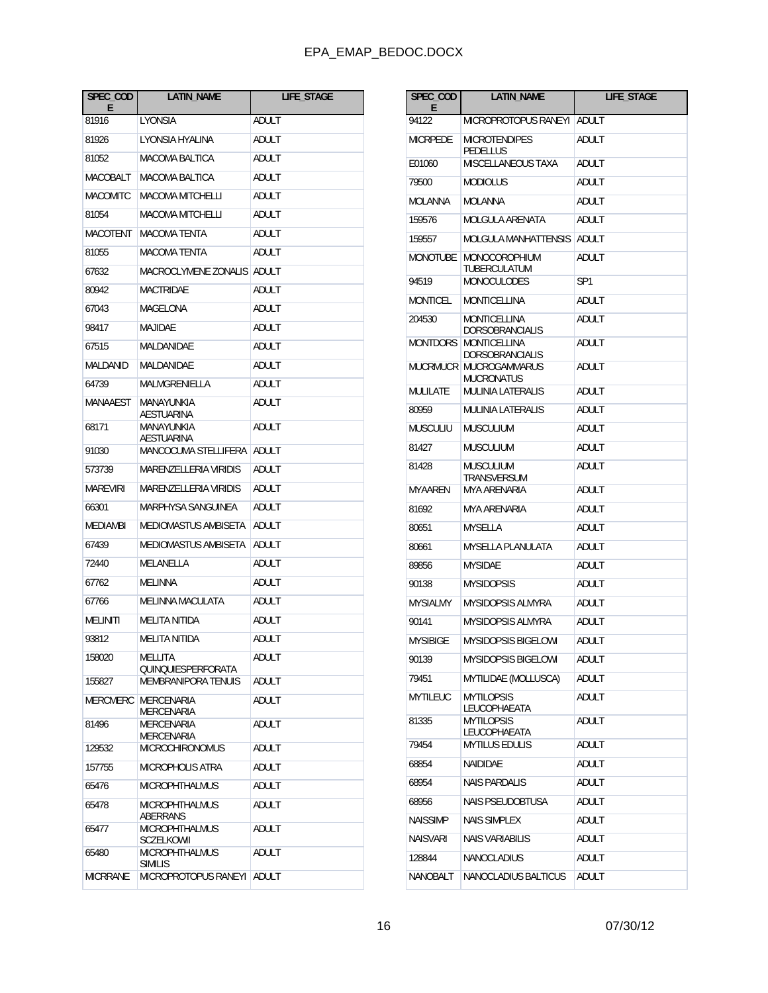| SPEC_COD<br>E   | <b>LATIN NAME</b>                       | LIFE_STAGE |
|-----------------|-----------------------------------------|------------|
| 81916           | LYONSIA                                 | ADULT      |
| 81926           | LYONSIA HYALINA                         | ADULT      |
| 81052           | MACOMA BALTICA                          | ADULT      |
| MACOBALT        | <b>MACOMA BALTICA</b>                   | ADULT      |
| <b>MACOMITC</b> | MACOMA MITCHELLI                        | ADULT      |
| 81054           | <b>MACOMA MITCHELLI</b>                 | ADULT      |
| MACOTENT        | <b>MACOMA TENTA</b>                     | ADULT      |
| 81055           | MACOMA TENTA                            | ADULT      |
| 67632           | <b>MACROCLYMENE ZONALIS</b>             | ADULT      |
| 80942           | MACTRIDAE                               | ADULT      |
| 67043           | MAGELONA                                | ADULT      |
| 98417           | <b>MAJIDAE</b>                          | ADULT      |
| 67515           | MALDANIDAE                              | ADULT      |
| MALDANID        | MALDANIDAE                              | ADULT      |
| 64739           | MALMGRENIELLA                           | ADULT      |
| MANAAEST        | MANAYUNKIA<br>AESTUARINA                | ADULT      |
| 68171           | MANAYUNKIA<br>AESTUARINA                | ADULT      |
| 91030           | MANCOCUMA STELLIFERA                    | ADULT      |
| 573739          | <b>MARENZELLERIA VIRIDIS</b>            | ADULT      |
| <b>MAREVIRI</b> | <b>MARENZELLERIA VIRIDIS</b>            | ADULT      |
| 66301           | MARPHYSA SANGUINEA                      | ADULT      |
| MEDIAMBI        | MEDIOMASTUS AMBISETA                    | ADULT      |
| 67439           | MEDIOMASTUS AMBISETA                    | ADULT      |
| 72440           | MELANELLA                               | ADULT      |
| 67762           | <b>MELINNA</b>                          | ADULT      |
| 67766           | <b>MELINNA MACULATA</b>                 | ADULT      |
| MELINITI        | <b>MELITA NITIDA</b>                    | ADULT      |
| 93812           | MELITA NITIDA                           | ADULT      |
| 158020          | MELLITA<br>QUINQUIESPERFORATA           | ADULT      |
| 155827          | <b>MEMBRANIPORA TENUIS</b>              | ADULT      |
| MERCMERC        | <b>MERCENARIA</b><br><b>MERCENARIA</b>  | ADULT      |
| 81496           | MERCENARIA<br>MERCENARIA                | ADULT      |
| 129532          | <b>MICROCHIRONOMUS</b>                  | ADULT      |
| 157755          | <b>MICROPHOLIS ATRA</b>                 | ADULT      |
| 65476           | <b>MICROPHTHALMUS</b>                   | ADULT      |
| 65478           | <b>MICROPHTHALMUS</b><br>ABERRANS       | ADULT      |
| 65477           | <b>MICROPHTHALMUS</b><br>SCZELKOWII     | ADULT      |
| 65480           | <b>MICROPHTHALMUS</b><br><b>SIMILIS</b> | ADULT      |
| MICRRANE        | MICROPROTOPUS RANEYI                    | ADULT      |

| SPEC_COD<br>Е   | <b>LATIN_NAME</b>                      | LIFE_STAGE   |
|-----------------|----------------------------------------|--------------|
| 94122           | MICROPROTOPUS RANEYI                   | <b>ADULT</b> |
| MICRPEDE        | MICROTENDIPES<br>PEDELLUS              | ADULT        |
| E01060          | MISCELLANEOUS TAXA                     | <b>ADULT</b> |
| 79500           | <b>MODIOLUS</b>                        | ADULT        |
| MOLANNA         | MOLANNA                                | ADULT        |
| 159576          | MOLGULA ARENATA                        | ADULT        |
| 159557          | MOLGULA MANHATTENSIS                   | ADULT        |
| MONOTUBE        | MONOCOROPHIUM<br>TUBERCULATUM          | ADULT        |
| 94519           | MONOCULODES                            | SP1          |
| MONTICEL        | MONTICELLINA                           | ADULT        |
| 204530          | MONTICELLINA<br>DORSOBRANCIALIS        | ADULT        |
| MONTDORS        | MONTICELLINA<br><b>DORSOBRANCIALIS</b> | <b>ADULT</b> |
| MUCRMUCR        | <b>MUCROGAMMARUS</b><br>MUCRONATUS     | ADULT        |
| MULILATE        | MULINIA LATERALIS                      | ADULT        |
| 80959           | MULINIA LATERALIS                      | ADULT        |
| MUSCULIU        | MUSCULIUM                              | <b>ADULT</b> |
| 81427           | MUSCULIUM                              | ADULT        |
| 81428           | MUSCULIUM<br>TRANSVERSUM               | ADULT        |
| MYAAREN         | MYA ARENARIA                           | ADULT        |
| 81692           | MYA ARENARIA                           | ADULT        |
| 80651           | MYSELLA                                | ADULT        |
| 80661           | MYSELLA PLANULATA                      | ADULT        |
| 89856           | <b>MYSIDAE</b>                         | ADULT        |
| 90138           | <b>MYSIDOPSIS</b>                      | ADULT        |
| <b>MYSIALMY</b> | <b>MYSIDOPSIS ALMYRA</b>               | ADULT        |
| 90141           | <b>MYSIDOPSIS ALMYRA</b>               | ADULT        |
| <b>MYSIBIGE</b> | <b>MYSIDOPSIS BIGELOWI</b>             | ADULT        |
| 90139           | <b>MYSIDOPSIS BIGELOWI</b>             | ADULT        |
| 79451           | MYTILIDAE (MOLLUSCA)                   | ADULT        |
| MYTILEUC        | <b>MYTILOPSIS</b><br>LEUCOPHAEATA      | ADULT        |
| 81335           | <b>MYTILOPSIS</b><br>LEUCOPHAEATA      | ADULT        |
| 79454           | <b>MYTILUS EDULIS</b>                  | <b>ADULT</b> |
| 68854           | NAIDIDAE                               | ADULT        |
| 68954           | <b>NAIS PARDALIS</b>                   | ADULT        |
| 68956           | <b>NAIS PSEUDOBTUSA</b>                | ADULT        |
| <b>NAISSIMP</b> | <b>NAIS SIMPLEX</b>                    | ADULT        |
| NAISVARI        | NAIS VARIABILIS                        | ADULT        |
| 128844          | <b>NANOCLADIUS</b>                     | ADULT        |
| NANOBALT        | NANOCLADIUS BALTICUS                   | ADULT        |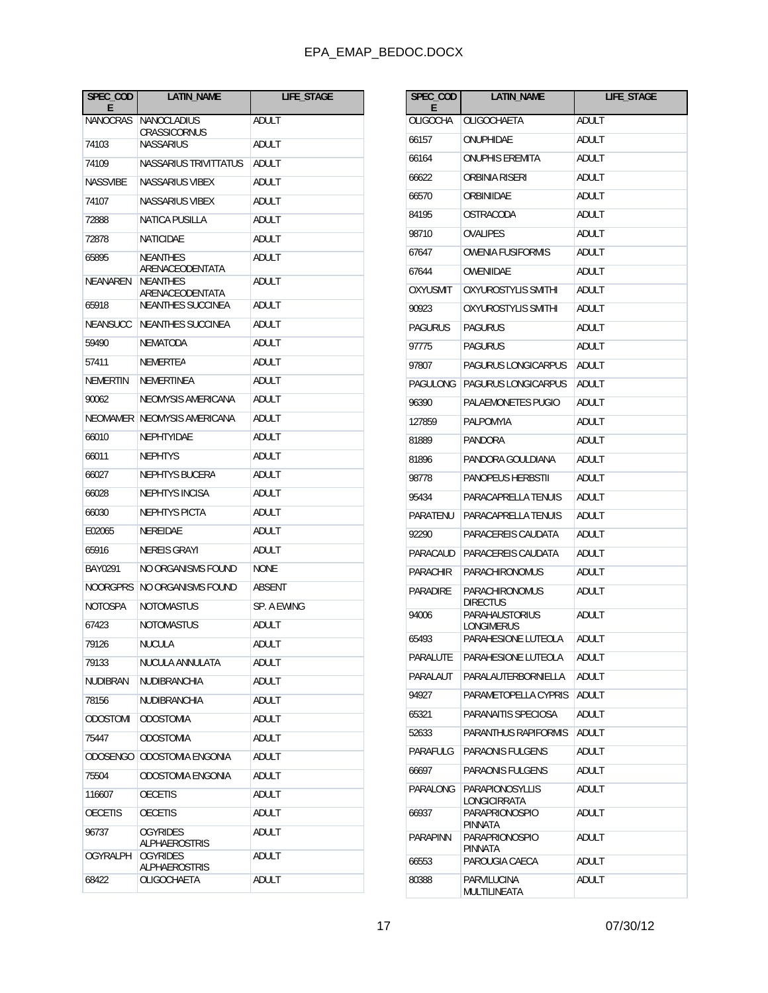| SPEC_COD<br>Е   | <b>LATIN_NAME</b>                       | LIFE_STAGE    |
|-----------------|-----------------------------------------|---------------|
| NANOCRAS        | NANOCLADIUS<br>CRASSICORNUS             | ADULT         |
| 74103           | <b>NASSARIUS</b>                        | ADULT         |
| 74109           | NASSARIUS TRIVITTATUS                   | ADULT         |
| <b>NASSVIBE</b> | <b>NASSARIUS VIBEX</b>                  | ADULT         |
| 74107           | NASSARIUS VIBEX                         | ADULT         |
| 72888           | <b>NATICA PUSILLA</b>                   | ADULT         |
| 72878           | <b>NATICIDAE</b>                        | ADULT         |
| 65895           | <b>NEANTHES</b><br>ARENACEODENTATA      | ADULT         |
| NEANAREN        | <b>NEANTHES</b><br>ARENACEODENTATA      | ADULT         |
| 65918           | <b>NEANTHES SUCCINEA</b>                | ADULT         |
| <b>NEANSUCC</b> | <b>NEANTHES SUCCINEA</b>                | ADULT         |
| 59490           | NEMATODA                                | ADULT         |
| 57411           | NEMERTEA                                | ADULT         |
| NEMERTIN        | <b>NEMERTINEA</b>                       | ADULT         |
| 90062           | NEOMYSIS AMERICANA                      | ADULT         |
| NEOMAMER        | NEOMYSIS AMERICANA                      | ADULT         |
| 66010           | NEPHTYIDAE                              | ADULT         |
| 66011           | <b>NEPHTYS</b>                          | ADULT         |
| 66027           | NEPHTYS BUCERA                          | ADULT         |
| 66028           | <b>NEPHTYS INCISA</b>                   | ADULT         |
| 66030           | <b>NEPHTYS PICTA</b>                    | ADULT         |
| E02065          | NEREIDAE                                | ADULT         |
| 65916           | NEREIS GRAYI                            | ADULT         |
| BAY0291         | NO ORGANISMS FOUND                      | <b>NONE</b>   |
| NOORGPRS        | NO ORGANISMS FOUND                      | <b>ABSENT</b> |
| NOTOSPA         | <b>NOTOMASTUS</b>                       | SP. A EWING   |
| 67423           | NOTOMASTUS                              | ADULT         |
| 79126           | <b>NUCULA</b>                           | ADULT         |
| 79133           | NUCULA ANNULATA                         | ADULT         |
| <b>NUDIBRAN</b> | NUDIBRANCHIA                            | ADULT         |
| 78156           | NUDIBRANCHIA                            | ADULT         |
| <b>ODOSTOMI</b> | <b>ODOSTOMIA</b>                        | ADULT         |
| 75447           | <b>ODOSTOMIA</b>                        | ADULT         |
| <b>ODOSENGO</b> | ODOSTOMIA ENGONIA                       | ADULT         |
| 75504           | ODOSTOMIA ENGONIA                       | ADULT         |
| 116607          | <b>OECETIS</b>                          | ADULT         |
| <b>OECETIS</b>  | <b>OECETIS</b>                          | ADULT         |
| 96737           | <b>OGYRIDES</b><br>ALPHAEROSTRIS        | ADULT         |
| <b>OGYRALPH</b> | <b>OGYRIDES</b><br><b>ALPHAEROSTRIS</b> | ADULT         |
| 68422           | OLIGOCHAETA                             | ADULT         |

| SPEC_COD<br>F   | <b>LATIN_NAME</b>                       | LIFE_STAGE   |
|-----------------|-----------------------------------------|--------------|
| <b>OLIGOCHA</b> | OLIGOCHAETA                             | ADULT        |
| 66157           | ONUPHIDAE                               | ADULT        |
| 66164           | <b>ONUPHIS EREMITA</b>                  | ADULT        |
| 66622           | ORBINIA RISERI                          | <b>ADULT</b> |
| 66570           | ORBINIIDAE                              | ADULT        |
| 84195           | OSTRACODA                               | ADULT        |
| 98710           | OVALIPES                                | ADULT        |
| 67647           | <b>OWENIA FUSIFORMIS</b>                | <b>ADULT</b> |
| 67644           | OWENIIDAE                               | ADULT        |
| OXYUSMIT        | OXYUROSTYLIS SMITHI                     | ADULT        |
| 90923           | OXYUROSTYLIS SMITHI                     | ADULT        |
| PAGURUS         | <b>PAGURUS</b>                          | ADULT        |
| 97775           | <b>PAGURUS</b>                          | ADULT        |
| 97807           | PAGURUS LONGICARPUS                     | ADULT        |
| PAGULONG        | PAGURUS LONGICARPUS                     | ADULT        |
| 96390           | PALAEMONETES PUGIO                      | ADULT        |
| 127859          | PALPOMYIA                               | ADULT        |
| 81889           | PANDORA                                 | ADULT        |
| 81896           | PANDORA GOULDIANA                       | ADULT        |
| 98778           | <b>PANOPEUS HERBSTII</b>                | ADULT        |
| 95434           | PARACAPRELLA TENUIS                     | ADULT        |
| PARATENU        | PARACAPRELLA TENUIS                     | ADULT        |
| 92290           | PARACEREIS CAUDATA                      | ADULT        |
| PARACAUD        | PARACEREIS CAUDATA                      | ADULT        |
| <b>PARACHIR</b> | <b>PARACHIRONOMUS</b>                   | ADULT        |
| <b>PARADIRE</b> | PARACHIRONOMUS<br><b>DIRECTUS</b>       | ADULT        |
| 94006           | PARAHAUSTORIUS<br>LONGIMERUS            | ADULT        |
| 65493           | PARAHESIONE LUTEOLA                     | ADULT        |
| PARALUIE        | PARAHESIONE LUTEOLA                     | adult        |
| PARALAUT        | <b>PARALAUTERBORNIELLA</b>              | ADULT        |
| 94927           | PARAMETOPELLA CYPRIS                    | ADULT        |
| 65321           | PARANAITIS SPECIOSA                     | ADULT        |
| 52633           | PARANTHUS RAPIFORMIS                    | ADULT        |
| PARAFULG        | PARAONIS FULGENS                        | ADULT        |
| 66697           | <b>PARAONIS FULGENS</b>                 | ADULT        |
| PARALONG        | <b>PARAPIONOSYLLIS</b><br>LONGICIRRATA  | ADULT        |
| 66937           | <b>PARAPRIONOSPIO</b><br><b>PINNATA</b> | ADULT        |
| PARAPINN        | PARAPRIONOSPIO<br>PINNATA               | ADULT        |
| 66553           | PAROUGIA CAECA                          | ADULT        |
| 80388           | PARVILUCINA<br>MULTILINEATA             | ADULT        |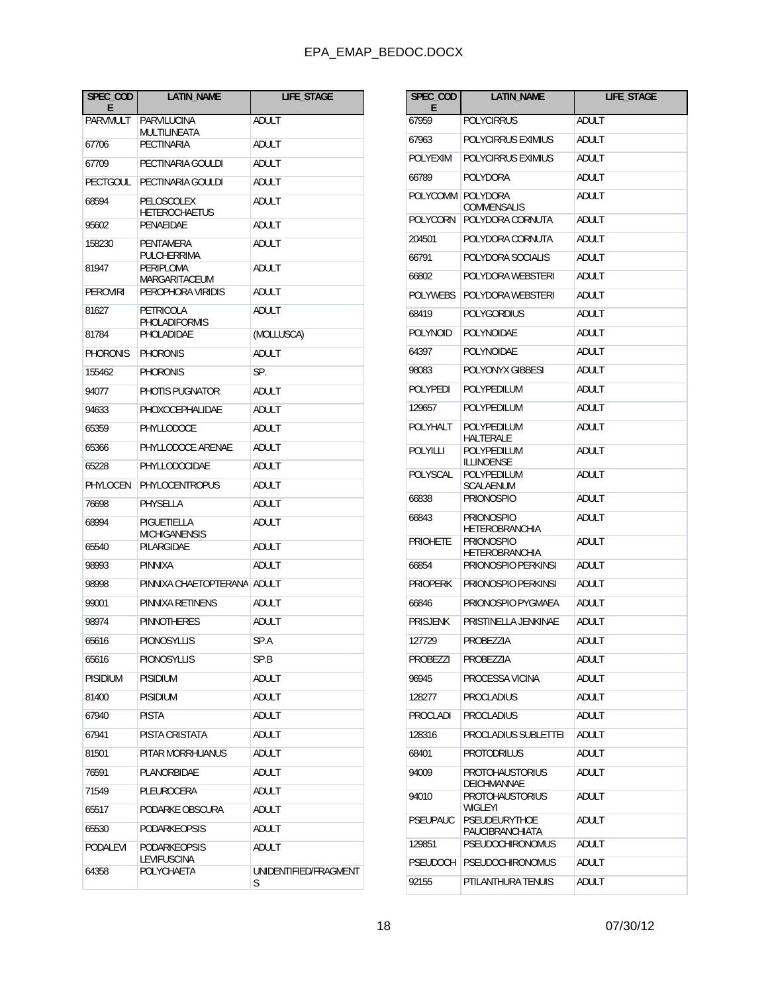| SPEC_COD<br>E   | LATIN_NAME                            | LIFE_STAGE                 |
|-----------------|---------------------------------------|----------------------------|
| PARVMULT        | PARVILUCINA<br>MULTILINEATA           | ADULT                      |
| 67706           | PECTINARIA                            | ADULT                      |
| 67709           | PECTINARIA GOULDI                     | ADULT                      |
| <b>PECTGOUL</b> | PECTINARIA GOULDI                     | ADULT                      |
| 68594           | PELOSCOLEX<br><b>HETEROCHAETUS</b>    | ADULT                      |
| 95602           | PENAEIDAE                             | ADULT                      |
| 158230<br>81947 | PENTAMERA<br>PULCHERRIMA<br>PERIPLOMA | ADULT<br>ADULT             |
| PEROVIRI        | MARGARITACEUM<br>PEROPHORA VIRIDIS    | ADULT                      |
| 81627           | PETRICOLA                             | ADULT                      |
| 81784           | PHOLADIFORMIS<br><b>PHOLADIDAE</b>    | (MOLLUSCA)                 |
| PHORONIS        | PHORONIS                              | ADULT                      |
| 155462          | <b>PHORONIS</b>                       | SP.                        |
| 94077           | PHOTIS PUGNATOR                       | ADULT                      |
| 94633           | PHOXOCEPHALIDAE                       | ADULT                      |
| 65359           | PHYLLODOCE                            | ADULT                      |
| 65366           | PHYLLODOCE ARENAE                     | ADULT                      |
| 65228           | PHYLLODOCIDAE                         | ADULT                      |
| PHYLOCEN        | <b>PHYLOCENTROPUS</b>                 | ADULT                      |
| 76698           | PHYSELLA                              | ADULT                      |
| 68994           | PIGUETIELLA<br><b>MICHIGANENSIS</b>   | ADULT                      |
| 65540           | PILARGIDAE                            | ADULT                      |
| 98993           | PINNIXA                               | ADULT                      |
| 98998           | PINNIXA CHAETOPTERANA                 | ADULT                      |
| 99001           | PINNIXA RETINENS                      | ADULT                      |
| 98974           | <b>PINNOTHERES</b>                    | ADULT                      |
| 65616           | PIONOSYLLIS                           | SP.A                       |
| 65616           | <b>PIONOSYLLIS</b>                    | SP.B                       |
| PISIDIUM        | <b>PISIDIUM</b>                       | ADULT                      |
| 81400           | <b>PISIDIUM</b>                       | ADULT                      |
| 67940           | <b>PISTA</b>                          | ADULT                      |
| 67941           | PISTA CRISTATA                        | ADULT                      |
| 81501           | PITAR MORRHUANUS                      | ADULT                      |
| 76591           | PLANORBIDAE                           | ADULT                      |
| 71549           | PLEUROCERA                            | ADULT                      |
| 65517           | PODARKE OBSCURA                       | ADULT                      |
| 65530           | PODARKEOPSIS                          | ADULT                      |
| PODALEVI        | PODARKEOPSIS<br>LEVIFUSCINA           | ADULT                      |
| 64358           | POLYCHAETA                            | UNIDENTIFIED/FRAGMENT<br>S |

| SPEC_COD<br>Е            | <b>LATIN NAME</b>                                                                        | LIFE_STAGE     |
|--------------------------|------------------------------------------------------------------------------------------|----------------|
| 67959                    | <b>POLYCIRRUS</b>                                                                        | ADULT          |
| 67963                    | POLYCIRRUS EXIMIUS                                                                       | ADULT          |
| <b>POLYEXIM</b>          | POLYCIRRUS EXIMIUS                                                                       | ADULT          |
| 66789                    | POLYDORA                                                                                 | ADULT          |
| POLYCOMM                 | <b>POLYDORA</b>                                                                          | ADULT          |
| POLYCORN                 | COMMENSALIS<br>POLYDORA CORNUTA                                                          | ADULT          |
| 204501                   | POLYDORA CORNUTA                                                                         | ADULT          |
| 66791                    | POLYDORA SOCIALIS                                                                        | <b>ADULT</b>   |
| 66802                    | POLYDORA WEBSTERI                                                                        | ADULT          |
| POLYWEBS                 | POLYDORA WEBSTERI                                                                        | ADULT          |
| 68419                    | POLYGORDIUS                                                                              | ADULT          |
| <b>POLYNOID</b>          | POLYNOIDAE                                                                               | ADULT          |
| 64397                    | POLYNOIDAE                                                                               | <b>ADULT</b>   |
| 98083                    | POLYONYX GIBBESI                                                                         | ADULT          |
| POLYPEDI                 | <b>POLYPEDILUM</b>                                                                       | ADULT          |
| 129657                   | POLYPEDILUM                                                                              | ADULT          |
| POLYHALT                 | POLYPEDILUM<br>HALTERALE                                                                 | ADULT          |
| POLYILLI                 | POLYPEDILUM<br>ILLINOENSE                                                                | ADULT          |
| POLYSCAL                 | POLYPEDILUM<br>SCALAENUM                                                                 | ADULT          |
| 66838                    | <b>PRIONOSPIO</b>                                                                        | ADULT          |
| 66843<br><b>PRIOHETE</b> | <b>PRIONOSPIO</b><br><b>HETEROBRANCHIA</b><br><b>PRIONOSPIO</b><br><b>HETEROBRANCHIA</b> | ADULT<br>ADULT |
| 66854                    | PRIONOSPIO PERKINSI                                                                      | ADULT          |
| <b>PRIOPERK</b>          | PRIONOSPIO PERKINSI                                                                      | ADULT          |
| 66846                    | PRIONOSPIO PYGMAEA                                                                       | ADULT          |
| <b>PRISJENK</b>          | PRISTINELLA JENKINAE                                                                     | ADULT          |
| 127729                   | PROBEZZIA                                                                                | ADULT          |
| PROBEZZI                 | PROBEZZIA                                                                                | ADULT          |
| 96945                    | PROCESSA VICINA                                                                          | ADULT          |
| 128277                   | <b>PROCLADIUS</b>                                                                        | ADULT          |
| PROCLADI                 | <b>PROCLADIUS</b>                                                                        | ADULT          |
| 128316                   | PROCLADIUS SUBLETTEI                                                                     | <b>ADULT</b>   |
| 68401                    | <b>PROTODRILUS</b>                                                                       | ADULT          |
| 94009                    | <b>PROTOHAUSTORIUS</b><br>DEICHMANNAE                                                    | ADULT          |
| 94010                    | <b>PROTOHAUSTORIUS</b><br><b>WIGLEYI</b>                                                 | <b>ADULT</b>   |
| <b>PSEUPAUC</b>          | PSEUDEURYTHOE<br>PAUCIBRANCHIATA                                                         | ADULT          |
| 129851                   | <b>PSEUDOCHIRONOMUS</b>                                                                  | ADULT          |
| <b>PSEUDOCH</b>          | <b>PSEUDOCHIRONOMUS</b>                                                                  | <b>ADULT</b>   |
| 92155                    | PTILANTHURA TENUIS                                                                       | ADULT          |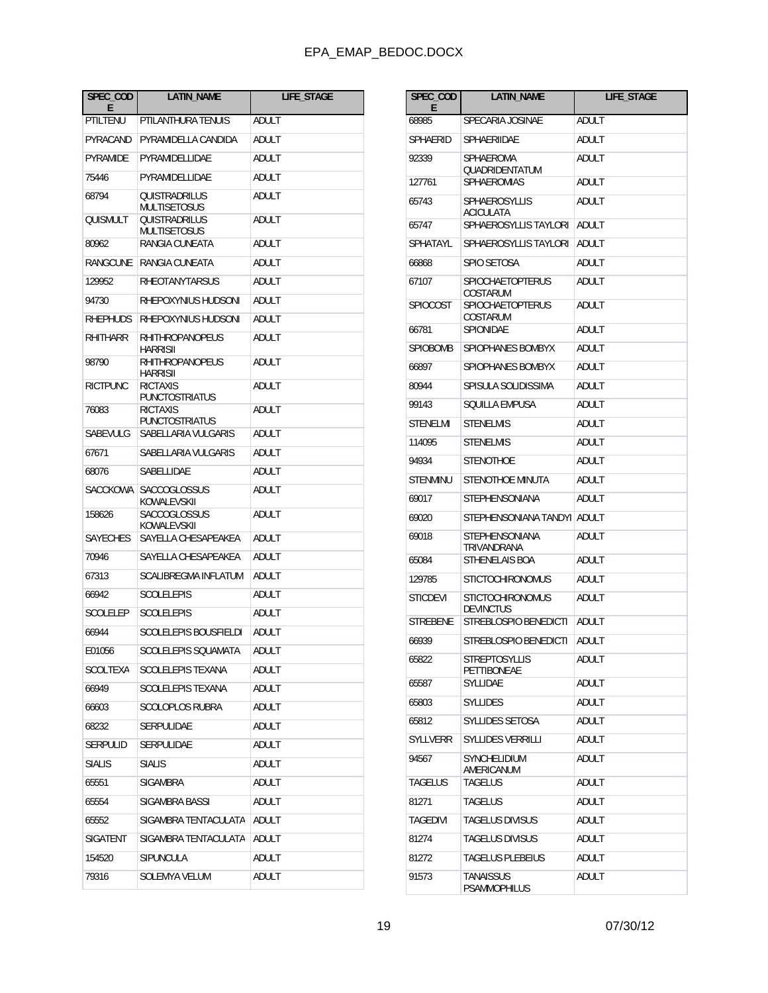| SPEC_COD<br>E   | <b>LATIN NAME</b>                         | <b>LIFE STAGE</b> |
|-----------------|-------------------------------------------|-------------------|
| PTILTENU        | PTILANTHURA TENUIS                        | <b>ADULT</b>      |
| PYRACAND        | PYRAMIDELLA CANDIDA                       | ADULT             |
| PYRAMIDE        | PYRAMIDELLIDAE                            | ADULT             |
| 75446           | PYRAMIDELLIDAE                            | ADULT             |
| 68794           | QUISTRADRILUS<br>MULTISETOSUS             | ADULT             |
| QUISMULT        | OUISTRADRILUS<br>MULTISETOSUS             | ADULT             |
| 80962           | RANGIA CUNEATA                            | ADULT             |
| RANGCUNE        | RANGIA CUNEATA                            | ADULT             |
| 129952          | <b>RHEOTANYTARSUS</b>                     | ADULT             |
| 94730           | RHEPOXYNIUS HUDSONI                       | ADULT             |
| <b>RHEPHUDS</b> | RHEPOXYNIUS HUDSONI                       | ADULT             |
| <b>RHITHARR</b> | <b>RHITHROPANOPEUS</b><br><b>HARRISII</b> | ADULT             |
| 98790           | <b>RHITHROPANOPEUS</b><br><b>HARRISII</b> | ADULT             |
| <b>RICTPUNC</b> | <b>RICTAXIS</b><br><b>PUNCTOSTRIATUS</b>  | ADULT             |
| 76083           | <b>RICTAXIS</b><br><b>PUNCTOSTRIATUS</b>  | ADULT             |
| SABEVULG        | SABELLARIA VULGARIS                       | ADULT             |
| 67671           | SABELLARIA VULGARIS                       | ADULT             |
| 68076           | SABELLIDAE                                | ADULT             |
| <b>SACCKOWA</b> | <b>SACCOGLOSSUS</b><br>KOWALEVSKII        | ADULT             |
| 158626          | <b>SACCOGLOSSUS</b><br>KOWALEVSKII        | ADULT             |
| <b>SAYECHES</b> | SAYELLA CHESAPEAKEA                       | ADULT             |
| 70946           | SAYELLA CHESAPEAKEA                       | ADULT             |
| 67313           | SCALIBREGMA INFLATUM                      | ADULT             |
| 66942           | <b>SCOLELEPIS</b>                         | ADULT             |
| SCOLELEP        | <b>SCOLELEPIS</b>                         | ADULT             |
| 66944           | <b>SCOLELEPIS BOUSFIELDI</b>              | <b>ADULT</b>      |
| E01056          | SCOLELEPIS SQUAMATA                       | ADULT             |
| SCOLTEXA        | SCOLELEPIS TEXANA                         | ADULT             |
| 66949           | SCOLELEPIS TEXANA                         | ADULT             |
| 66603           | <b>SCOLOPLOS RUBRA</b>                    | ADULT             |
| 68232           | SERPULIDAE                                | ADULT             |
| SERPULID        | <b>SERPULIDAE</b>                         | ADULT             |
| <b>SIALIS</b>   | <b>SIALIS</b>                             | ADULT             |
| 65551           | <b>SIGAMBRA</b>                           | ADULT             |
| 65554           | SIGAMBRA BASSI                            | ADULT             |
| 65552           | SIGAMBRA TENTACULATA                      | ADULT             |
| SIGATENT        | SIGAMBRA TENTACULATA                      | ADULT             |
| 154520          | SIPUNCULA                                 | ADULT             |
| 79316           | SOLEMYA VELUM                             | <b>ADULT</b>      |

| SPEC_COD<br>E   | <b>LATIN_NAME</b>                           | <b>LIFE STAGE</b> |
|-----------------|---------------------------------------------|-------------------|
| 68985           | SPECARIA IOSINAE                            | <b>ADULT</b>      |
| SPHAERID        | SPHAERIIDAE                                 | ADULT             |
| 92339           | SPHAEROMA<br>QUADRIDENTATUM                 | ADULT             |
| 127761          | <b>SPHAEROMIAS</b>                          | ADULT             |
| 65743           | <b>SPHAEROSYLLIS</b><br><b>ACICULATA</b>    | ADULT             |
| 65747           | SPHAEROSYLLIS TAYLORI                       | ADULT             |
| SPHATAYL        | SPHAEROSYLLIS TAYLORI                       | ADULT             |
| 66868           | SPIO SETOSA                                 | ADULT             |
| 67107           | <b>SPIOCHAETOPTERUS</b><br>COSTARUM         | ADULT             |
| SPIOCOST        | <b>SPIOCHAETOPTERUS</b><br>COSTARUM         | ADULT             |
| 66781           | SPIONIDAE                                   | ADULT             |
| <b>SPIOROMB</b> | SPIOPHANES BOMBYX                           | ADULT             |
| 66897           | SPIOPHANES BOMBYX                           | ADULT             |
| 80944           | SPISULA SOLIDISSIMA                         | ADULT             |
| 99143           | SQUILLA EMPUSA                              | ADULT             |
| STENELMI        | <b>STENELMIS</b>                            | ADULT             |
| 114095          | <b>STENELMIS</b>                            | ADULT             |
| 94934           | <b>STENOTHOE</b>                            | ADULT             |
| <b>STENMINU</b> | STENOTHOE MINUTA                            | ADULT             |
| 69017           | <b>STEPHENSONIANA</b>                       | ADULT             |
| 69020           | STEPHENSONIANA TANDYI                       | ADULT             |
| 69018           | STEPHENSONIANA<br>TRIVANDRANA               | ADULT             |
| 65084           | <b>STHENELAIS BOA</b>                       | ADULT             |
| 129785          | <b>STICTOCHIRONOMUS</b>                     | ADULT             |
| <b>STICDEVI</b> | <b>STICTOCHIRONOMUS</b><br><b>DEVINCTUS</b> | ADULT             |
| STREBENE        | STREBLOSPIO BENEDICTI                       | ADULT             |
| 66939           | STREBLOSPIO BENEDICTI                       | ADULT             |
| 65822           | STREPTOSYLLIS<br><b>PETTIBONEAE</b>         | ADULT             |
| 65587           | SYLLIDAE                                    | <b>ADULT</b>      |
| 65803           | <b>SYLLIDES</b>                             | ADULT             |
| 65812           | SYLLIDES SETOSA                             | ADULT             |
| <b>SYLLVERR</b> | <b>SYLLIDES VERRILLI</b>                    | ADULT             |
| 94567           | SYNCHELIDIUM<br>AMERICANUM                  | ADULT             |
| TAGELUS         | TAGELUS                                     | ADULT             |
| 81271           | <b>TAGELUS</b>                              | ADULT             |
| <b>TAGEDIVI</b> | <b>TAGELUS DIVISUS</b>                      | ADULT             |
| 81274           | <b>TAGELUS DIVISUS</b>                      | ADULT             |
| 81272           | <b>TAGELUS PLEBEIUS</b>                     | ADULT             |
| 91573           | <b>TANAISSUS</b><br>PSAMMOPHILUS            | ADULT             |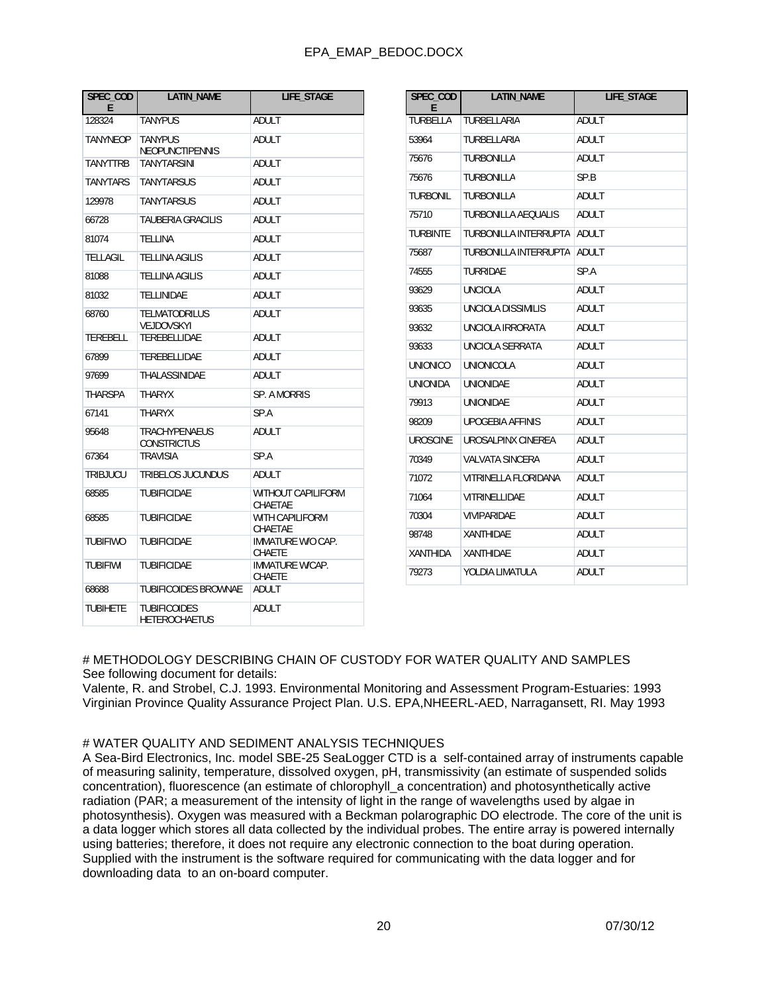| SPEC_COD<br>E   | <b>LATIN NAME</b>                           | <b>LIFE STAGE</b>                |
|-----------------|---------------------------------------------|----------------------------------|
| 128324          | <b>TANYPUS</b>                              | <b>ADULT</b>                     |
| TANYNEOP        | <b>TANYPUS</b><br><b>NEOPUNCTIPENNIS</b>    | ADULT                            |
| <b>TANYTTRB</b> | <b>TANYTARSINI</b>                          | ADULT                            |
| <b>TANYTARS</b> | <b>TANYTARSUS</b>                           | ADULT                            |
| 129978          | TANYTARSUS                                  | ADULT                            |
| 66728           | TAUBERIA GRACILIS                           | <b>ADULT</b>                     |
| 81074           | TELLINA                                     | ADULT                            |
| TELLAGIL        | <b>TELLINA AGILIS</b>                       | <b>ADULT</b>                     |
| 81088           | TELLINA AGILIS                              | ADULT                            |
| 81032           | <b>TELLINIDAE</b>                           | ADULT                            |
| 68760           | <b>TELMATODRILUS</b><br>VEJDOVSKYI          | ADULT                            |
| TEREBELL        | TEREBELLIDAE                                | ADULT                            |
| 67899           | TEREBELLIDAE                                | ADULT                            |
| 97699           | THALASSINIDAE                               | ADULT                            |
| <b>THARSPA</b>  | <b>THARYX</b>                               | SP. A MORRIS                     |
| 67141           | <b>THARYX</b>                               | SP.A                             |
| 95648           | <b>TRACHYPENAEUS</b><br><b>CONSTRICTUS</b>  | ADULT                            |
| 67364           | <b>TRAVISIA</b>                             | SP.A                             |
| TRIBJUCU        | TRIBELOS JUCUNDUS                           | ADULT                            |
| 68585           | <b>TUBIFICIDAE</b>                          | WITHOUT CAPILIFORM<br>CHAETAE    |
| 68585           | TUBIFICIDAE                                 | WITH CAPILIFORM<br>CHAETAE       |
| TUBIFIWO        | <b>TUBIFICIDAE</b>                          | IMMATURE W/O CAP.<br>CHAETE      |
| <b>TUBIFIWI</b> | <b>TUBIFICIDAE</b>                          | <b>IMMATURE W/CAP.</b><br>CHAETE |
| 68688           | <b>TUBIFICOIDES BROWNAE</b>                 | ADULT                            |
| <b>TUBIHETE</b> | <b>TUBIFICOIDES</b><br><b>HETEROCHAETUS</b> | ADULT                            |

| SPEC COD<br>Е   | <b>LATIN NAME</b>            | <b>LIFE STAGE</b> |
|-----------------|------------------------------|-------------------|
| TURBELLA        | TURBELLARIA                  | <b>ADULT</b>      |
| 53964           | TURBELLARIA                  | ADULT             |
| 75676           | <b>TURBONILLA</b>            | ADULT             |
| 75676           | <b>TURBONILLA</b>            | SP.B              |
| TURBONIL        | TURBONILLA                   | <b>ADULT</b>      |
| 75710           | <b>TURBONILLA AEQUALIS</b>   | <b>ADULT</b>      |
| TURBINTE        | TURBONILLA INTERRUPTA        | ADULT             |
| 75687           | <b>TURBONILLA INTERRUPTA</b> | <b>ADULT</b>      |
| 74555           | TURRIDAE                     | SP.A              |
| 93629           | <b>UNCIOLA</b>               | <b>ADULT</b>      |
| 93635           | <b>UNCIOLA DISSIMILIS</b>    | <b>ADULT</b>      |
| 93632           | UNCIOLA IRRORATA             | <b>ADULT</b>      |
| 93633           | UNCIOLA SERRATA              | ADULT             |
| <b>UNIONICO</b> | UNIONICOLA                   | <b>ADULT</b>      |
| <b>UNIONIDA</b> | <b>UNIONIDAE</b>             | <b>ADULT</b>      |
| 79913           | <b>UNIONIDAE</b>             | <b>ADULT</b>      |
| 98209           | <b>UPOGEBIA AFFINIS</b>      | ADULT             |
| <b>UROSCINE</b> | UROSALPINX CINEREA           | <b>ADULT</b>      |
| 70349           | VALVATA SINCERA              | <b>ADULT</b>      |
| 71072           | VITRINELLA FLORIDANA         | ADULT             |
| 71064           | VITRINELLIDAE                | <b>ADULT</b>      |
| 70304           | <b>VIVIPARIDAE</b>           | <b>ADULT</b>      |
| 98748           | <b>XANTHIDAE</b>             | <b>ADULT</b>      |
| <b>XANTHIDA</b> | <b>XANTHIDAE</b>             | <b>ADULT</b>      |
| 79273           | YOLDIA LIMATULA              | <b>ADULT</b>      |

# METHODOLOGY DESCRIBING CHAIN OF CUSTODY FOR WATER QUALITY AND SAMPLES See following document for details:

Valente, R. and Strobel, C.J. 1993. Environmental Monitoring and Assessment Program-Estuaries: 1993 Virginian Province Quality Assurance Project Plan. U.S. EPA,NHEERL-AED, Narragansett, RI. May 1993

#### # WATER QUALITY AND SEDIMENT ANALYSIS TECHNIQUES

A Sea-Bird Electronics, Inc. model SBE-25 SeaLogger CTD is a self-contained array of instruments capable of measuring salinity, temperature, dissolved oxygen, pH, transmissivity (an estimate of suspended solids concentration), fluorescence (an estimate of chlorophyll\_a concentration) and photosynthetically active radiation (PAR; a measurement of the intensity of light in the range of wavelengths used by algae in photosynthesis). Oxygen was measured with a Beckman polarographic DO electrode. The core of the unit is a data logger which stores all data collected by the individual probes. The entire array is powered internally using batteries; therefore, it does not require any electronic connection to the boat during operation. Supplied with the instrument is the software required for communicating with the data logger and for downloading data to an on-board computer.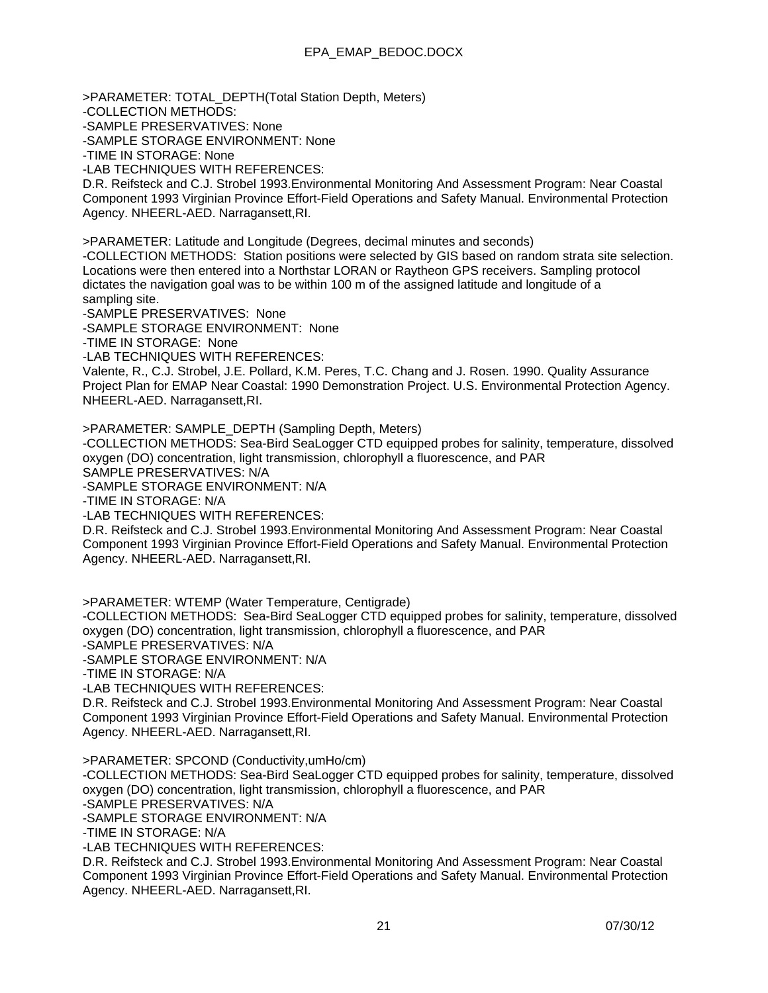>PARAMETER: TOTAL\_DEPTH(Total Station Depth, Meters) -COLLECTION METHODS: -SAMPLE PRESERVATIVES: None -SAMPLE STORAGE ENVIRONMENT: None -TIME IN STORAGE: None -LAB TECHNIQUES WITH REFERENCES: D.R. Reifsteck and C.J. Strobel 1993.Environmental Monitoring And Assessment Program: Near Coastal Component 1993 Virginian Province Effort-Field Operations and Safety Manual. Environmental Protection Agency. NHEERL-AED. Narragansett,RI.

>PARAMETER: Latitude and Longitude (Degrees, decimal minutes and seconds)

-COLLECTION METHODS: Station positions were selected by GIS based on random strata site selection. Locations were then entered into a Northstar LORAN or Raytheon GPS receivers. Sampling protocol dictates the navigation goal was to be within 100 m of the assigned latitude and longitude of a sampling site.

-SAMPLE PRESERVATIVES: None

-SAMPLE STORAGE ENVIRONMENT: None

-TIME IN STORAGE: None

-LAB TECHNIQUES WITH REFERENCES:

Valente, R., C.J. Strobel, J.E. Pollard, K.M. Peres, T.C. Chang and J. Rosen. 1990. Quality Assurance Project Plan for EMAP Near Coastal: 1990 Demonstration Project. U.S. Environmental Protection Agency. NHEERL-AED. Narragansett,RI.

>PARAMETER: SAMPLE\_DEPTH (Sampling Depth, Meters)

-COLLECTION METHODS: Sea-Bird SeaLogger CTD equipped probes for salinity, temperature, dissolved oxygen (DO) concentration, light transmission, chlorophyll a fluorescence, and PAR

SAMPLE PRESERVATIVES: N/A

-SAMPLE STORAGE ENVIRONMENT: N/A

-TIME IN STORAGE: N/A

-LAB TECHNIQUES WITH REFERENCES:

D.R. Reifsteck and C.J. Strobel 1993.Environmental Monitoring And Assessment Program: Near Coastal Component 1993 Virginian Province Effort-Field Operations and Safety Manual. Environmental Protection Agency. NHEERL-AED. Narragansett,RI.

>PARAMETER: WTEMP (Water Temperature, Centigrade)

-COLLECTION METHODS: Sea-Bird SeaLogger CTD equipped probes for salinity, temperature, dissolved oxygen (DO) concentration, light transmission, chlorophyll a fluorescence, and PAR

-SAMPLE PRESERVATIVES: N/A

-SAMPLE STORAGE ENVIRONMENT: N/A

-TIME IN STORAGE: N/A

-LAB TECHNIQUES WITH REFERENCES:

D.R. Reifsteck and C.J. Strobel 1993.Environmental Monitoring And Assessment Program: Near Coastal Component 1993 Virginian Province Effort-Field Operations and Safety Manual. Environmental Protection Agency. NHEERL-AED. Narragansett,RI.

>PARAMETER: SPCOND (Conductivity,umHo/cm)

-COLLECTION METHODS: Sea-Bird SeaLogger CTD equipped probes for salinity, temperature, dissolved oxygen (DO) concentration, light transmission, chlorophyll a fluorescence, and PAR

-SAMPLE PRESERVATIVES: N/A

-SAMPLE STORAGE ENVIRONMENT: N/A

-TIME IN STORAGE: N/A

-LAB TECHNIQUES WITH REFERENCES:

D.R. Reifsteck and C.J. Strobel 1993.Environmental Monitoring And Assessment Program: Near Coastal Component 1993 Virginian Province Effort-Field Operations and Safety Manual. Environmental Protection Agency. NHEERL-AED. Narragansett,RI.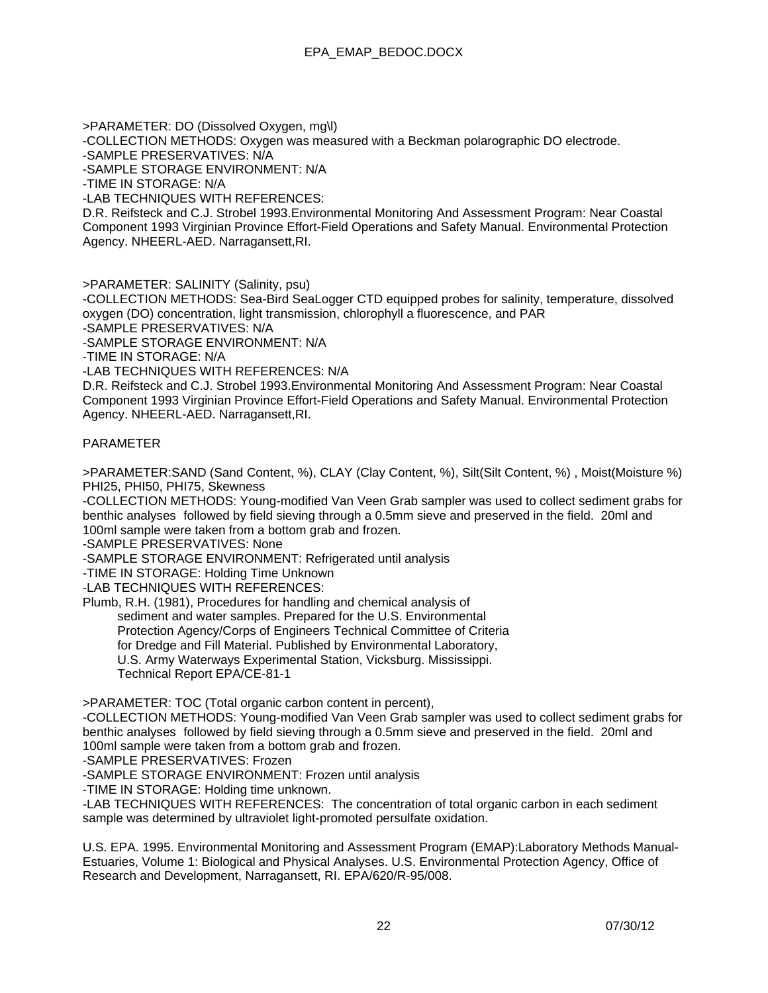>PARAMETER: DO (Dissolved Oxygen, mg\l) -COLLECTION METHODS: Oxygen was measured with a Beckman polarographic DO electrode. -SAMPLE PRESERVATIVES: N/A -SAMPLE STORAGE ENVIRONMENT: N/A -TIME IN STORAGE: N/A -LAB TECHNIQUES WITH REFERENCES: D.R. Reifsteck and C.J. Strobel 1993.Environmental Monitoring And Assessment Program: Near Coastal

Component 1993 Virginian Province Effort-Field Operations and Safety Manual. Environmental Protection Agency. NHEERL-AED. Narragansett,RI.

>PARAMETER: SALINITY (Salinity, psu)

-COLLECTION METHODS: Sea-Bird SeaLogger CTD equipped probes for salinity, temperature, dissolved oxygen (DO) concentration, light transmission, chlorophyll a fluorescence, and PAR

-SAMPLE PRESERVATIVES: N/A

-SAMPLE STORAGE ENVIRONMENT: N/A

-TIME IN STORAGE: N/A

-LAB TECHNIQUES WITH REFERENCES: N/A

D.R. Reifsteck and C.J. Strobel 1993.Environmental Monitoring And Assessment Program: Near Coastal Component 1993 Virginian Province Effort-Field Operations and Safety Manual. Environmental Protection Agency. NHEERL-AED. Narragansett,RI.

### PARAMETER

>PARAMETER:SAND (Sand Content, %), CLAY (Clay Content, %), Silt(Silt Content, %) , Moist(Moisture %) PHI25, PHI50, PHI75, Skewness

-COLLECTION METHODS: Young-modified Van Veen Grab sampler was used to collect sediment grabs for benthic analyses followed by field sieving through a 0.5mm sieve and preserved in the field. 20ml and 100ml sample were taken from a bottom grab and frozen.

-SAMPLE PRESERVATIVES: None

-SAMPLE STORAGE ENVIRONMENT: Refrigerated until analysis

-TIME IN STORAGE: Holding Time Unknown

-LAB TECHNIQUES WITH REFERENCES:

Plumb, R.H. (1981), Procedures for handling and chemical analysis of

sediment and water samples. Prepared for the U.S. Environmental

Protection Agency/Corps of Engineers Technical Committee of Criteria

for Dredge and Fill Material. Published by Environmental Laboratory,

U.S. Army Waterways Experimental Station, Vicksburg. Mississippi.

Technical Report EPA/CE-81-1

>PARAMETER: TOC (Total organic carbon content in percent),

-COLLECTION METHODS: Young-modified Van Veen Grab sampler was used to collect sediment grabs for benthic analyses followed by field sieving through a 0.5mm sieve and preserved in the field. 20ml and 100ml sample were taken from a bottom grab and frozen.

-SAMPLE PRESERVATIVES: Frozen

-SAMPLE STORAGE ENVIRONMENT: Frozen until analysis

-TIME IN STORAGE: Holding time unknown.

-LAB TECHNIQUES WITH REFERENCES: The concentration of total organic carbon in each sediment sample was determined by ultraviolet light-promoted persulfate oxidation.

U.S. EPA. 1995. Environmental Monitoring and Assessment Program (EMAP):Laboratory Methods Manual-Estuaries, Volume 1: Biological and Physical Analyses. U.S. Environmental Protection Agency, Office of Research and Development, Narragansett, RI. EPA/620/R-95/008.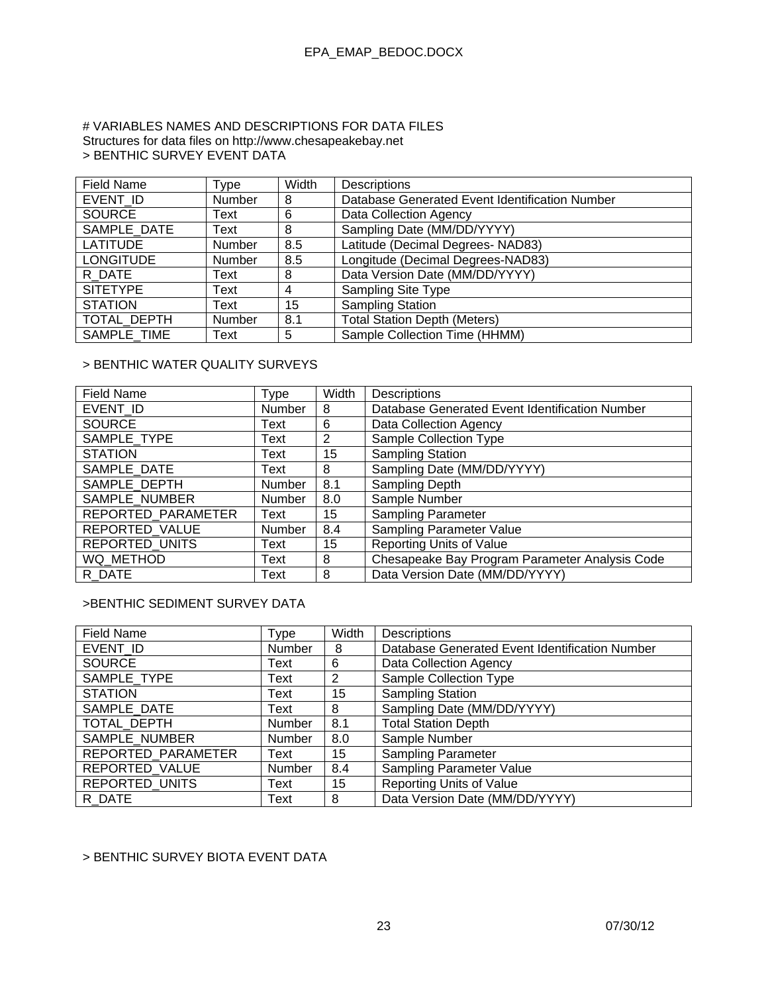### # VARIABLES NAMES AND DESCRIPTIONS FOR DATA FILES Structures for data files on http://www.chesapeakebay.net > BENTHIC SURVEY EVENT DATA

| <b>Field Name</b> | Type   | Width | <b>Descriptions</b>                            |
|-------------------|--------|-------|------------------------------------------------|
| EVENT ID          | Number | 8     | Database Generated Event Identification Number |
| <b>SOURCE</b>     | Text   | 6     | Data Collection Agency                         |
| SAMPLE DATE       | Text   | 8     | Sampling Date (MM/DD/YYYY)                     |
| <b>LATITUDE</b>   | Number | 8.5   | Latitude (Decimal Degrees- NAD83)              |
| <b>LONGITUDE</b>  | Number | 8.5   | Longitude (Decimal Degrees-NAD83)              |
| R DATE            | Text   | 8     | Data Version Date (MM/DD/YYYY)                 |
| <b>SITETYPE</b>   | Text   | 4     | Sampling Site Type                             |
| <b>STATION</b>    | Text   | 15    | <b>Sampling Station</b>                        |
| TOTAL DEPTH       | Number | 8.1   | <b>Total Station Depth (Meters)</b>            |
| SAMPLE TIME       | Text   | 5     | Sample Collection Time (HHMM)                  |

### > BENTHIC WATER QUALITY SURVEYS

| Field Name            | Type          | Width | Descriptions                                   |
|-----------------------|---------------|-------|------------------------------------------------|
| EVENT ID              | Number        | 8     | Database Generated Event Identification Number |
| <b>SOURCE</b>         | Text          | 6     | Data Collection Agency                         |
| SAMPLE TYPE           | Text          | 2     | Sample Collection Type                         |
| <b>STATION</b>        | Text          | 15    | <b>Sampling Station</b>                        |
| SAMPLE DATE           | Text          | 8     | Sampling Date (MM/DD/YYYY)                     |
| SAMPLE DEPTH          | <b>Number</b> | 8.1   | Sampling Depth                                 |
| SAMPLE NUMBER         | Number        | 8.0   | Sample Number                                  |
| REPORTED PARAMETER    | Text          | 15    | <b>Sampling Parameter</b>                      |
| REPORTED VALUE        | Number        | 8.4   | Sampling Parameter Value                       |
| <b>REPORTED UNITS</b> | Text          | 15    | Reporting Units of Value                       |
| WQ METHOD             | Text          | 8     | Chesapeake Bay Program Parameter Analysis Code |
| R DATE                | Text          | 8     | Data Version Date (MM/DD/YYYY)                 |

### >BENTHIC SEDIMENT SURVEY DATA

| <b>Field Name</b>     | Type   | Width          | Descriptions                                   |
|-----------------------|--------|----------------|------------------------------------------------|
| EVENT ID              | Number | 8              | Database Generated Event Identification Number |
| <b>SOURCE</b>         | Text   | 6              | Data Collection Agency                         |
| SAMPLE TYPE           | Text   | $\overline{2}$ | Sample Collection Type                         |
| <b>STATION</b>        | Text   | 15             | <b>Sampling Station</b>                        |
| SAMPLE DATE           | Text   | 8              | Sampling Date (MM/DD/YYYY)                     |
| TOTAL DEPTH           | Number | 8.1            | <b>Total Station Depth</b>                     |
| SAMPLE NUMBER         | Number | 8.0            | Sample Number                                  |
| REPORTED PARAMETER    | Text   | 15             | <b>Sampling Parameter</b>                      |
| REPORTED VALUE        | Number | 8.4            | Sampling Parameter Value                       |
| <b>REPORTED UNITS</b> | Text   | 15             | <b>Reporting Units of Value</b>                |
| R DATE                | Text   | 8              | Data Version Date (MM/DD/YYYY)                 |

### > BENTHIC SURVEY BIOTA EVENT DATA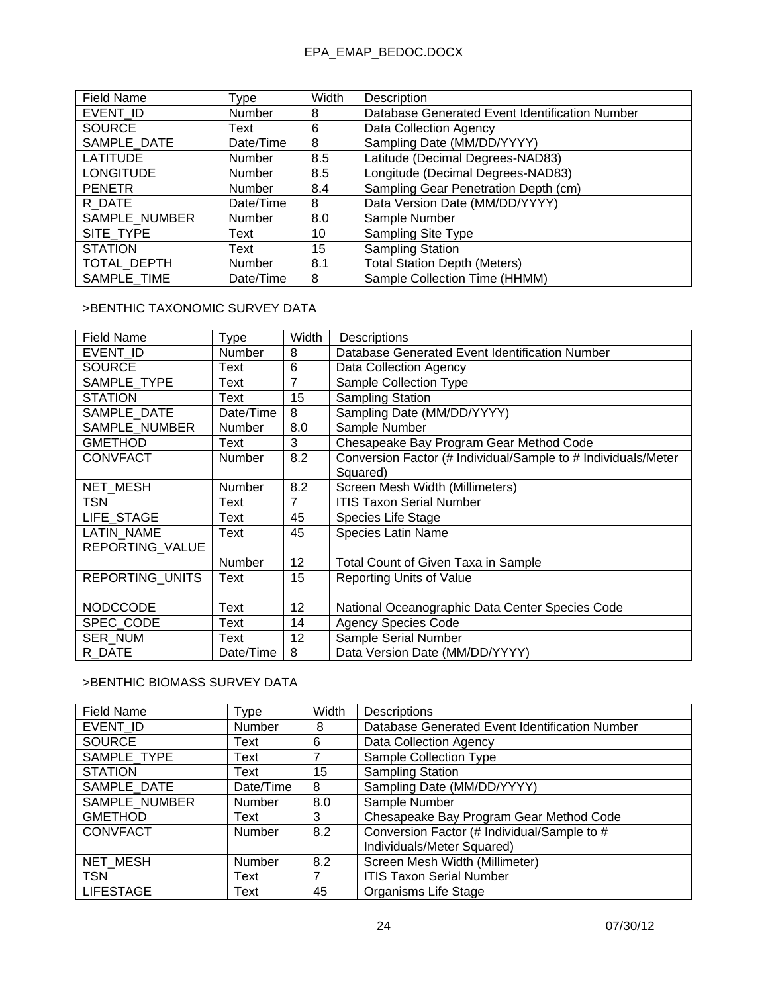| <b>Field Name</b> | Type          | Width | Description                                    |
|-------------------|---------------|-------|------------------------------------------------|
| EVENT ID          | Number        | 8     | Database Generated Event Identification Number |
| <b>SOURCE</b>     | Text          | 6     | Data Collection Agency                         |
| SAMPLE DATE       | Date/Time     | 8     | Sampling Date (MM/DD/YYYY)                     |
| <b>LATITUDE</b>   | Number        | 8.5   | Latitude (Decimal Degrees-NAD83)               |
| <b>LONGITUDE</b>  | Number        | 8.5   | Longitude (Decimal Degrees-NAD83)              |
| <b>PENETR</b>     | <b>Number</b> | 8.4   | Sampling Gear Penetration Depth (cm)           |
| R DATE            | Date/Time     | 8     | Data Version Date (MM/DD/YYYY)                 |
| SAMPLE NUMBER     | Number        | 8.0   | Sample Number                                  |
| SITE TYPE         | Text          | 10    | <b>Sampling Site Type</b>                      |
| <b>STATION</b>    | Text          | 15    | <b>Sampling Station</b>                        |
| TOTAL_DEPTH       | Number        | 8.1   | <b>Total Station Depth (Meters)</b>            |
| SAMPLE TIME       | Date/Time     | 8     | Sample Collection Time (HHMM)                  |

## >BENTHIC TAXONOMIC SURVEY DATA

| <b>Field Name</b>      | Type          | Width          | <b>Descriptions</b>                                           |
|------------------------|---------------|----------------|---------------------------------------------------------------|
| EVENT ID               | Number        | 8              | Database Generated Event Identification Number                |
| <b>SOURCE</b>          | Text          | 6              | Data Collection Agency                                        |
| SAMPLE TYPE            | Text          | 7              | Sample Collection Type                                        |
| <b>STATION</b>         | Text          | 15             | <b>Sampling Station</b>                                       |
| SAMPLE DATE            | Date/Time     | 8              | Sampling Date (MM/DD/YYYY)                                    |
| SAMPLE NUMBER          | Number        | 8.0            | Sample Number                                                 |
| <b>GMETHOD</b>         | Text          | 3              | Chesapeake Bay Program Gear Method Code                       |
| <b>CONVFACT</b>        | <b>Number</b> | 8.2            | Conversion Factor (# Individual/Sample to # Individuals/Meter |
|                        |               |                | Squared)                                                      |
| NET MESH               | Number        | 8.2            | Screen Mesh Width (Millimeters)                               |
| TSN                    | Text          | $\overline{7}$ | <b>ITIS Taxon Serial Number</b>                               |
| LIFE STAGE             | Text          | 45             | Species Life Stage                                            |
| <b>LATIN NAME</b>      | Text          | 45             | <b>Species Latin Name</b>                                     |
| REPORTING VALUE        |               |                |                                                               |
|                        | <b>Number</b> | 12             | Total Count of Given Taxa in Sample                           |
| <b>REPORTING UNITS</b> | Text          | 15             | <b>Reporting Units of Value</b>                               |
|                        |               |                |                                                               |
| <b>NODCCODE</b>        | <b>Text</b>   | 12             | National Oceanographic Data Center Species Code               |
| SPEC CODE              | Text          | 14             | <b>Agency Species Code</b>                                    |
| <b>SER NUM</b>         | Text          | 12             | Sample Serial Number                                          |
| R DATE                 | Date/Time     | 8              | Data Version Date (MM/DD/YYYY)                                |

## >BENTHIC BIOMASS SURVEY DATA

| <b>Field Name</b> | Type          | Width | <b>Descriptions</b>                            |
|-------------------|---------------|-------|------------------------------------------------|
| EVENT ID          | Number        | 8     | Database Generated Event Identification Number |
| <b>SOURCE</b>     | Text          | 6     | Data Collection Agency                         |
| SAMPLE TYPE       | Text          |       | Sample Collection Type                         |
| <b>STATION</b>    | Text          | 15    | <b>Sampling Station</b>                        |
| SAMPLE DATE       | Date/Time     | 8     | Sampling Date (MM/DD/YYYY)                     |
| SAMPLE NUMBER     | <b>Number</b> | 8.0   | Sample Number                                  |
| <b>GMETHOD</b>    | Text          | 3     | Chesapeake Bay Program Gear Method Code        |
| <b>CONVFACT</b>   | <b>Number</b> | 8.2   | Conversion Factor (# Individual/Sample to #    |
|                   |               |       | Individuals/Meter Squared)                     |
| NET MESH          | Number        | 8.2   | Screen Mesh Width (Millimeter)                 |
| <b>TSN</b>        | Text          | 7     | <b>ITIS Taxon Serial Number</b>                |
| <b>LIFESTAGE</b>  | Text          | 45    | Organisms Life Stage                           |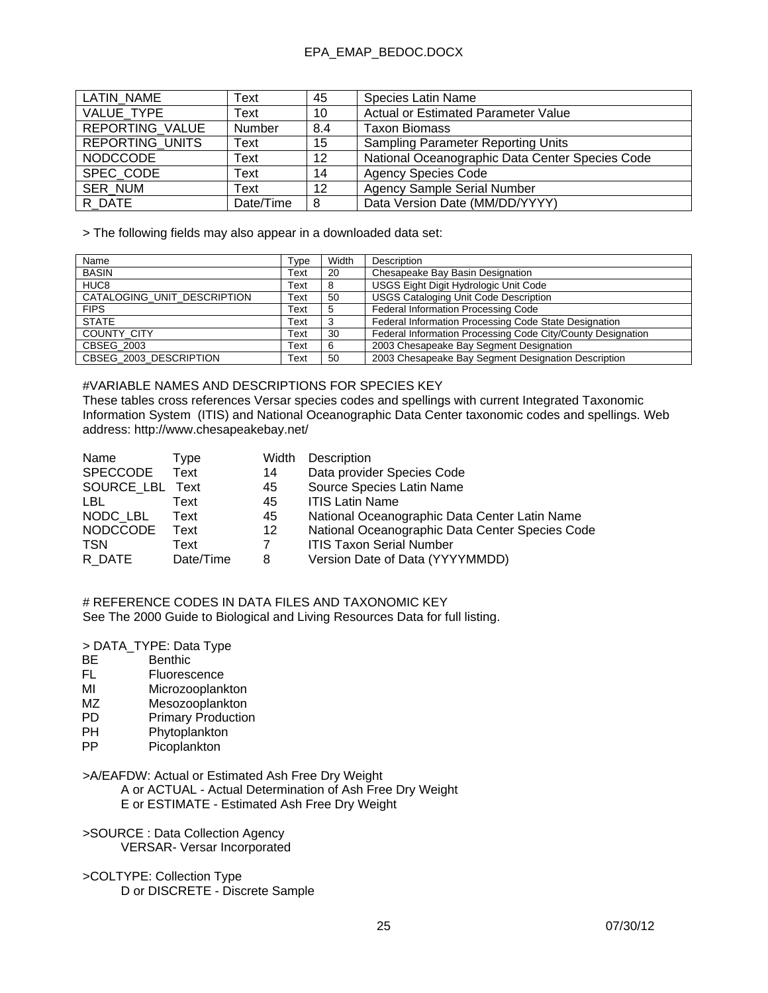| LATIN NAME             | Text          | 45              | Species Latin Name                              |
|------------------------|---------------|-----------------|-------------------------------------------------|
| VALUE TYPE             | Text          | 10              | Actual or Estimated Parameter Value             |
| REPORTING_VALUE        | <b>Number</b> | 8.4             | <b>Taxon Biomass</b>                            |
| <b>REPORTING UNITS</b> | Text          | 15              | <b>Sampling Parameter Reporting Units</b>       |
| <b>NODCCODE</b>        | Text          | 12 <sup>2</sup> | National Oceanographic Data Center Species Code |
| SPEC CODE              | Text          | 14              | <b>Agency Species Code</b>                      |
| <b>SER NUM</b>         | Text          | 12              | <b>Agency Sample Serial Number</b>              |
| R DATE                 | Date/Time     | 8               | Data Version Date (MM/DD/YYYY)                  |

> The following fields may also appear in a downloaded data set:

| Name                        | Type | Width | Description                                                 |
|-----------------------------|------|-------|-------------------------------------------------------------|
| <b>BASIN</b>                | Text | 20    | Chesapeake Bay Basin Designation                            |
| HUC <sub>8</sub>            | Text |       | USGS Eight Digit Hydrologic Unit Code                       |
| CATALOGING_UNIT_DESCRIPTION | Text | 50    | <b>USGS Cataloging Unit Code Description</b>                |
| <b>FIPS</b>                 | Text |       | Federal Information Processing Code                         |
| <b>STATE</b>                | Text |       | Federal Information Processing Code State Designation       |
| <b>COUNTY CITY</b>          | Text | 30    | Federal Information Processing Code City/County Designation |
| <b>CBSEG 2003</b>           | Text |       | 2003 Chesapeake Bay Segment Designation                     |
| CBSEG 2003 DESCRIPTION      | Text | 50    | 2003 Chesapeake Bay Segment Designation Description         |

#### #VARIABLE NAMES AND DESCRIPTIONS FOR SPECIES KEY

These tables cross references Versar species codes and spellings with current Integrated Taxonomic Information System (ITIS) and National Oceanographic Data Center taxonomic codes and spellings. Web address: http://www.chesapeakebay.net/

| Name            | Type      | Width       | Description                                     |
|-----------------|-----------|-------------|-------------------------------------------------|
| SPECCODE        | Text      | 14          | Data provider Species Code                      |
| SOURCE LBL Text |           | 45          | Source Species Latin Name                       |
| LBL.            | Text      | 45          | <b>ITIS Latin Name</b>                          |
| NODC LBL        | Text      | 45          | National Oceanographic Data Center Latin Name   |
| <b>NODCCODE</b> | Text      | $12 \,$     | National Oceanographic Data Center Species Code |
| <b>TSN</b>      | Text      | $7^{\circ}$ | <b>ITIS Taxon Serial Number</b>                 |
| R DATE          | Date/Time | 8           | Version Date of Data (YYYYMMDD)                 |

# REFERENCE CODES IN DATA FILES AND TAXONOMIC KEY See The 2000 Guide to Biological and Living Resources Data for full listing.

#### > DATA\_TYPE: Data Type

- BE Benthic<br>FL Fluoreso
- **Fluorescence**
- MI Microzooplankton
- MZ Mesozooplankton<br>
PD Primary Production
- PD Primary Production<br>PH Phytoplankton
- PH Phytoplankton<br>PP Picoplankton
- Picoplankton

>A/EAFDW: Actual or Estimated Ash Free Dry Weight

 A or ACTUAL - Actual Determination of Ash Free Dry Weight E or ESTIMATE - Estimated Ash Free Dry Weight

>SOURCE : Data Collection Agency VERSAR- Versar Incorporated

>COLTYPE: Collection Type D or DISCRETE - Discrete Sample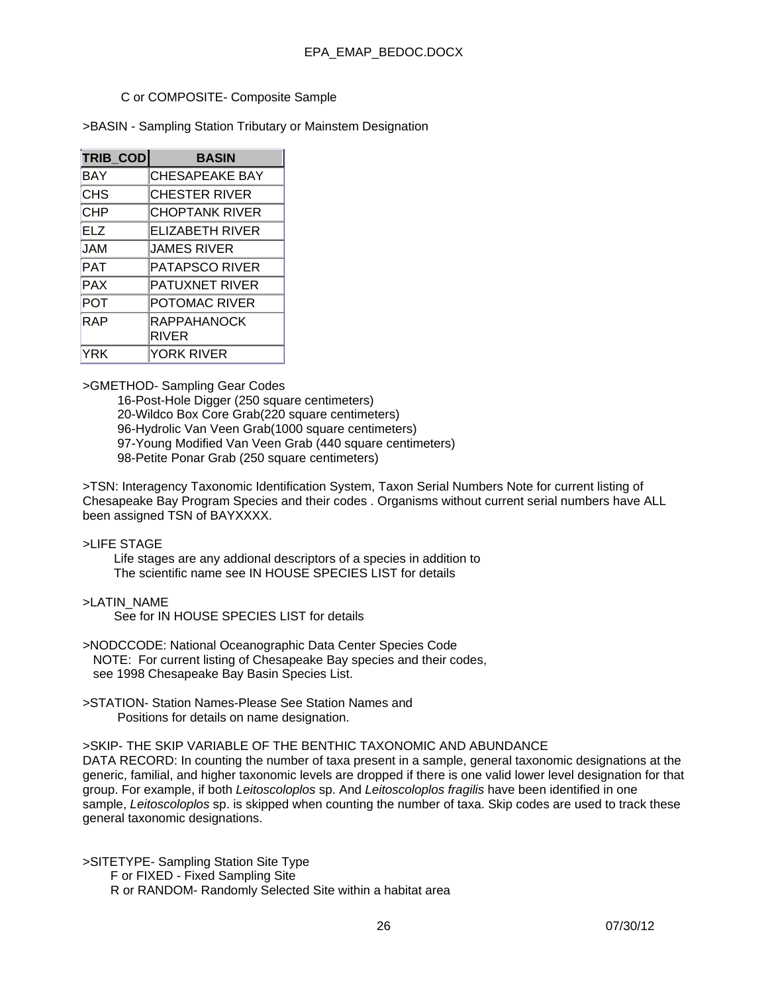### C or COMPOSITE- Composite Sample

>BASIN - Sampling Station Tributary or Mainstem Designation

| TRIB_COD   | <b>BASIN</b>                       |
|------------|------------------------------------|
| <b>BAY</b> | <b>CHESAPEAKE BAY</b>              |
| <b>CHS</b> | CHESTER RIVER                      |
| <b>CHP</b> | <b>CHOPTANK RIVER</b>              |
| <b>ELZ</b> | <b>ELIZABETH RIVER</b>             |
| <b>MAL</b> | JAMES RIVER                        |
| PAT        | <b>PATAPSCO RIVER</b>              |
| <b>PAX</b> | <b>PATUXNET RIVER</b>              |
| <b>POT</b> | <b>POTOMAC RIVER</b>               |
| <b>RAP</b> | <b>RAPPAHANOCK</b><br><b>RIVER</b> |
| YRK        | <b>YORK RIVER</b>                  |

>GMETHOD- Sampling Gear Codes

 16-Post-Hole Digger (250 square centimeters) 20-Wildco Box Core Grab(220 square centimeters) 96-Hydrolic Van Veen Grab(1000 square centimeters) 97-Young Modified Van Veen Grab (440 square centimeters) 98-Petite Ponar Grab (250 square centimeters)

>TSN: Interagency Taxonomic Identification System, Taxon Serial Numbers Note for current listing of Chesapeake Bay Program Species and their codes . Organisms without current serial numbers have ALL been assigned TSN of BAYXXXX.

### >LIFE STAGE

 Life stages are any addional descriptors of a species in addition to The scientific name see IN HOUSE SPECIES LIST for details

### >LATIN\_NAME

See for IN HOUSE SPECIES LIST for details

- >NODCCODE: National Oceanographic Data Center Species Code NOTE: For current listing of Chesapeake Bay species and their codes, see 1998 Chesapeake Bay Basin Species List.
- >STATION- Station Names-Please See Station Names and Positions for details on name designation.

### >SKIP- THE SKIP VARIABLE OF THE BENTHIC TAXONOMIC AND ABUNDANCE

DATA RECORD: In counting the number of taxa present in a sample, general taxonomic designations at the generic, familial, and higher taxonomic levels are dropped if there is one valid lower level designation for that group. For example, if both *Leitoscoloplos* sp. And *Leitoscoloplos fragilis* have been identified in one sample, *Leitoscoloplos* sp. is skipped when counting the number of taxa. Skip codes are used to track these general taxonomic designations.

>SITETYPE- Sampling Station Site Type F or FIXED - Fixed Sampling Site R or RANDOM- Randomly Selected Site within a habitat area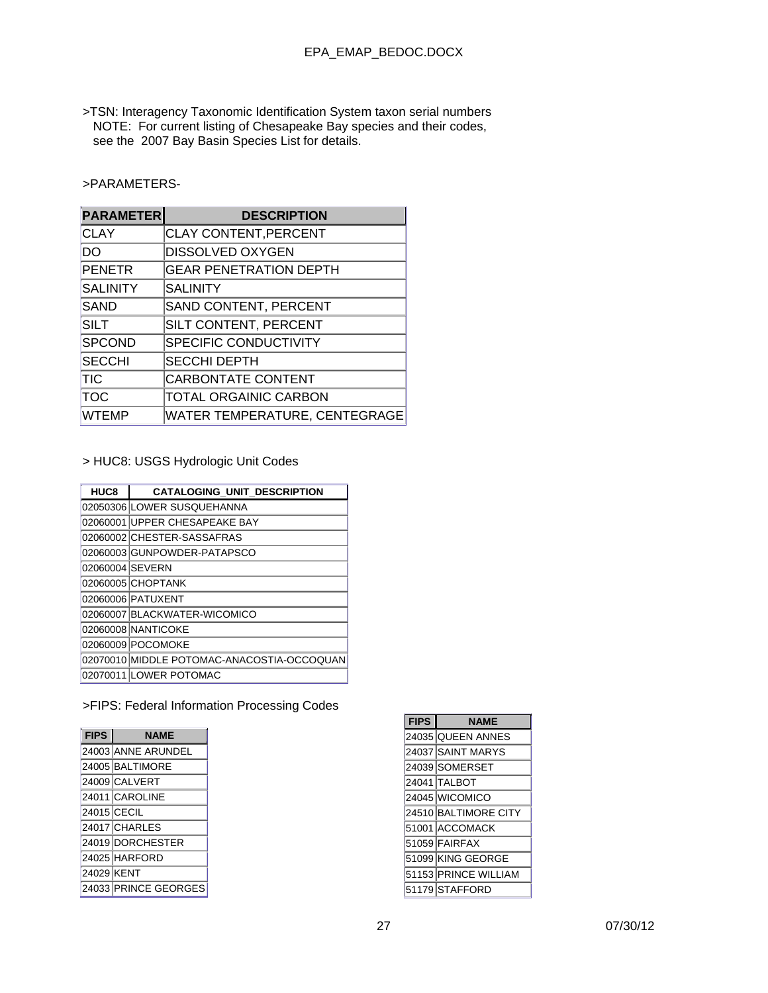>TSN: Interagency Taxonomic Identification System taxon serial numbers NOTE: For current listing of Chesapeake Bay species and their codes, see the 2007 Bay Basin Species List for details.

>PARAMETERS-

| <b>PARAMETER</b> | <b>DESCRIPTION</b>            |
|------------------|-------------------------------|
| <b>CLAY</b>      | <b>CLAY CONTENT, PERCENT</b>  |
| DO               | <b>DISSOLVED OXYGEN</b>       |
| <b>PENETR</b>    | <b>GEAR PENETRATION DEPTH</b> |
| <b>SALINITY</b>  | <b>SALINITY</b>               |
| <b>SAND</b>      | SAND CONTENT, PERCENT         |
| <b>SILT</b>      | SILT CONTENT, PERCENT         |
| <b>SPCOND</b>    | <b>SPECIFIC CONDUCTIVITY</b>  |
| <b>SECCHI</b>    | <b>SECCHI DEPTH</b>           |
| TIC              | <b>CARBONTATE CONTENT</b>     |
| тос              | <b>TOTAL ORGAINIC CARBON</b>  |
| <b>WTEMP</b>     | WATER TEMPERATURE, CENTEGRAGE |

> HUC8: USGS Hydrologic Unit Codes

| HUC8            | <b>CATALOGING UNIT DESCRIPTION</b>         |
|-----------------|--------------------------------------------|
|                 | 02050306 LOWER SUSQUEHANNA                 |
|                 | 02060001 UPPER CHESAPEAKE BAY              |
|                 | 02060002 CHESTER-SASSAFRAS                 |
|                 | 02060003 GUNPOWDER-PATAPSCO                |
| 02060004 SEVERN |                                            |
|                 | 02060005 CHOPTANK                          |
|                 | 02060006 PATUXENT                          |
|                 | 02060007 BLACKWATER-WICOMICO               |
|                 | 02060008 NANTICOKE                         |
|                 | 02060009 POCOMOKE                          |
|                 | 02070010 MIDDLE POTOMAC-ANACOSTIA-OCCOQUAN |
|                 | 02070011 LOWER POTOMAC                     |

>FIPS: Federal Information Processing Codes

| <b>FIPS</b> | <b>NAME</b>          |  |  |  |
|-------------|----------------------|--|--|--|
|             | 24003 ANNE ARUNDEL   |  |  |  |
|             | 24005 BALTIMORE      |  |  |  |
|             | 24009 CALVERT        |  |  |  |
|             | 24011 CAROLINE       |  |  |  |
|             | 24015 CECIL          |  |  |  |
|             | 24017 CHARLES        |  |  |  |
|             | 24019 DORCHESTER     |  |  |  |
|             | 24025 HARFORD        |  |  |  |
| 24029 KENT  |                      |  |  |  |
|             | 24033 PRINCE GEORGES |  |  |  |

| <b>FIPS</b> | <b>NAME</b>          |
|-------------|----------------------|
|             | 24035 QUEEN ANNES    |
|             | 24037 SAINT MARYS    |
|             | 24039 SOMERSET       |
|             | 24041 TALBOT         |
|             | 24045 WICOMICO       |
|             | 24510 BALTIMORE CITY |
|             | 51001 ACCOMACK       |
|             | 51059 FAIRFAX        |
|             | 51099 KING GEORGE    |
|             | 51153 PRINCE WILLIAM |
|             | 51179 STAFFORD       |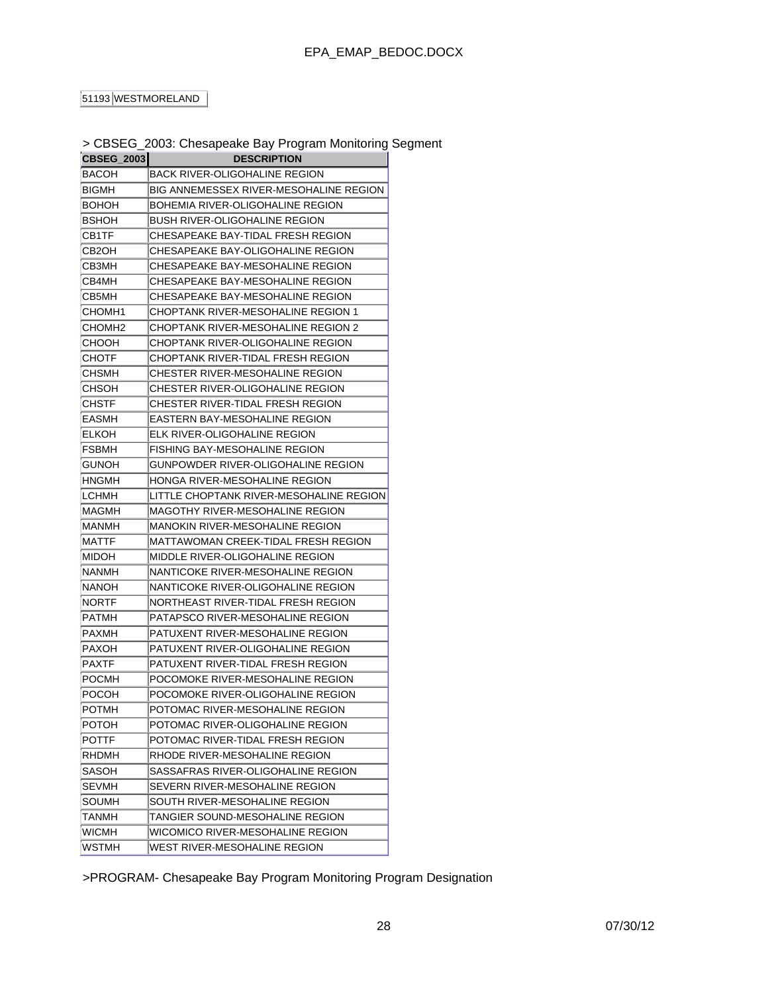### 51193 WESTMORELAND

| CBSEG_2003   | $>$ CDOCO_Z000. Criesapeare Day Frogram monitoring $\overline{S}$ |  |  |
|--------------|-------------------------------------------------------------------|--|--|
|              | <b>DESCRIPTION</b>                                                |  |  |
| BACOH        | BACK RIVER-OLIGOHALINE REGION                                     |  |  |
| BIGMH        | BIG ANNEMESSEX RIVER-MESOHALINE REGION                            |  |  |
| BOHOH        | BOHEMIA RIVER-OLIGOHALINE REGION                                  |  |  |
| <b>BSHOH</b> | BUSH RIVER-OLIGOHALINE REGION                                     |  |  |
| CB1TF        | CHESAPEAKE BAY-TIDAL FRESH REGION                                 |  |  |
| CB2OH        | CHESAPEAKE BAY-OLIGOHALINE REGION                                 |  |  |
| СВЗМН        | CHESAPEAKE BAY-MESOHALINE REGION                                  |  |  |
| CB4MH        | CHESAPEAKE BAY-MESOHALINE REGION                                  |  |  |
| CB5MH        | CHESAPEAKE BAY-MESOHALINE REGION                                  |  |  |
| CHOMH1       | CHOPTANK RIVER-MESOHALINE REGION 1                                |  |  |
| CHOMH2       | CHOPTANK RIVER-MESOHALINE REGION 2                                |  |  |
| сноон        | CHOPTANK RIVER-OLIGOHALINE REGION                                 |  |  |
| СНОТЕ        | CHOPTANK RIVER-TIDAL FRESH REGION                                 |  |  |
| CHSMH        | CHESTER RIVER-MESOHALINE REGION                                   |  |  |
| CHSOH        | CHESTER RIVER-OLIGOHALINE REGION                                  |  |  |
| CHSTF        | CHESTER RIVER-TIDAL FRESH REGION                                  |  |  |
| EASMH        | EASTERN BAY-MESOHALINE REGION                                     |  |  |
| ELKOH        | ELK RIVER-OLIGOHALINE REGION                                      |  |  |
| <b>FSBMH</b> | FISHING BAY-MESOHALINE REGION                                     |  |  |
| GUNOH        | GUNPOWDER RIVER-OLIGOHALINE REGION                                |  |  |
| HNGMH        | HONGA RIVER-MESOHALINE REGION                                     |  |  |
| LCHMH        | LITTLE CHOPTANK RIVER-MESOHALINE REGION                           |  |  |
| MAGMH        | MAGOTHY RIVER-MESOHALINE REGION                                   |  |  |
| MANMH        | MANOKIN RIVER-MESOHALINE REGION                                   |  |  |
| MATTF        | MATTAWOMAN CREEK-TIDAL FRESH REGION                               |  |  |
| MIDOH        | MIDDLE RIVER-OLIGOHALINE REGION                                   |  |  |
| NANMH        | NANTICOKE RIVER-MESOHALINE REGION                                 |  |  |
| NANOH        | NANTICOKE RIVER-OLIGOHALINE REGION                                |  |  |
| NORTF        | NORTHEAST RIVER-TIDAL FRESH REGION                                |  |  |
| PATMH        | PATAPSCO RIVER-MESOHALINE REGION                                  |  |  |
| PAXMH        | PATUXENT RIVER-MESOHALINE REGION                                  |  |  |
| PAXOH        | PATUXENT RIVER-OLIGOHALINE REGION                                 |  |  |
| PAXTF        | PATUXENT RIVER-TIDAL FRESH REGION                                 |  |  |
| POCMH        | POCOMOKE RIVER-MESOHALINE REGION                                  |  |  |
| POCOH        | POCOMOKE RIVER-OLIGOHALINE REGION                                 |  |  |
| POTMH        | POTOMAC RIVER-MESOHALINE REGION                                   |  |  |
| POTOH        | POTOMAC RIVER-OLIGOHALINE REGION                                  |  |  |
| POTTF        | POTOMAC RIVER-TIDAL FRESH REGION                                  |  |  |
| RHDMH        | RHODE RIVER-MESOHALINE REGION                                     |  |  |
| SASOH        | SASSAFRAS RIVER-OLIGOHALINE REGION                                |  |  |
| <b>SEVMH</b> |                                                                   |  |  |
|              | SEVERN RIVER-MESOHALINE REGION                                    |  |  |
| SOUMH        | SOUTH RIVER-MESOHALINE REGION                                     |  |  |
| TANMH        | TANGIER SOUND-MESOHALINE REGION                                   |  |  |
| WICMH        | WICOMICO RIVER-MESOHALINE REGION                                  |  |  |
| WSTMH        | WEST RIVER-MESOHALINE REGION                                      |  |  |

# > CBSEG\_2003: Chesapeake Bay Program Monitoring Segment

>PROGRAM- Chesapeake Bay Program Monitoring Program Designation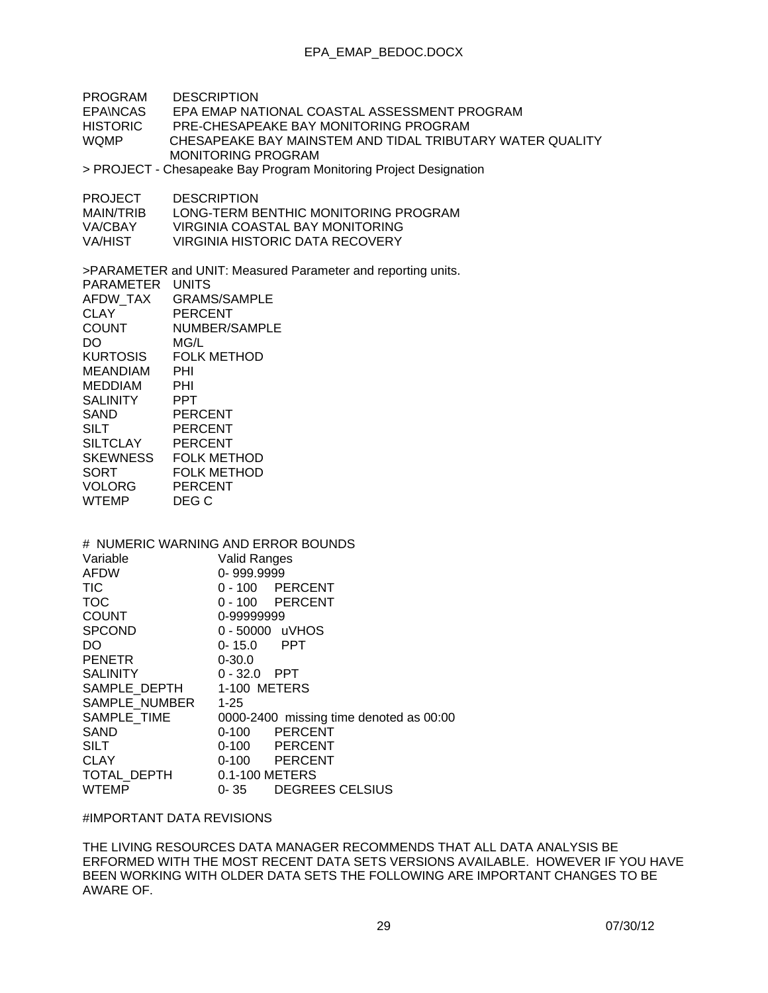PROGRAM DESCRIPTION EPA\NCAS EPA EMAP NATIONAL COASTAL ASSESSMENT PROGRAM HISTORIC PRE-CHESAPEAKE BAY MONITORING PROGRAM CHESAPEAKE BAY MAINSTEM AND TIDAL TRIBUTARY WATER OUALITY MONITORING PROGRAM > PROJECT - Chesapeake Bay Program Monitoring Project Designation PROJECT DESCRIPTION MAIN/TRIB LONG-TERM BENTHIC MONITORING PROGRAM<br>VA/CBAY VIRGINIA COASTAL BAY MONITORING VIRGINIA COASTAL BAY MONITORING VA/HIST VIRGINIA HISTORIC DATA RECOVERY >PARAMETER and UNIT: Measured Parameter and reporting units. PARAMETER UNITS AFDW\_TAX GRAMS/SAMPLE CLAY PERCENT COUNT NUMBER/SAMPLE DO MG/L KURTOSIS FOLK METHOD MEANDIAM PHI<br>MEDDIAM PHI MEDDIAM PHI<br>SALINITY PPT **SALINITY** SAND PERCENT<br>SILT PERCENT PERCENT SILTCLAY PERCENT SKEWNESS FOLK METHOD SORT FOLK METHOD VOLORG PERCENT WTEMP DEG C # NUMERIC WARNING AND ERROR BOUNDS Variable Valid Ranges AFDW 0- 999.9999 TIC 0 - 100 PERCENT TOC 0 - 100 PERCENT COUNT 0-99999999 SPCOND 0 - 50000 UVHOS DO 0- 15.0 PPT PENETR 0-30.0 SALINITY 0 - 32.0 PPT SAMPLE DEPTH 1-100 METERS SAMPLE\_NUMBER 1-25 SAMPLE\_TIME 0000-2400 missing time denoted as 00:00 SAND 0-100 PERCENT 0-100 PERCENT CLAY 0-100 PERCENT TOTAL DEPTH 0.1-100 METERS WTEMP 0-35 DEGREES CELSIUS

### #IMPORTANT DATA REVISIONS

THE LIVING RESOURCES DATA MANAGER RECOMMENDS THAT ALL DATA ANALYSIS BE ERFORMED WITH THE MOST RECENT DATA SETS VERSIONS AVAILABLE. HOWEVER IF YOU HAVE BEEN WORKING WITH OLDER DATA SETS THE FOLLOWING ARE IMPORTANT CHANGES TO BE AWARE OF.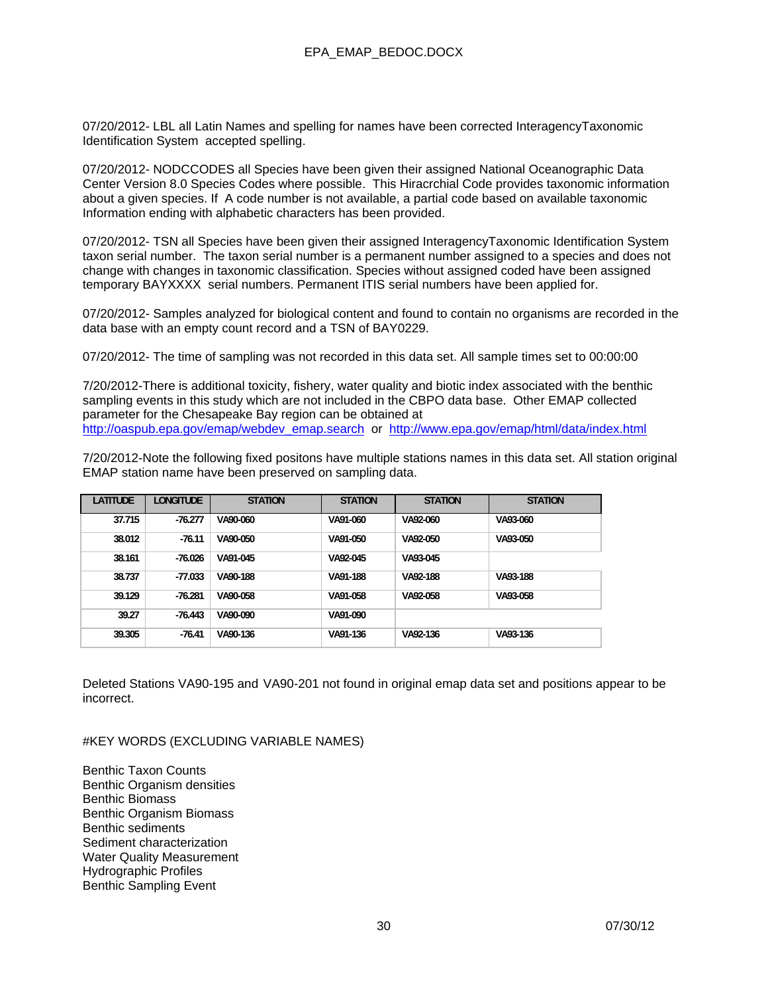07/20/2012- LBL all Latin Names and spelling for names have been corrected InteragencyTaxonomic Identification System accepted spelling.

07/20/2012- NODCCODES all Species have been given their assigned National Oceanographic Data Center Version 8.0 Species Codes where possible. This Hiracrchial Code provides taxonomic information about a given species. If A code number is not available, a partial code based on available taxonomic Information ending with alphabetic characters has been provided.

07/20/2012- TSN all Species have been given their assigned InteragencyTaxonomic Identification System taxon serial number. The taxon serial number is a permanent number assigned to a species and does not change with changes in taxonomic classification. Species without assigned coded have been assigned temporary BAYXXXX serial numbers. Permanent ITIS serial numbers have been applied for.

07/20/2012- Samples analyzed for biological content and found to contain no organisms are recorded in the data base with an empty count record and a TSN of BAY0229.

07/20/2012- The time of sampling was not recorded in this data set. All sample times set to 00:00:00

7/20/2012-There is additional toxicity, fishery, water quality and biotic index associated with the benthic sampling events in this study which are not included in the CBPO data base. Other EMAP collected parameter for the Chesapeake Bay region can be obtained at http://oaspub.epa.gov/emap/webdev\_emap.search or http://www.epa.gov/emap/html/data/index.html

7/20/2012-Note the following fixed positons have multiple stations names in this data set. All station original EMAP station name have been preserved on sampling data.

| <b>LATITUDE</b> | LONGITUDE | <b>STATION</b> | <b>STATION</b> | <b>STATION</b> | <b>STATION</b> |
|-----------------|-----------|----------------|----------------|----------------|----------------|
| 37.715          | $-76.277$ | VA90-060       | VA91-060       | VA92-060       | VA93-060       |
| 38.012          | $-76.11$  | VA90-050       | VA91-050       | VA92-050       | VA93-050       |
| 38.161          | $-76.026$ | VA91-045       | VA92-045       | VA93-045       |                |
| 38.737          | $-77.033$ | VA90-188       | VA91-188       | VA92-188       | VA93-188       |
| 39.129          | $-76.281$ | VA90-058       | VA91-058       | VA92-058       | VA93-058       |
| 39.27           | $-76.443$ | VA90-090       | VA91-090       |                |                |
| 39.305          | $-76.41$  | VA90-136       | VA91-136       | VA92-136       | VA93-136       |

Deleted Stations VA90-195 and VA90-201 not found in original emap data set and positions appear to be incorrect.

#KEY WORDS (EXCLUDING VARIABLE NAMES)

Benthic Taxon Counts Benthic Organism densities Benthic Biomass Benthic Organism Biomass Benthic sediments Sediment characterization Water Quality Measurement Hydrographic Profiles Benthic Sampling Event